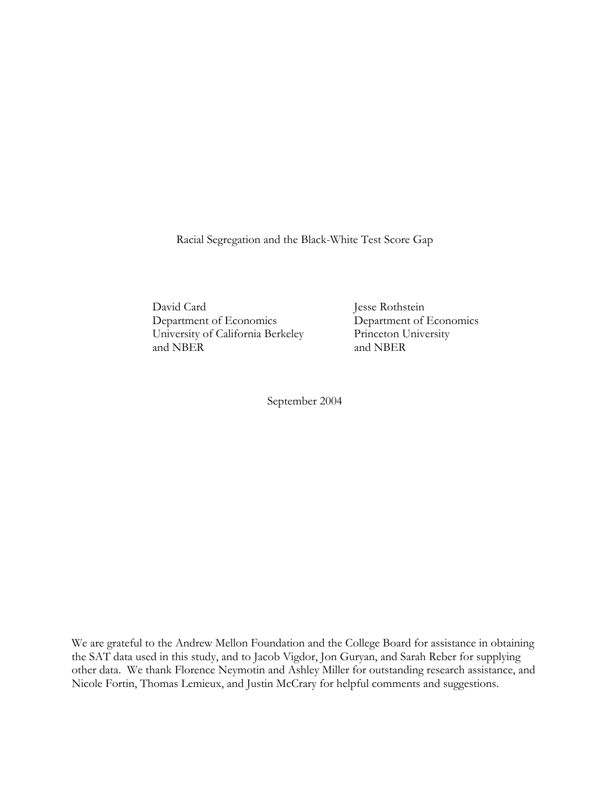Racial Segregation and the Black-White Test Score Gap

David Card Jesse Rothstein Department of Economics Department of Economics University of California Berkeley Princeton University and NBER and NBER

September 2004

We are grateful to the Andrew Mellon Foundation and the College Board for assistance in obtaining the SAT data used in this study, and to Jacob Vigdor, Jon Guryan, and Sarah Reber for supplying other data. We thank Florence Neymotin and Ashley Miller for outstanding research assistance, and Nicole Fortin, Thomas Lemieux, and Justin McCrary for helpful comments and suggestions.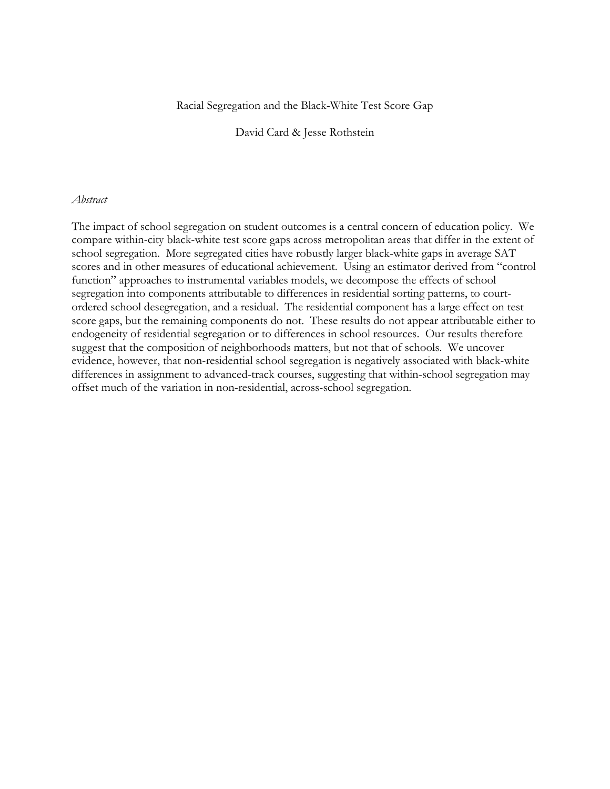# Racial Segregation and the Black-White Test Score Gap

David Card & Jesse Rothstein

# *Abstract*

The impact of school segregation on student outcomes is a central concern of education policy. We compare within-city black-white test score gaps across metropolitan areas that differ in the extent of school segregation. More segregated cities have robustly larger black-white gaps in average SAT scores and in other measures of educational achievement. Using an estimator derived from "control function" approaches to instrumental variables models, we decompose the effects of school segregation into components attributable to differences in residential sorting patterns, to courtordered school desegregation, and a residual. The residential component has a large effect on test score gaps, but the remaining components do not. These results do not appear attributable either to endogeneity of residential segregation or to differences in school resources. Our results therefore suggest that the composition of neighborhoods matters, but not that of schools. We uncover evidence, however, that non-residential school segregation is negatively associated with black-white differences in assignment to advanced-track courses, suggesting that within-school segregation may offset much of the variation in non-residential, across-school segregation.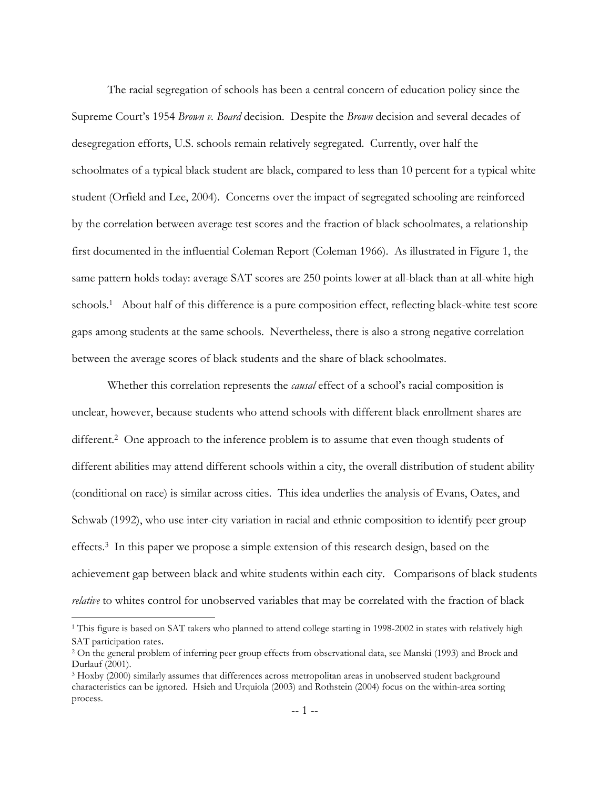The racial segregation of schools has been a central concern of education policy since the Supreme Court's 1954 *Brown v. Board* decision. Despite the *Brown* decision and several decades of desegregation efforts, U.S. schools remain relatively segregated. Currently, over half the schoolmates of a typical black student are black, compared to less than 10 percent for a typical white student (Orfield and Lee, 2004). Concerns over the impact of segregated schooling are reinforced by the correlation between average test scores and the fraction of black schoolmates, a relationship first documented in the influential Coleman Report (Coleman 1966). As illustrated in Figure 1, the same pattern holds today: average SAT scores are 250 points lower at all-black than at all-white high schools.[1](#page-2-0) About half of this difference is a pure composition effect, reflecting black-white test score gaps among students at the same schools. Nevertheless, there is also a strong negative correlation between the average scores of black students and the share of black schoolmates.

Whether this correlation represents the *causal* effect of a school's racial composition is unclear, however, because students who attend schools with different black enrollment shares are different.<sup>2</sup> One approach to the inference problem is to assume that even though students of different abilities may attend different schools within a city, the overall distribution of student ability (conditional on race) is similar across cities. This idea underlies the analysis of Evans, Oates, and Schwab (1992), who use inter-city variation in racial and ethnic composition to identify peer group effects[.3](#page-2-2) In this paper we propose a simple extension of this research design, based on the achievement gap between black and white students within each city. Comparisons of black students *relative* to whites control for unobserved variables that may be correlated with the fraction of black

<span id="page-2-0"></span><sup>&</sup>lt;sup>1</sup> This figure is based on SAT takers who planned to attend college starting in 1998-2002 in states with relatively high SAT participation rates.

<span id="page-2-1"></span><sup>2</sup> On the general problem of inferring peer group effects from observational data, see Manski (1993) and Brock and Durlauf (2001).

<span id="page-2-2"></span><sup>3</sup> Hoxby (2000) similarly assumes that differences across metropolitan areas in unobserved student background characteristics can be ignored. Hsieh and Urquiola (2003) and Rothstein (2004) focus on the within-area sorting process.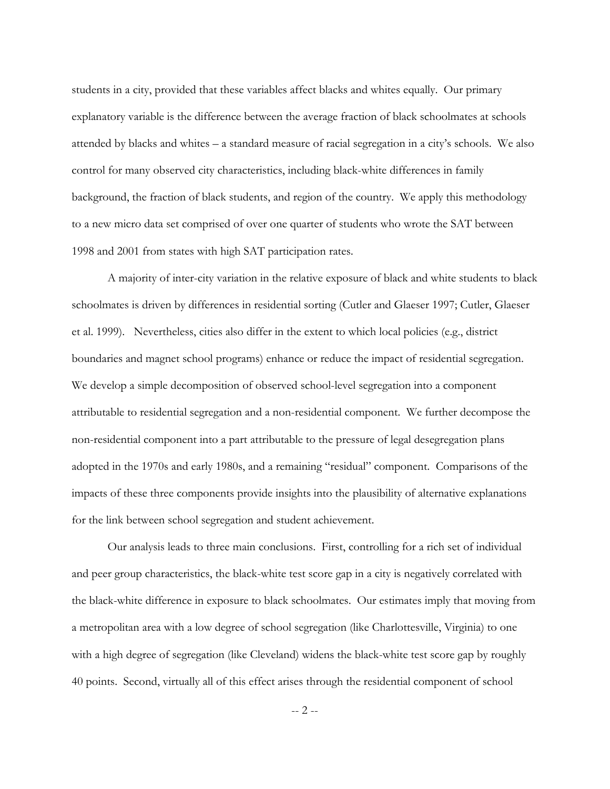students in a city, provided that these variables affect blacks and whites equally. Our primary explanatory variable is the difference between the average fraction of black schoolmates at schools attended by blacks and whites  $-$  a standard measure of racial segregation in a city's schools. We also control for many observed city characteristics, including black-white differences in family background, the fraction of black students, and region of the country. We apply this methodology to a new micro data set comprised of over one quarter of students who wrote the SAT between 1998 and 2001 from states with high SAT participation rates.

 A majority of inter-city variation in the relative exposure of black and white students to black schoolmates is driven by differences in residential sorting (Cutler and Glaeser 1997; Cutler, Glaeser et al. 1999). Nevertheless, cities also differ in the extent to which local policies (e.g., district boundaries and magnet school programs) enhance or reduce the impact of residential segregation. We develop a simple decomposition of observed school-level segregation into a component attributable to residential segregation and a non-residential component. We further decompose the non-residential component into a part attributable to the pressure of legal desegregation plans adopted in the 1970s and early 1980s, and a remaining "residual" component. Comparisons of the impacts of these three components provide insights into the plausibility of alternative explanations for the link between school segregation and student achievement.

 Our analysis leads to three main conclusions. First, controlling for a rich set of individual and peer group characteristics, the black-white test score gap in a city is negatively correlated with the black-white difference in exposure to black schoolmates. Our estimates imply that moving from a metropolitan area with a low degree of school segregation (like Charlottesville, Virginia) to one with a high degree of segregation (like Cleveland) widens the black-white test score gap by roughly 40 points. Second, virtually all of this effect arises through the residential component of school

-- 2 --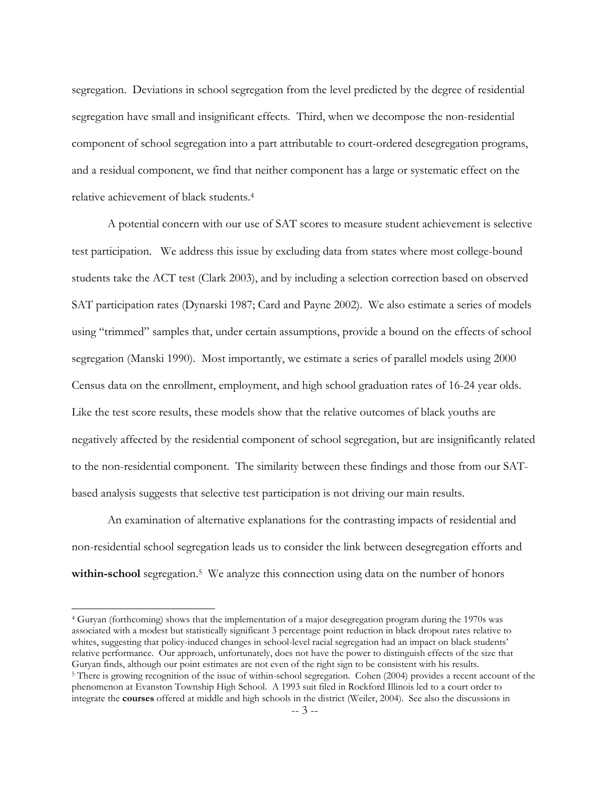segregation. Deviations in school segregation from the level predicted by the degree of residential segregation have small and insignificant effects. Third, when we decompose the non-residential component of school segregation into a part attributable to court-ordered desegregation programs, and a residual component, we find that neither component has a large or systematic effect on the relative achievement of black students[.4](#page-4-0) 

A potential concern with our use of SAT scores to measure student achievement is selective test participation. We address this issue by excluding data from states where most college-bound students take the ACT test (Clark 2003), and by including a selection correction based on observed SAT participation rates (Dynarski 1987; Card and Payne 2002). We also estimate a series of models using "trimmed" samples that, under certain assumptions, provide a bound on the effects of school segregation (Manski 1990). Most importantly, we estimate a series of parallel models using 2000 Census data on the enrollment, employment, and high school graduation rates of 16-24 year olds. Like the test score results, these models show that the relative outcomes of black youths are negatively affected by the residential component of school segregation, but are insignificantly related to the non-residential component. The similarity between these findings and those from our SATbased analysis suggests that selective test participation is not driving our main results.

 An examination of alternative explanations for the contrasting impacts of residential and non-residential school segregation leads us to consider the link between desegregation efforts and **within-school** segregation.<sup>5</sup> We analyze this connection using data on the number of honors

<span id="page-4-0"></span>4 Guryan (forthcoming) shows that the implementation of a major desegregation program during the 1970s was associated with a modest but statistically significant 3 percentage point reduction in black dropout rates relative to whites, suggesting that policy-induced changes in school-level racial segregation had an impact on black students' relative performance. Our approach, unfortunately, does not have the power to distinguish effects of the size that

<span id="page-4-1"></span><sup>&</sup>lt;sup>5</sup> There is growing recognition of the issue of within-school segregation. Cohen (2004) provides a recent account of the phenomenon at Evanston Township High School. A 1993 suit filed in Rockford Illinois led to a court order to integrate the **courses** offered at middle and high schools in the district (Weiler, 2004). See also the discussions in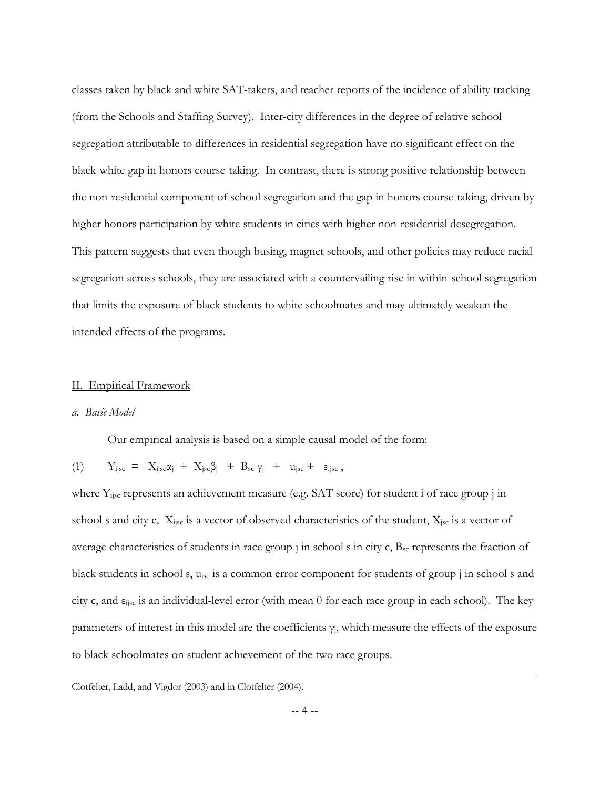classes taken by black and white SAT-takers, and teacher reports of the incidence of ability tracking (from the Schools and Staffing Survey). Inter-city differences in the degree of relative school segregation attributable to differences in residential segregation have no significant effect on the black-white gap in honors course-taking. In contrast, there is strong positive relationship between the non-residential component of school segregation and the gap in honors course-taking, driven by higher honors participation by white students in cities with higher non-residential desegregation. This pattern suggests that even though busing, magnet schools, and other policies may reduce racial segregation across schools, they are associated with a countervailing rise in within-school segregation that limits the exposure of black students to white schoolmates and may ultimately weaken the intended effects of the programs.

#### II. Empirical Framework

# *a. Basic Model*

 $\overline{a}$ 

Our empirical analysis is based on a simple causal model of the form:

$$
(1) \qquad Y_{ijsc} \; = \; \; X_{ijsc} \alpha_j \; + \; X_{jsc} \beta_j \;\; + \; \; B_{sc} \; \gamma_j \;\; + \;\; u_{jsc} \; + \;\; \; \epsilon_{ijsc} \; ,
$$

where Y<sub>ijsc</sub> represents an achievement measure (e.g. SAT score) for student i of race group j in school s and city c,  $X_{ijsc}$  is a vector of observed characteristics of the student,  $X_{jsc}$  is a vector of average characteristics of students in race group  $j$  in school s in city c,  $B_{sc}$  represents the fraction of black students in school s, u<sub>jsc</sub> is a common error component for students of group j in school s and city c, and εijsc is an individual-level error (with mean 0 for each race group in each school). The key parameters of interest in this model are the coefficients  $\gamma_j$ , which measure the effects of the exposure to black schoolmates on student achievement of the two race groups.

Clotfelter, Ladd, and Vigdor (2003) and in Clotfelter (2004).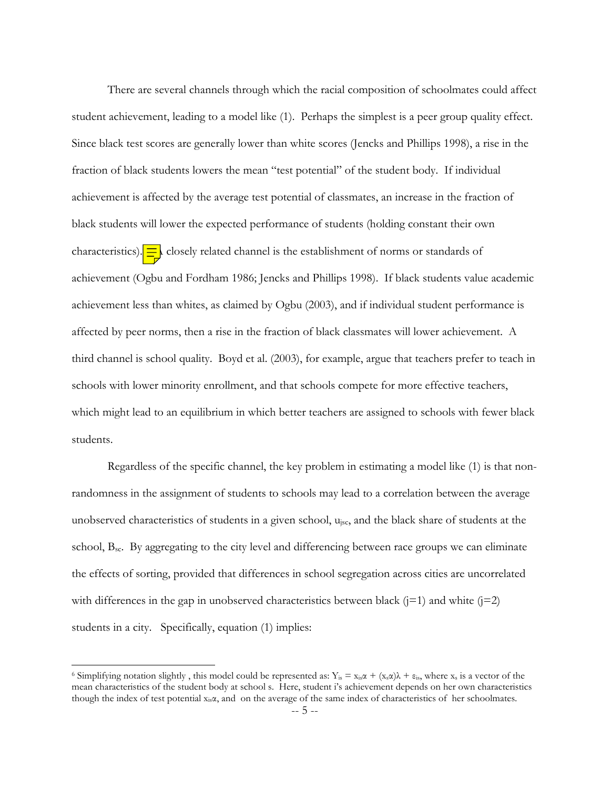There are several channels through which the racial composition of schoolmates could affect student achievement, leading to a model like (1). Perhaps the simplest is a peer group quality effect. Since black test scores are generally lower than white scores (Jencks and Phillips 1998), a rise in the fraction of black students lowers the mean "test potential" of the student body. If individual achievement is affected by the average test potential of classmates, an increase in the fraction of black students will lower the expected performance of students (holding constant their own characteristics).  $\frac{1}{n}$  closely related channel is the establishment of norms or standards of achievement (Ogbu and Fordham 1986; Jencks and Phillips 1998). If black students value academic achievement less than whites, as claimed by Ogbu (2003), and if individual student performance is affected by peer norms, then a rise in the fraction of black classmates will lower achievement. A third channel is school quality. Boyd et al. (2003), for example, argue that teachers prefer to teach in schools with lower minority enrollment, and that schools compete for more effective teachers, which might lead to an equilibrium in which better teachers are assigned to schools with fewer black students.

Regardless of the specific channel, the key problem in estimating a model like (1) is that nonrandomness in the assignment of students to schools may lead to a correlation between the average unobserved characteristics of students in a given school, ujsc, and the black share of students at the school,  $B_{sc}$ . By aggregating to the city level and differencing between race groups we can eliminate the effects of sorting, provided that differences in school segregation across cities are uncorrelated with differences in the gap in unobserved characteristics between black  $(j=1)$  and white  $(j=2)$ students in a city. Specifically, equation (1) implies:

<span id="page-6-0"></span><sup>&</sup>lt;sup>6</sup> Simplifying notation slightly, this model could be represented as:  $Y_{is} = x_{is}\alpha + (x_s\alpha)\lambda + \varepsilon_{is}$ , where  $x_s$  is a vector of the mean characteristics of the student body at school s. Here, student iís achievement depends on her own characteristics though the index of test potential  $x_i, \alpha$ , and on the average of the same index of characteristics of her schoolmates.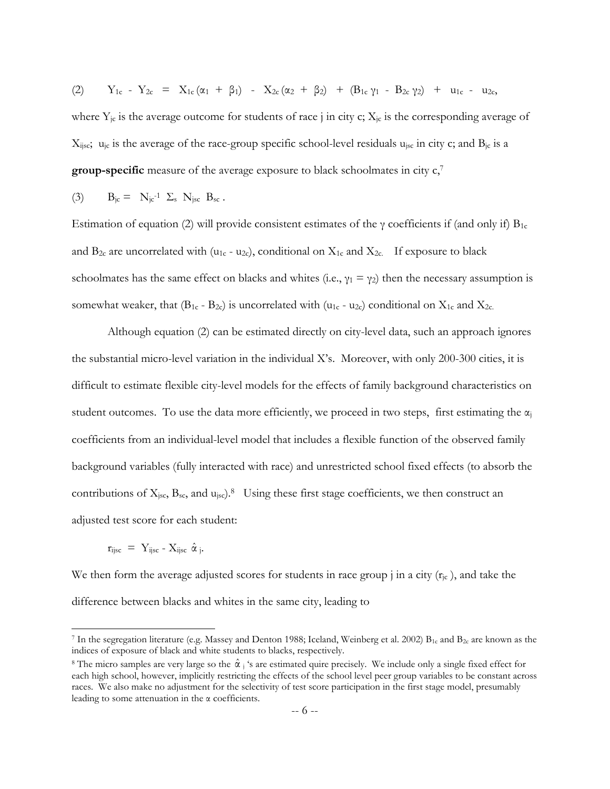$$
(2) \qquad Y_{1c} - Y_{2c} = X_{1c}(\alpha_1 + \beta_1) - X_{2c}(\alpha_2 + \beta_2) + (B_{1c}\gamma_1 - B_{2c}\gamma_2) + u_{1c} - u_{2c},
$$

where  $Y_{jc}$  is the average outcome for students of race j in city c;  $X_{jc}$  is the corresponding average of  $X_{ijsc}$ ;  $u_{jc}$  is the average of the race-group specific school-level residuals  $u_{isc}$  in city c; and  $B_{jc}$  is a **group-specific** measure of the average exposure to black schoolmates in city  $c<sub>1</sub>$ <sup>[7](#page-7-0)</sup>

(3) 
$$
B_{jc} = N_{jc^{-1}} \Sigma_s N_{jsc} B_{sc}
$$
.

Estimation of equation (2) will provide consistent estimates of the  $\gamma$  coefficients if (and only if)  $B_{1c}$ and  $B_{2c}$  are uncorrelated with (u<sub>1c</sub> - u<sub>2c</sub>), conditional on  $X_{1c}$  and  $X_{2c}$ . If exposure to black schoolmates has the same effect on blacks and whites (i.e.,  $\gamma_1 = \gamma_2$ ) then the necessary assumption is somewhat weaker, that  $(B_{1c} - B_{2c})$  is uncorrelated with  $(u_{1c} - u_{2c})$  conditional on  $X_{1c}$  and  $X_{2c}$ .

Although equation (2) can be estimated directly on city-level data, such an approach ignores the substantial micro-level variation in the individual Xís. Moreover, with only 200-300 cities, it is difficult to estimate flexible city-level models for the effects of family background characteristics on student outcomes. To use the data more efficiently, we proceed in two steps, first estimating the  $\alpha_i$ coefficients from an individual-level model that includes a flexible function of the observed family background variables (fully interacted with race) and unrestricted school fixed effects (to absorb the contributions of  $X_{\text{isc}}$ ,  $B_{\text{sc}}$ , and  $u_{\text{isc}}$ ).<sup>8</sup> Using these first stage coefficients, we then construct an adjusted test score for each student:

$$
\mathbf{r}_{ijsc} = \mathbf{Y}_{ijsc} - \mathbf{X}_{ijsc} \hat{\alpha}_j.
$$

 $\overline{a}$ 

We then form the average adjusted scores for students in race group j in a city  $(r_i c)$ , and take the difference between blacks and whites in the same city, leading to

<span id="page-7-0"></span><sup>&</sup>lt;sup>7</sup> In the segregation literature (e.g. Massey and Denton 1988; Iceland, Weinberg et al. 2002)  $B_{1c}$  and  $B_{2c}$  are known as the indices of exposure of black and white students to blacks, respectively.

<span id="page-7-1"></span><sup>&</sup>lt;sup>8</sup> The micro samples are very large so the  $\hat{\alpha}$  ; 's are estimated quire precisely. We include only a single fixed effect for each high school, however, implicitly restricting the effects of the school level peer group variables to be constant across races. We also make no adjustment for the selectivity of test score participation in the first stage model, presumably leading to some attenuation in the  $\alpha$  coefficients.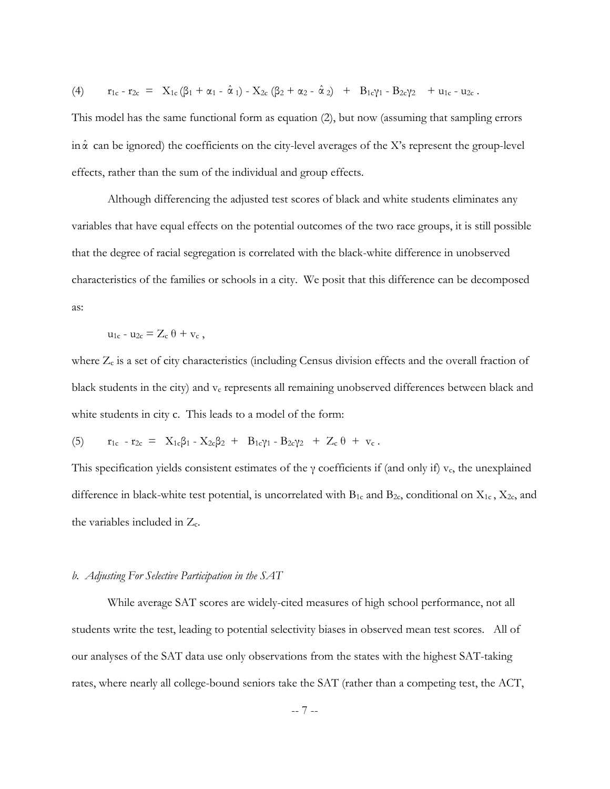$$
(4) \qquad r_{1c} - r_{2c} \; = \; \; X_{1c} \left( \beta_{1} \; + \; \alpha_{1} \; - \; \hat{\alpha} \; \iota \right) \; - \; X_{2c} \left( \beta_{2} \; + \; \alpha_{2} \; - \; \hat{\alpha} \; \iota_{2} \right) \;\; + \;\; B_{1c} \gamma_{1} \; - \; B_{2c} \gamma_{2} \ \ \, + \; u_{1c} \; - \; u_{2c} \; .
$$

This model has the same functional form as equation (2), but now (assuming that sampling errors in  $\hat{\alpha}$  can be ignored) the coefficients on the city-level averages of the X's represent the group-level effects, rather than the sum of the individual and group effects.

Although differencing the adjusted test scores of black and white students eliminates any variables that have equal effects on the potential outcomes of the two race groups, it is still possible that the degree of racial segregation is correlated with the black-white difference in unobserved characteristics of the families or schools in a city. We posit that this difference can be decomposed as:

$$
u_{1c} - u_{2c} = Z_c \theta + v_c ,
$$

where  $Z_c$  is a set of city characteristics (including Census division effects and the overall fraction of black students in the city) and  $v_c$  represents all remaining unobserved differences between black and white students in city c. This leads to a model of the form:

(5) 
$$
r_{1c} - r_{2c} = X_{1c}\beta_1 - X_{2c}\beta_2 + B_{1c}\gamma_1 - B_{2c}\gamma_2 + Z_c \theta + v_c
$$
.

This specification yields consistent estimates of the  $\gamma$  coefficients if (and only if) v<sub>c</sub>, the unexplained difference in black-white test potential, is uncorrelated with  $B_{1c}$  and  $B_{2c}$ , conditional on  $X_{1c}$ ,  $X_{2c}$ , and the variables included in Zc.

#### *b. Adjusting For Selective Participation in the SAT*

While average SAT scores are widely-cited measures of high school performance, not all students write the test, leading to potential selectivity biases in observed mean test scores. All of our analyses of the SAT data use only observations from the states with the highest SAT-taking rates, where nearly all college-bound seniors take the SAT (rather than a competing test, the ACT,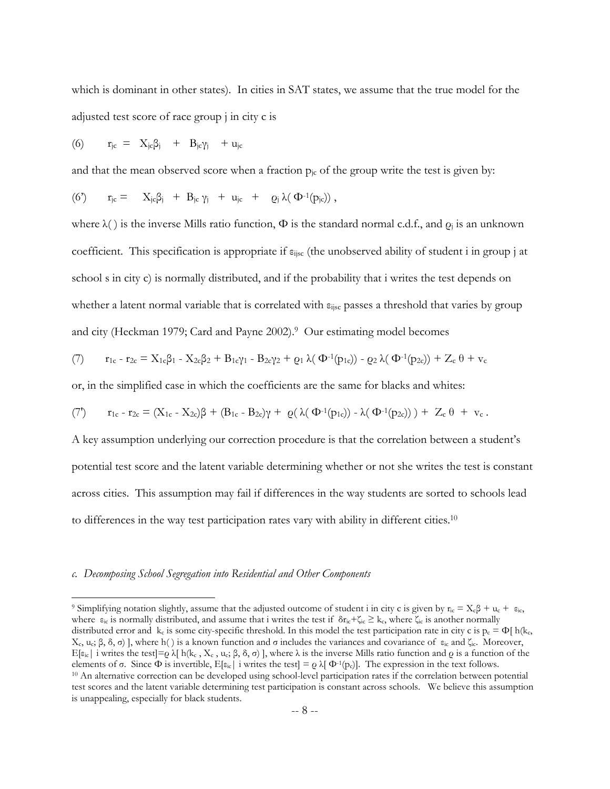which is dominant in other states). In cities in SAT states, we assume that the true model for the adjusted test score of race group j in city c is

$$
(6) \qquad r_{jc} \; = \; \; X_{jc}\beta_j \quad + \;\; B_{jc}\gamma_j \quad + \; u_{jc}
$$

and that the mean observed score when a fraction  $p_i$  of the group write the test is given by:

$$
(6') \qquad r_{jc} = \quad X_{jc}\beta_j \ + \ B_{jc}\, \gamma_j \ + \ u_{jc} \ + \quad \varrho_j \, \lambda(\, \Phi^{\text{-1}}(p_{jc}) ) \ ,
$$

where  $\lambda()$  is the inverse Mills ratio function,  $\Phi$  is the standard normal c.d.f., and  $\varrho_i$  is an unknown coefficient. This specification is appropriate if  $\varepsilon_{ijsc}$  (the unobserved ability of student i in group j at school s in city c) is normally distributed, and if the probability that i writes the test depends on whether a latent normal variable that is correlated with  $\varepsilon_{\text{i}^{\text{isc}}}$  passes a threshold that varies by group and city (Heckman 1979; Card and Payne 2002).[9](#page-9-0) Our estimating model becomes

(7) r1c - r2c = X1cβ1 - X2cβ2 + B1cγ1 - B2cγ2 + ρ<sup>1</sup> λ( Φ-1(p1c)) - ρ<sup>2</sup> λ( Φ-1(p2c)) + Zc θ + vc

or, in the simplified case in which the coefficients are the same for blacks and whites:

$$
(7') \qquad r_{1c}\,\text{-}\,r_{2c} = (X_{1c} - X_{2c})\beta \,+\, (B_{1c} - B_{2c})\gamma \,+\, \,\varrho (\,\lambda (\,\Phi^{\text{-1}}(p_{1c})) \,-\, \lambda (\,\Phi^{\text{-1}}(p_{2c}))\,)\,+\, \,Z_c\,\theta \,\,+\,\,v_c\,\,.
$$

A key assumption underlying our correction procedure is that the correlation between a student's potential test score and the latent variable determining whether or not she writes the test is constant across cities. This assumption may fail if differences in the way students are sorted to schools lead to differences in the way test participation rates vary with ability in different cities.[10](#page-9-1)

# *c. Decomposing School Segregation into Residential and Other Components*

<span id="page-9-1"></span><span id="page-9-0"></span><sup>&</sup>lt;sup>9</sup> Simplifying notation slightly, assume that the adjusted outcome of student i in city c is given by  $r_{ic} = X_cβ + u_c + ε_{ic}$ , where  $\varepsilon_{ic}$  is normally distributed, and assume that i writes the test if  $\delta r_{ic} + \zeta_{ic} \geq k_c$ , where  $\zeta_{ic}$  is another normally distributed error and k<sub>c</sub> is some city-specific threshold. In this model the test participation rate in city c is  $p_c = \Phi[f] h(k_c)$ X<sub>c</sub>, u<sub>c</sub>; β, δ, σ) ], where h() is a known function and σ includes the variances and covariance of ε<sub>ic</sub> and ζ<sub>ic</sub>. Moreover, E[ $\varepsilon_{ic}$ | i writes the test]= $\varrho$  λ[ h( $k_c$ ,  $X_c$ ,  $u_c$ ; β, δ, σ)], where λ is the inverse Mills ratio function and  $\varrho$  is a function of the elements of σ. Since Φ is invertible, E[ $\varepsilon_{ic}$ ] i writes the test] =  $\var$ <sup>10</sup> An alternative correction can be developed using school-level participation rates if the correlation between potential test scores and the latent variable determining test participation is constant across schools. We believe this assumption is unappealing, especially for black students.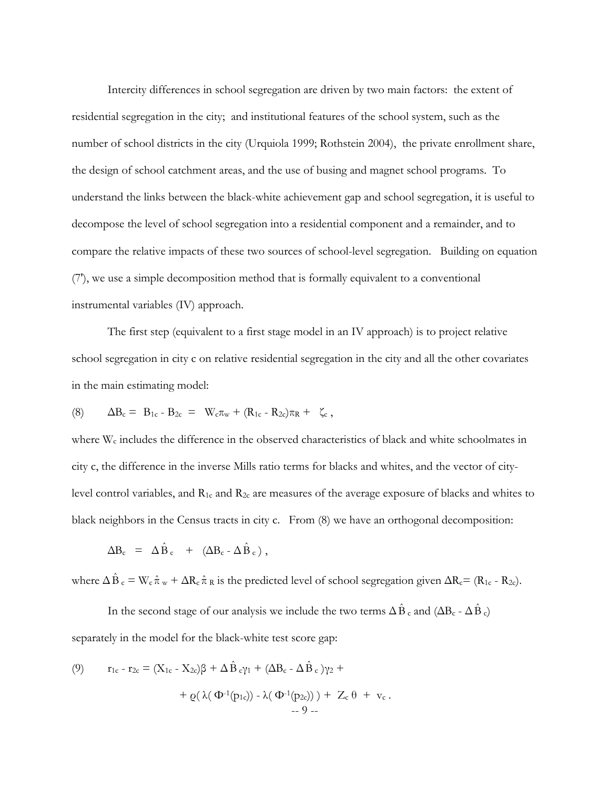Intercity differences in school segregation are driven by two main factors: the extent of residential segregation in the city; and institutional features of the school system, such as the number of school districts in the city (Urquiola 1999; Rothstein 2004), the private enrollment share, the design of school catchment areas, and the use of busing and magnet school programs. To understand the links between the black-white achievement gap and school segregation, it is useful to decompose the level of school segregation into a residential component and a remainder, and to compare the relative impacts of these two sources of school-level segregation. Building on equation (7'), we use a simple decomposition method that is formally equivalent to a conventional instrumental variables (IV) approach.

The first step (equivalent to a first stage model in an IV approach) is to project relative school segregation in city c on relative residential segregation in the city and all the other covariates in the main estimating model:

(8) 
$$
\Delta B_c = B_{1c} - B_{2c} = W_c \pi_w + (R_{1c} - R_{2c}) \pi_R + \zeta_c
$$
,

where W<sub>c</sub> includes the difference in the observed characteristics of black and white schoolmates in city c, the difference in the inverse Mills ratio terms for blacks and whites, and the vector of citylevel control variables, and R1c and R2c are measures of the average exposure of blacks and whites to black neighbors in the Census tracts in city c. From (8) we have an orthogonal decomposition:

$$
\Delta B_c = \Delta \hat{B}_c + (\Delta B_c - \Delta \hat{B}_c),
$$

where  $\Delta \hat{B}_c = W_c \hat{\pi}_w + \Delta R_c \hat{\pi}_R$  is the predicted level of school segregation given  $\Delta R_c = (R_{1c} - R_{2c})$ .

In the second stage of our analysis we include the two terms  $\Delta \hat{B}$ <sub>c</sub> and ( $\Delta B_c$  -  $\Delta \hat{B}$ <sub>c</sub>) separately in the model for the black-white test score gap:

(9) 
$$
r_{1c} - r_{2c} = (X_{1c} - X_{2c})\beta + \Delta \hat{B}_{c}\gamma_1 + (\Delta B_c - \Delta \hat{B}_c)\gamma_2 +
$$

$$
+ \varrho(\lambda(\Phi^{-1}(p_{1c})) - \lambda(\Phi^{-1}(p_{2c}))) + Z_c \theta + v_c.
$$

$$
= 9 -
$$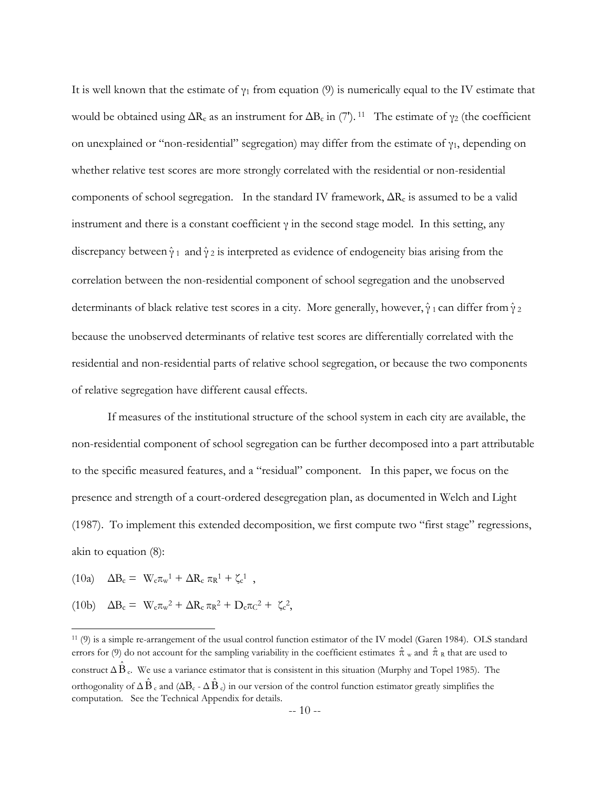It is well known that the estimate of  $\gamma_1$  from equation (9) is numerically equal to the IV estimate that would be obtained using  $\Delta R_c$  as an instrument for  $\Delta B_c$  in (7'). <sup>11</sup> The estimate of  $\gamma_2$  (the coefficient on unexplained or "non-residential" segregation) may differ from the estimate of  $\gamma_1$ , depending on whether relative test scores are more strongly correlated with the residential or non-residential components of school segregation. In the standard IV framework,  $\Delta R_c$  is assumed to be a valid instrument and there is a constant coefficient  $\gamma$  in the second stage model. In this setting, any discrepancy between  $\hat{\gamma}_1$  and  $\hat{\gamma}_2$  is interpreted as evidence of endogeneity bias arising from the correlation between the non-residential component of school segregation and the unobserved determinants of black relative test scores in a city. More generally, however,  $\hat{\gamma}_1$  can differ from  $\hat{\gamma}_2$ because the unobserved determinants of relative test scores are differentially correlated with the residential and non-residential parts of relative school segregation, or because the two components of relative segregation have different causal effects.

If measures of the institutional structure of the school system in each city are available, the non-residential component of school segregation can be further decomposed into a part attributable to the specific measured features, and a "residual" component. In this paper, we focus on the presence and strength of a court-ordered desegregation plan, as documented in Welch and Light (1987). To implement this extended decomposition, we first compute two "first stage" regressions, akin to equation (8):

(10a)  $\Delta B_c = W_c \pi_w^1 + \Delta R_c \pi_R^1 + \zeta_c^1$ ,

 $\overline{a}$ 

(10b)  $\Delta B_c = W_c \pi_w^2 + \Delta R_c \pi_R^2 + D_c \pi_C^2 + \zeta_c^2$ ,

<span id="page-11-0"></span><sup>11 (9)</sup> is a simple re-arrangement of the usual control function estimator of the IV model (Garen 1984). OLS standard errors for (9) do not account for the sampling variability in the coefficient estimates  $\hat{\pi}$  w and  $\hat{\pi}$  R that are used to construct  $\Delta \hat{B}$  e. We use a variance estimator that is consistent in this situation (Murphy and Topel 1985). The orthogonality of  $\Delta \hat{B}$  c and ( $\Delta B$ c -  $\Delta \hat{B}$  c) in our version of the control function estimator greatly simplifies the computation. See the Technical Appendix for details.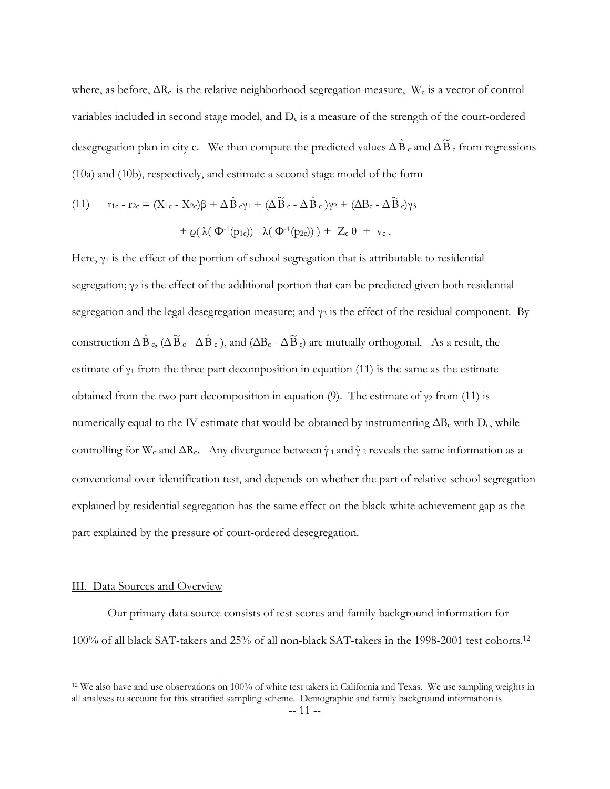where, as before, ∆Rc is the relative neighborhood segregation measure, Wc is a vector of control variables included in second stage model, and  $D<sub>c</sub>$  is a measure of the strength of the court-ordered desegregation plan in city c. We then compute the predicted values  $\Delta \hat{B}_c$  and  $\Delta \widetilde{B}_c$  from regressions (10a) and (10b), respectively, and estimate a second stage model of the form

(11) 
$$
r_{1c} - r_{2c} = (X_{1c} - X_{2c})\beta + \Delta \hat{B}_{c}\gamma_1 + (\Delta \widetilde{B}_{c} - \Delta \hat{B}_{c})\gamma_2 + (\Delta B_{c} - \Delta \widetilde{B}_{c})\gamma_3 + \varrho(\lambda(\Phi^{-1}(p_{1c})) - \lambda(\Phi^{-1}(p_{2c}))) + Z_c \theta + v_c.
$$

Here,  $\gamma_1$  is the effect of the portion of school segregation that is attributable to residential segregation;  $\gamma_2$  is the effect of the additional portion that can be predicted given both residential segregation and the legal desegregation measure; and  $\gamma_3$  is the effect of the residual component. By construction  $\Delta \hat{B}_c$ ,  $(\Delta \widetilde{B}_c - \Delta \hat{B}_c)$ , and  $(\Delta B_c - \Delta \widetilde{B}_c)$  are mutually orthogonal. As a result, the estimate of  $\gamma_1$  from the three part decomposition in equation (11) is the same as the estimate obtained from the two part decomposition in equation (9). The estimate of  $γ<sub>2</sub>$  from (11) is numerically equal to the IV estimate that would be obtained by instrumenting  $\Delta B_c$  with D<sub>c</sub>, while controlling for W<sub>c</sub> and  $\Delta R_c$ . Any divergence between  $\hat{\gamma}$  and  $\hat{\gamma}$  *z* reveals the same information as a conventional over-identification test, and depends on whether the part of relative school segregation explained by residential segregation has the same effect on the black-white achievement gap as the part explained by the pressure of court-ordered desegregation.

# III. Data Sources and Overview

Our primary data source consists of test scores and family background information for 100% of all black SAT-takers and 25% of all non-black SAT-takers in the 1998-2001 test cohorts[.12](#page-12-0) 

<span id="page-12-0"></span> <sup>12</sup> We also have and use observations on 100% of white test takers in California and Texas. We use sampling weights in all analyses to account for this stratified sampling scheme. Demographic and family background information is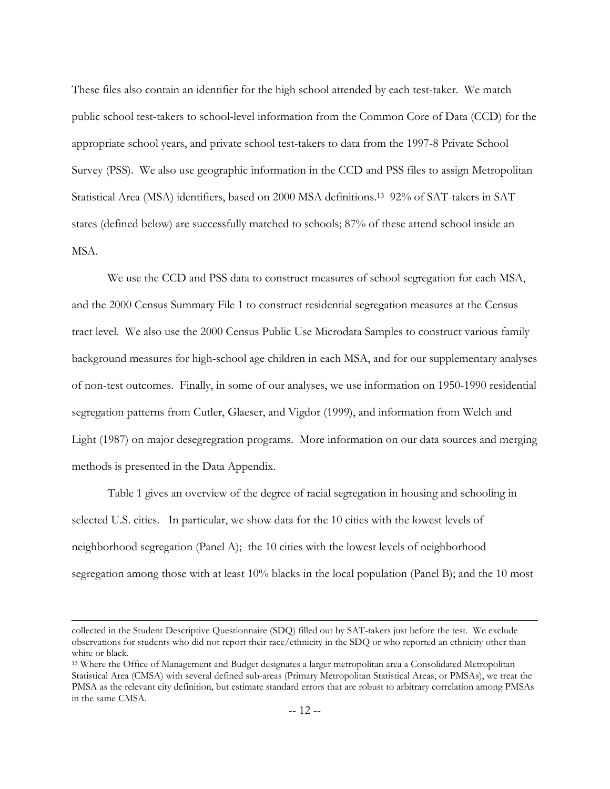These files also contain an identifier for the high school attended by each test-taker. We match public school test-takers to school-level information from the Common Core of Data (CCD) for the appropriate school years, and private school test-takers to data from the 1997-8 Private School Survey (PSS). We also use geographic information in the CCD and PSS files to assign Metropolitan Statistical Area (MSA) identifiers, based on 2000 MSA definitions[.13](#page-13-0) 92% of SAT-takers in SAT states (defined below) are successfully matched to schools; 87% of these attend school inside an MSA.

We use the CCD and PSS data to construct measures of school segregation for each MSA, and the 2000 Census Summary File 1 to construct residential segregation measures at the Census tract level. We also use the 2000 Census Public Use Microdata Samples to construct various family background measures for high-school age children in each MSA, and for our supplementary analyses of non-test outcomes. Finally, in some of our analyses, we use information on 1950-1990 residential segregation patterns from Cutler, Glaeser, and Vigdor (1999), and information from Welch and Light (1987) on major desegregration programs. More information on our data sources and merging methods is presented in the Data Appendix.

 Table 1 gives an overview of the degree of racial segregation in housing and schooling in selected U.S. cities. In particular, we show data for the 10 cities with the lowest levels of neighborhood segregation (Panel A); the 10 cities with the lowest levels of neighborhood segregation among those with at least 10% blacks in the local population (Panel B); and the 10 most

collected in the Student Descriptive Questionnaire (SDQ) filled out by SAT-takers just before the test. We exclude observations for students who did not report their race/ethnicity in the SDQ or who reported an ethnicity other than white or black.

<span id="page-13-0"></span><sup>13</sup> Where the Office of Management and Budget designates a larger metropolitan area a Consolidated Metropolitan Statistical Area (CMSA) with several defined sub-areas (Primary Metropolitan Statistical Areas, or PMSAs), we treat the PMSA as the relevant city definition, but estimate standard errors that are robust to arbitrary correlation among PMSAs in the same CMSA.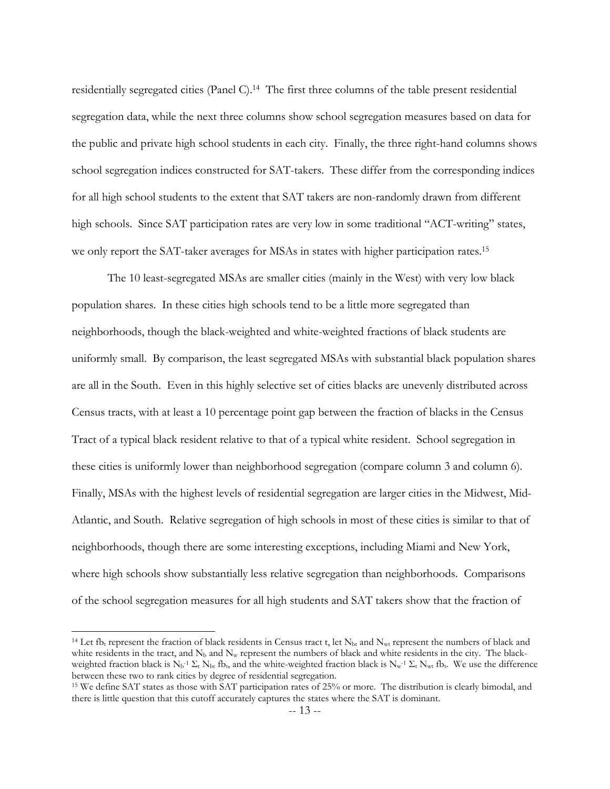residentially segregated cities (Panel C).[14](#page-14-0) The first three columns of the table present residential segregation data, while the next three columns show school segregation measures based on data for the public and private high school students in each city. Finally, the three right-hand columns shows school segregation indices constructed for SAT-takers. These differ from the corresponding indices for all high school students to the extent that SAT takers are non-randomly drawn from different high schools. Since SAT participation rates are very low in some traditional "ACT-writing" states, we only report the SAT-taker averages for MSAs in states with higher participation rates.<sup>[15](#page-14-1)</sup>

 The 10 least-segregated MSAs are smaller cities (mainly in the West) with very low black population shares. In these cities high schools tend to be a little more segregated than neighborhoods, though the black-weighted and white-weighted fractions of black students are uniformly small. By comparison, the least segregated MSAs with substantial black population shares are all in the South. Even in this highly selective set of cities blacks are unevenly distributed across Census tracts, with at least a 10 percentage point gap between the fraction of blacks in the Census Tract of a typical black resident relative to that of a typical white resident. School segregation in these cities is uniformly lower than neighborhood segregation (compare column 3 and column 6). Finally, MSAs with the highest levels of residential segregation are larger cities in the Midwest, Mid-Atlantic, and South. Relative segregation of high schools in most of these cities is similar to that of neighborhoods, though there are some interesting exceptions, including Miami and New York, where high schools show substantially less relative segregation than neighborhoods. Comparisons of the school segregation measures for all high students and SAT takers show that the fraction of

<span id="page-14-0"></span><sup>&</sup>lt;sup>14</sup> Let fb<sub>t</sub> represent the fraction of black residents in Census tract t, let N<sub>bt</sub> and N<sub>wt</sub> represent the numbers of black and white residents in the tract, and  $N_b$  and  $N_w$  represent the numbers of black and white residents in the city. The blackweighted fraction black is  $N_b$ <sup>-1</sup>  $\Sigma_t$  N<sub>bt</sub> fb<sub>t</sub>, and the white-weighted fraction black is  $N_w$ <sup>-1</sup>  $\Sigma_t$  N<sub>wt</sub> fb<sub>t</sub>. We use the difference between these two to rank cities by degree of residential segregation.<br><sup>15</sup> We define SAT states as those with SAT participation rates of 25% or more. The distribution is clearly bimodal, and

<span id="page-14-1"></span>there is little question that this cutoff accurately captures the states where the SAT is dominant.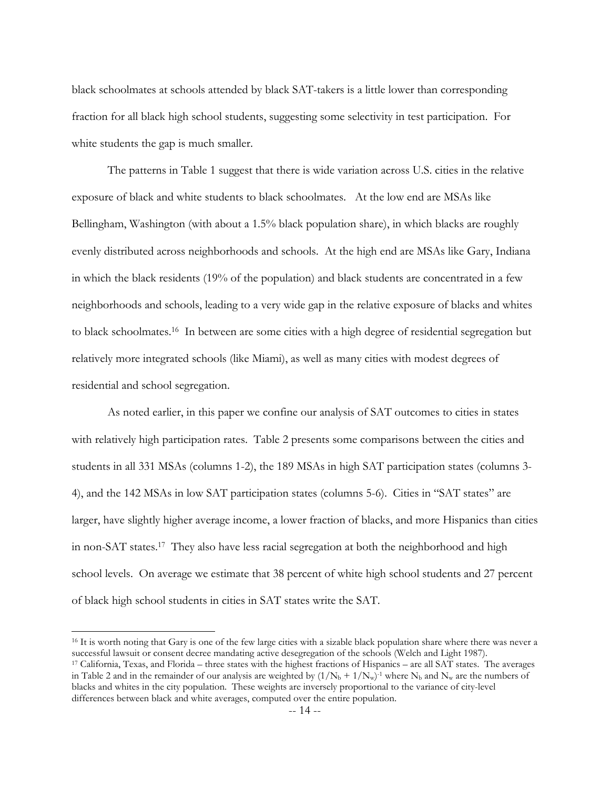black schoolmates at schools attended by black SAT-takers is a little lower than corresponding fraction for all black high school students, suggesting some selectivity in test participation. For white students the gap is much smaller.

 The patterns in Table 1 suggest that there is wide variation across U.S. cities in the relative exposure of black and white students to black schoolmates. At the low end are MSAs like Bellingham, Washington (with about a 1.5% black population share), in which blacks are roughly evenly distributed across neighborhoods and schools. At the high end are MSAs like Gary, Indiana in which the black residents (19% of the population) and black students are concentrated in a few neighborhoods and schools, leading to a very wide gap in the relative exposure of blacks and whites to black schoolmates[.16](#page-15-0) In between are some cities with a high degree of residential segregation but relatively more integrated schools (like Miami), as well as many cities with modest degrees of residential and school segregation.

 As noted earlier, in this paper we confine our analysis of SAT outcomes to cities in states with relatively high participation rates. Table 2 presents some comparisons between the cities and students in all 331 MSAs (columns 1-2), the 189 MSAs in high SAT participation states (columns 3- 4), and the 142 MSAs in low SAT participation states (columns 5-6). Cities in "SAT states" are larger, have slightly higher average income, a lower fraction of blacks, and more Hispanics than cities in non-SAT states[.17](#page-15-1) They also have less racial segregation at both the neighborhood and high school levels. On average we estimate that 38 percent of white high school students and 27 percent of black high school students in cities in SAT states write the SAT.

<span id="page-15-0"></span><sup>&</sup>lt;sup>16</sup> It is worth noting that Gary is one of the few large cities with a sizable black population share where there was never a successful lawsuit or consent decree mandating active desegregation of the schools (Welch and L

<span id="page-15-1"></span><sup>&</sup>lt;sup>17</sup> California, Texas, and Florida – three states with the highest fractions of Hispanics – are all SAT states. The averages in Table 2 and in the remainder of our analysis are weighted by  $(1/N_b + 1/N_w)^{-1}$  where N<sub>b</sub> and N<sub>w</sub> are the numbers of blacks and whites in the city population. These weights are inversely proportional to the variance of city-level differences between black and white averages, computed over the entire population.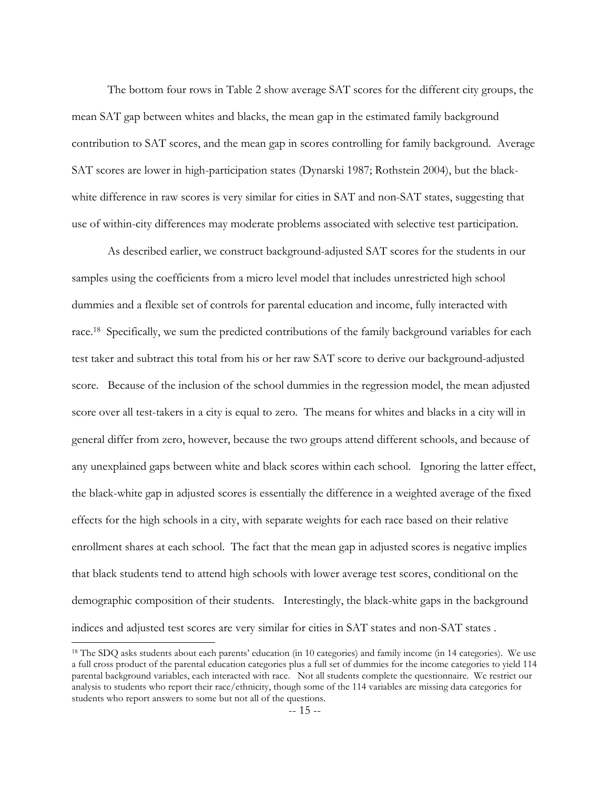The bottom four rows in Table 2 show average SAT scores for the different city groups, the mean SAT gap between whites and blacks, the mean gap in the estimated family background contribution to SAT scores, and the mean gap in scores controlling for family background. Average SAT scores are lower in high-participation states (Dynarski 1987; Rothstein 2004), but the blackwhite difference in raw scores is very similar for cities in SAT and non-SAT states, suggesting that use of within-city differences may moderate problems associated with selective test participation.

As described earlier, we construct background-adjusted SAT scores for the students in our samples using the coefficients from a micro level model that includes unrestricted high school dummies and a flexible set of controls for parental education and income, fully interacted with race.<sup>18</sup> Specifically, we sum the predicted contributions of the family background variables for each test taker and subtract this total from his or her raw SAT score to derive our background-adjusted score. Because of the inclusion of the school dummies in the regression model, the mean adjusted score over all test-takers in a city is equal to zero. The means for whites and blacks in a city will in general differ from zero, however, because the two groups attend different schools, and because of any unexplained gaps between white and black scores within each school. Ignoring the latter effect, the black-white gap in adjusted scores is essentially the difference in a weighted average of the fixed effects for the high schools in a city, with separate weights for each race based on their relative enrollment shares at each school. The fact that the mean gap in adjusted scores is negative implies that black students tend to attend high schools with lower average test scores, conditional on the demographic composition of their students. Interestingly, the black-white gaps in the background indices and adjusted test scores are very similar for cities in SAT states and non-SAT states .

<span id="page-16-0"></span><sup>&</sup>lt;sup>18</sup> The SDQ asks students about each parents' education (in 10 categories) and family income (in 14 categories). We use a full cross product of the parental education categories plus a full set of dummies for the income categories to yield 114 parental background variables, each interacted with race. Not all students complete the questionnaire. We restrict our analysis to students who report their race/ethnicity, though some of the 114 variables are missing data categories for students who report answers to some but not all of the questions.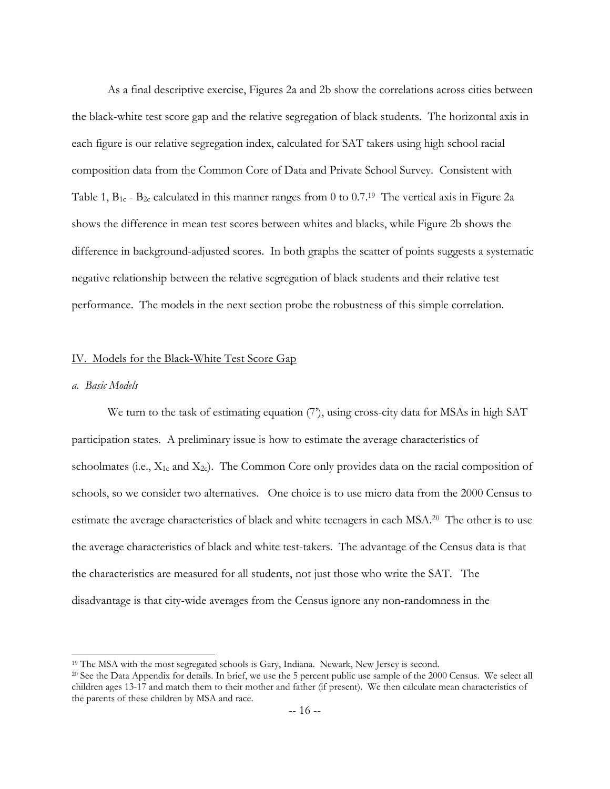As a final descriptive exercise, Figures 2a and 2b show the correlations across cities between the black-white test score gap and the relative segregation of black students. The horizontal axis in each figure is our relative segregation index, calculated for SAT takers using high school racial composition data from the Common Core of Data and Private School Survey. Consistent with Table 1,  $B_1c - B_2c$  calculated in this manner ranges from 0 to 0.7.<sup>19</sup> The vertical axis in Figure 2a shows the difference in mean test scores between whites and blacks, while Figure 2b shows the difference in background-adjusted scores. In both graphs the scatter of points suggests a systematic negative relationship between the relative segregation of black students and their relative test performance. The models in the next section probe the robustness of this simple correlation.

# IV. Models for the Black-White Test Score Gap

# *a. Basic Models*

 $\overline{a}$ 

We turn to the task of estimating equation (7), using cross-city data for MSAs in high SAT participation states. A preliminary issue is how to estimate the average characteristics of schoolmates (i.e.,  $X_{1c}$  and  $X_{2c}$ ). The Common Core only provides data on the racial composition of schools, so we consider two alternatives. One choice is to use micro data from the 2000 Census to estimate the average characteristics of black and white teenagers in each MSA.[20](#page-17-1) The other is to use the average characteristics of black and white test-takers. The advantage of the Census data is that the characteristics are measured for all students, not just those who write the SAT. The disadvantage is that city-wide averages from the Census ignore any non-randomness in the

<span id="page-17-0"></span><sup>&</sup>lt;sup>19</sup> The MSA with the most segregated schools is Gary, Indiana. Newark, New Jersey is second.  $20$  See the Data Appendix for details. In brief, we use the 5 percent public use sample of the 2000 Census. We select all

<span id="page-17-1"></span>children ages 13-17 and match them to their mother and father (if present). We then calculate mean characteristics of the parents of these children by MSA and race.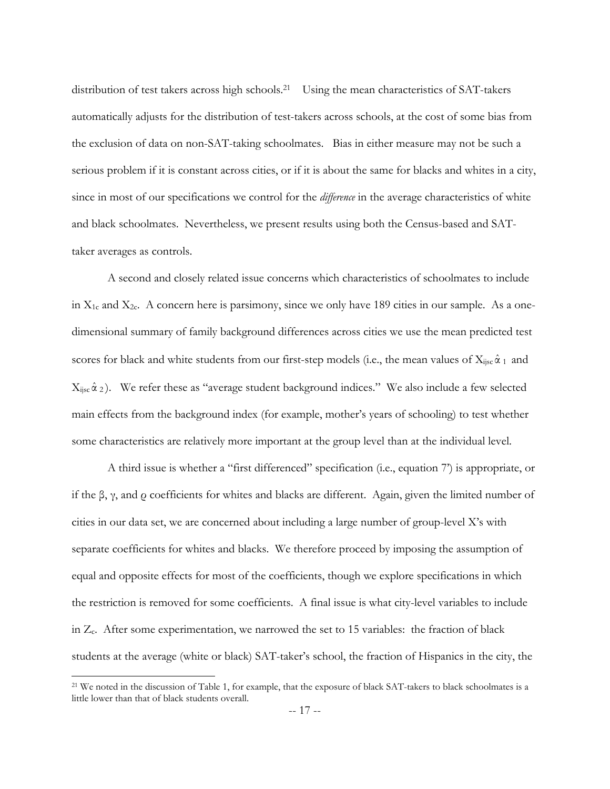distribution of test takers across high schools.<sup>21</sup> Using the mean characteristics of SAT-takers automatically adjusts for the distribution of test-takers across schools, at the cost of some bias from the exclusion of data on non-SAT-taking schoolmates. Bias in either measure may not be such a serious problem if it is constant across cities, or if it is about the same for blacks and whites in a city, since in most of our specifications we control for the *difference* in the average characteristics of white and black schoolmates. Nevertheless, we present results using both the Census-based and SATtaker averages as controls.

A second and closely related issue concerns which characteristics of schoolmates to include in  $X_{1c}$  and  $X_{2c}$ . A concern here is parsimony, since we only have 189 cities in our sample. As a onedimensional summary of family background differences across cities we use the mean predicted test scores for black and white students from our first-step models (i.e., the mean values of  $X_{ijsc} \hat{\alpha}_1$  and  $X_{ijsc} \hat{\alpha}$  2). We refer these as "average student background indices." We also include a few selected main effects from the background index (for example, mother's years of schooling) to test whether some characteristics are relatively more important at the group level than at the individual level.

A third issue is whether a "first differenced" specification (i.e., equation 7) is appropriate, or if the β, γ, and  $ρ$  coefficients for whites and blacks are different. Again, given the limited number of cities in our data set, we are concerned about including a large number of group-level  $X$ 's with separate coefficients for whites and blacks. We therefore proceed by imposing the assumption of equal and opposite effects for most of the coefficients, though we explore specifications in which the restriction is removed for some coefficients. A final issue is what city-level variables to include in Zc. After some experimentation, we narrowed the set to 15 variables: the fraction of black students at the average (white or black) SAT-taker's school, the fraction of Hispanics in the city, the

<span id="page-18-0"></span><sup>&</sup>lt;sup>21</sup> We noted in the discussion of Table 1, for example, that the exposure of black SAT-takers to black schoolmates is a little lower than that of black students overall.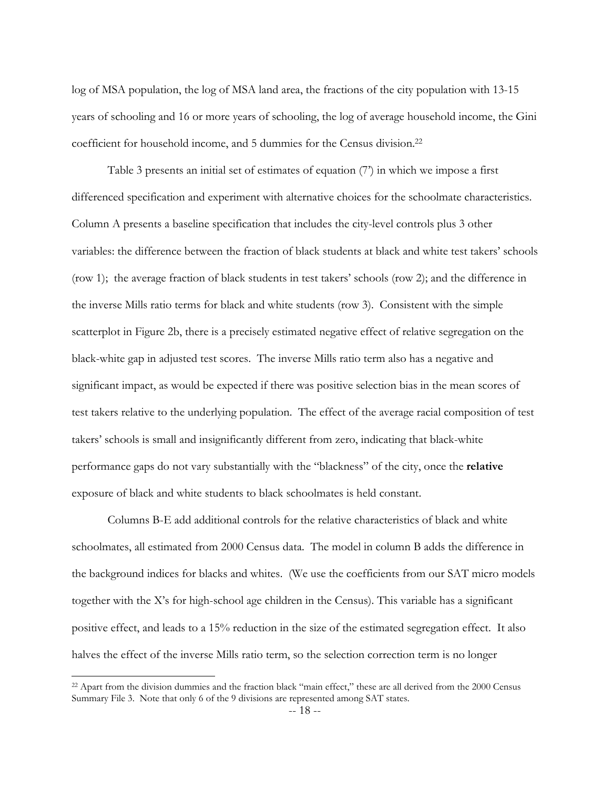log of MSA population, the log of MSA land area, the fractions of the city population with 13-15 years of schooling and 16 or more years of schooling, the log of average household income, the Gini coefficient for household income, and 5 dummies for the Census division[.22](#page-19-0)

 Table 3 presents an initial set of estimates of equation (7í) in which we impose a first differenced specification and experiment with alternative choices for the schoolmate characteristics. Column A presents a baseline specification that includes the city-level controls plus 3 other variables: the difference between the fraction of black students at black and white test takers' schools (row 1); the average fraction of black students in test takersí schools (row 2); and the difference in the inverse Mills ratio terms for black and white students (row 3). Consistent with the simple scatterplot in Figure 2b, there is a precisely estimated negative effect of relative segregation on the black-white gap in adjusted test scores. The inverse Mills ratio term also has a negative and significant impact, as would be expected if there was positive selection bias in the mean scores of test takers relative to the underlying population. The effect of the average racial composition of test takersí schools is small and insignificantly different from zero, indicating that black-white performance gaps do not vary substantially with the "blackness" of the city, once the **relative** exposure of black and white students to black schoolmates is held constant.

 Columns B-E add additional controls for the relative characteristics of black and white schoolmates, all estimated from 2000 Census data. The model in column B adds the difference in the background indices for blacks and whites. (We use the coefficients from our SAT micro models together with the Xís for high-school age children in the Census). This variable has a significant positive effect, and leads to a 15% reduction in the size of the estimated segregation effect. It also halves the effect of the inverse Mills ratio term, so the selection correction term is no longer

<span id="page-19-0"></span> $22$  Apart from the division dummies and the fraction black "main effect," these are all derived from the 2000 Census Summary File 3. Note that only 6 of the 9 divisions are represented among SAT states.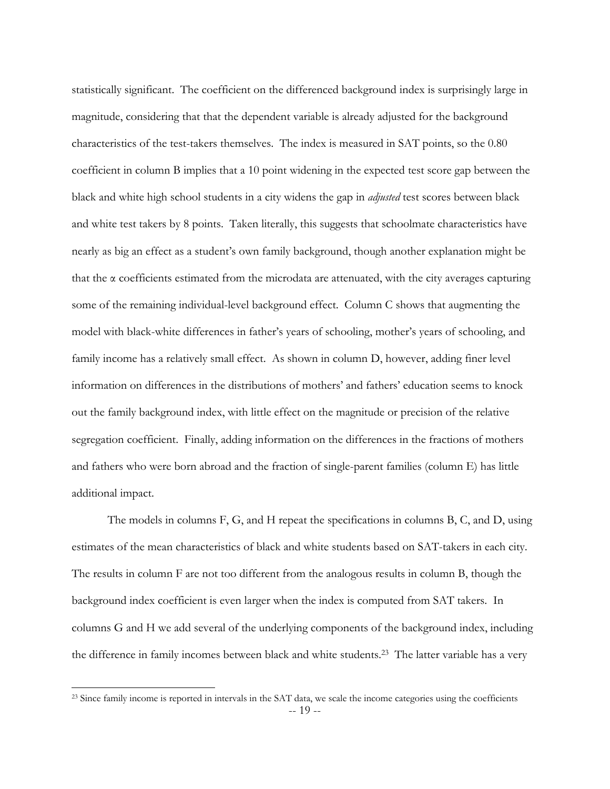statistically significant. The coefficient on the differenced background index is surprisingly large in magnitude, considering that that the dependent variable is already adjusted for the background characteristics of the test-takers themselves. The index is measured in SAT points, so the 0.80 coefficient in column B implies that a 10 point widening in the expected test score gap between the black and white high school students in a city widens the gap in *adjusted* test scores between black and white test takers by 8 points. Taken literally, this suggests that schoolmate characteristics have nearly as big an effect as a student's own family background, though another explanation might be that the  $\alpha$  coefficients estimated from the microdata are attenuated, with the city averages capturing some of the remaining individual-level background effect. Column C shows that augmenting the model with black-white differences in father's years of schooling, mother's years of schooling, and family income has a relatively small effect. As shown in column D, however, adding finer level information on differences in the distributions of mothers' and fathers' education seems to knock out the family background index, with little effect on the magnitude or precision of the relative segregation coefficient. Finally, adding information on the differences in the fractions of mothers and fathers who were born abroad and the fraction of single-parent families (column E) has little additional impact.

 The models in columns F, G, and H repeat the specifications in columns B, C, and D, using estimates of the mean characteristics of black and white students based on SAT-takers in each city. The results in column F are not too different from the analogous results in column B, though the background index coefficient is even larger when the index is computed from SAT takers. In columns G and H we add several of the underlying components of the background index, including the difference in family incomes between black and white students.[23](#page-20-0) The latter variable has a very

<span id="page-20-0"></span><sup>-- 19 --</sup> <sup>23</sup> Since family income is reported in intervals in the SAT data, we scale the income categories using the coefficients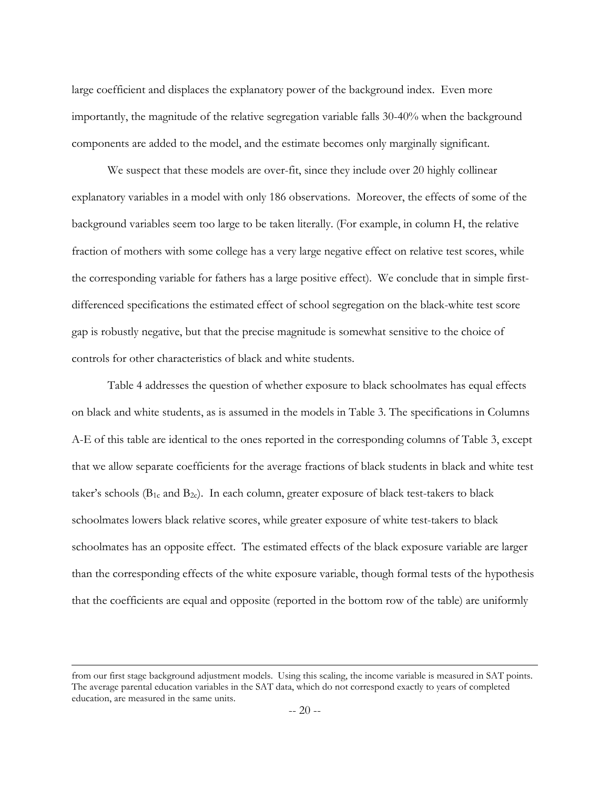large coefficient and displaces the explanatory power of the background index. Even more importantly, the magnitude of the relative segregation variable falls 30-40% when the background components are added to the model, and the estimate becomes only marginally significant.

We suspect that these models are over-fit, since they include over 20 highly collinear explanatory variables in a model with only 186 observations. Moreover, the effects of some of the background variables seem too large to be taken literally. (For example, in column H, the relative fraction of mothers with some college has a very large negative effect on relative test scores, while the corresponding variable for fathers has a large positive effect). We conclude that in simple firstdifferenced specifications the estimated effect of school segregation on the black-white test score gap is robustly negative, but that the precise magnitude is somewhat sensitive to the choice of controls for other characteristics of black and white students.

 Table 4 addresses the question of whether exposure to black schoolmates has equal effects on black and white students, as is assumed in the models in Table 3. The specifications in Columns A-E of this table are identical to the ones reported in the corresponding columns of Table 3, except that we allow separate coefficients for the average fractions of black students in black and white test taker's schools ( $B_1c$  and  $B_2c$ ). In each column, greater exposure of black test-takers to black schoolmates lowers black relative scores, while greater exposure of white test-takers to black schoolmates has an opposite effect. The estimated effects of the black exposure variable are larger than the corresponding effects of the white exposure variable, though formal tests of the hypothesis that the coefficients are equal and opposite (reported in the bottom row of the table) are uniformly

from our first stage background adjustment models. Using this scaling, the income variable is measured in SAT points. The average parental education variables in the SAT data, which do not correspond exactly to years of completed education, are measured in the same units.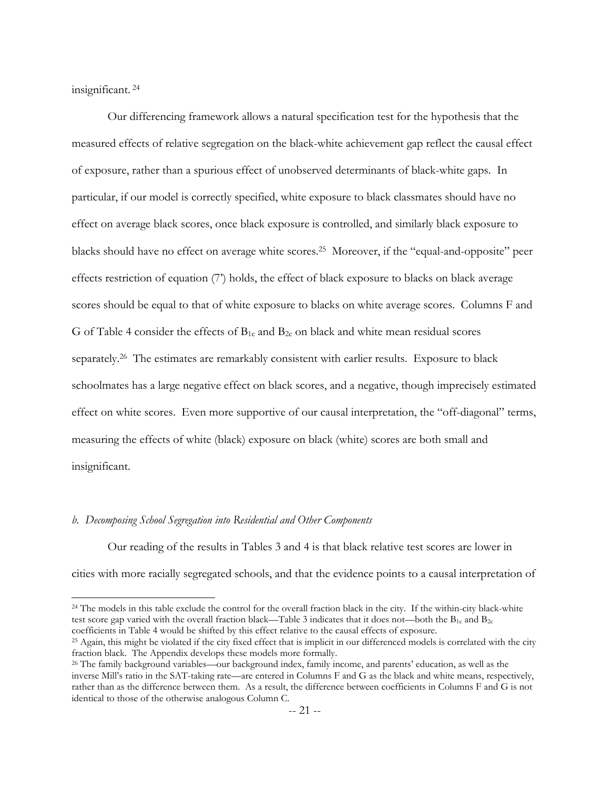insignificant. [24](#page-22-0)

 $\overline{a}$ 

 Our differencing framework allows a natural specification test for the hypothesis that the measured effects of relative segregation on the black-white achievement gap reflect the causal effect of exposure, rather than a spurious effect of unobserved determinants of black-white gaps. In particular, if our model is correctly specified, white exposure to black classmates should have no effect on average black scores, once black exposure is controlled, and similarly black exposure to blacks should have no effect on average white scores.<sup>25</sup> Moreover, if the "equal-and-opposite" peer effects restriction of equation (7) holds, the effect of black exposure to blacks on black average scores should be equal to that of white exposure to blacks on white average scores. Columns F and G of Table 4 consider the effects of  $B_{1c}$  and  $B_{2c}$  on black and white mean residual scores separately.<sup>26</sup> The estimates are remarkably consistent with earlier results. Exposure to black schoolmates has a large negative effect on black scores, and a negative, though imprecisely estimated effect on white scores. Even more supportive of our causal interpretation, the "off-diagonal" terms, measuring the effects of white (black) exposure on black (white) scores are both small and insignificant.

# *b. Decomposing School Segregation into Residential and Other Components*

Our reading of the results in Tables 3 and 4 is that black relative test scores are lower in cities with more racially segregated schools, and that the evidence points to a causal interpretation of

<span id="page-22-0"></span>24 The models in this table exclude the control for the overall fraction black in the city. If the within-city black-white test score gap varied with the overall fraction black—Table 3 indicates that it does not—both the  $B_{1c}$  and  $B_{2c}$ 

<span id="page-22-1"></span>coefficients in Table 4 would be shifted by this effect relative to the causal effects of exposure.<br><sup>25</sup> Again, this might be violated if the city fixed effect that is implicit in our differenced models is correlated with

<span id="page-22-2"></span><sup>&</sup>lt;sup>26</sup> The family background variables—our background index, family income, and parents' education, as well as the inverse Mill's ratio in the SAT-taking rate—are entered in Columns F and G as the black and white means, respectively, rather than as the difference between them. As a result, the difference between coefficients in Columns F and G is not identical to those of the otherwise analogous Column C.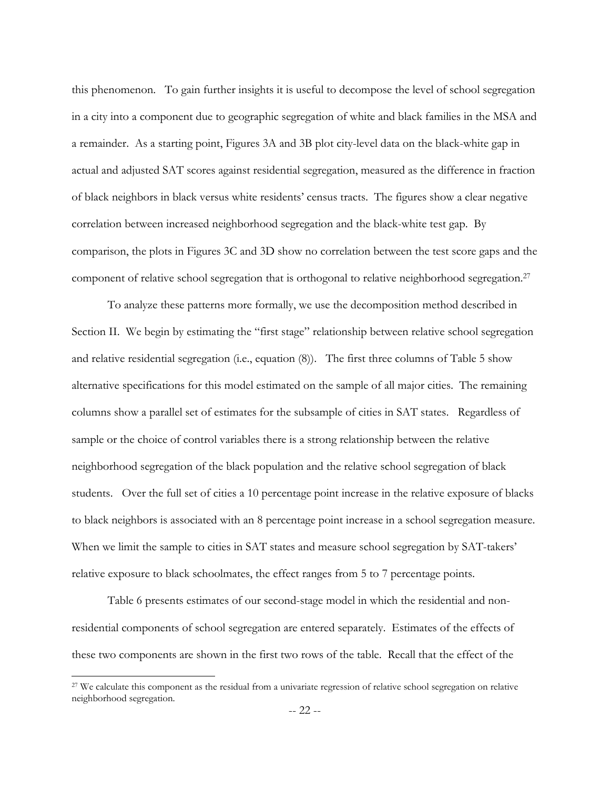this phenomenon. To gain further insights it is useful to decompose the level of school segregation in a city into a component due to geographic segregation of white and black families in the MSA and a remainder. As a starting point, Figures 3A and 3B plot city-level data on the black-white gap in actual and adjusted SAT scores against residential segregation, measured as the difference in fraction of black neighbors in black versus white residentsí census tracts. The figures show a clear negative correlation between increased neighborhood segregation and the black-white test gap. By comparison, the plots in Figures 3C and 3D show no correlation between the test score gaps and the component of relative school segregation that is orthogonal to relative neighborhood segregation[.27](#page-23-0) 

To analyze these patterns more formally, we use the decomposition method described in Section II. We begin by estimating the "first stage" relationship between relative school segregation and relative residential segregation (i.e., equation (8)). The first three columns of Table 5 show alternative specifications for this model estimated on the sample of all major cities. The remaining columns show a parallel set of estimates for the subsample of cities in SAT states. Regardless of sample or the choice of control variables there is a strong relationship between the relative neighborhood segregation of the black population and the relative school segregation of black students. Over the full set of cities a 10 percentage point increase in the relative exposure of blacks to black neighbors is associated with an 8 percentage point increase in a school segregation measure. When we limit the sample to cities in SAT states and measure school segregation by SAT-takers' relative exposure to black schoolmates, the effect ranges from 5 to 7 percentage points.

Table 6 presents estimates of our second-stage model in which the residential and nonresidential components of school segregation are entered separately. Estimates of the effects of these two components are shown in the first two rows of the table. Recall that the effect of the

<span id="page-23-0"></span><sup>&</sup>lt;sup>27</sup> We calculate this component as the residual from a univariate regression of relative school segregation on relative neighborhood segregation.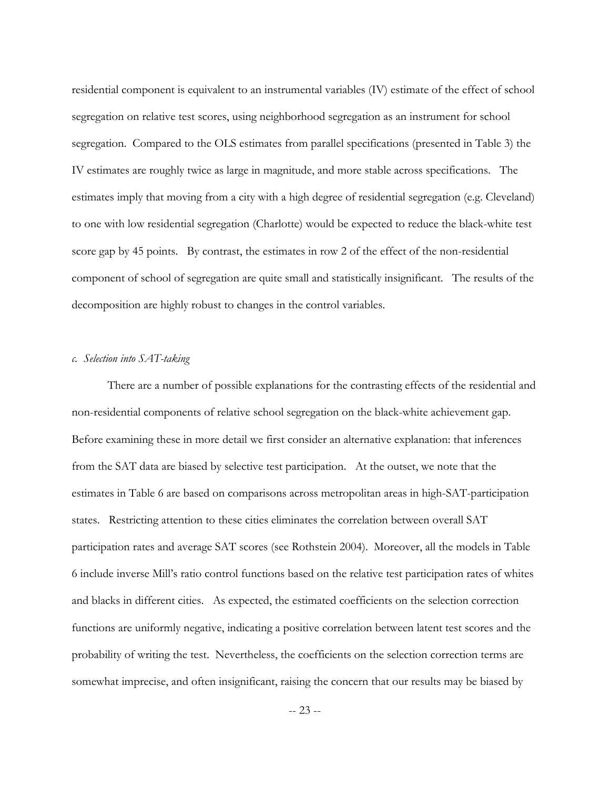residential component is equivalent to an instrumental variables (IV) estimate of the effect of school segregation on relative test scores, using neighborhood segregation as an instrument for school segregation. Compared to the OLS estimates from parallel specifications (presented in Table 3) the IV estimates are roughly twice as large in magnitude, and more stable across specifications. The estimates imply that moving from a city with a high degree of residential segregation (e.g. Cleveland) to one with low residential segregation (Charlotte) would be expected to reduce the black-white test score gap by 45 points. By contrast, the estimates in row 2 of the effect of the non-residential component of school of segregation are quite small and statistically insignificant. The results of the decomposition are highly robust to changes in the control variables.

# *c. Selection into SAT-taking*

There are a number of possible explanations for the contrasting effects of the residential and non-residential components of relative school segregation on the black-white achievement gap. Before examining these in more detail we first consider an alternative explanation: that inferences from the SAT data are biased by selective test participation. At the outset, we note that the estimates in Table 6 are based on comparisons across metropolitan areas in high-SAT-participation states. Restricting attention to these cities eliminates the correlation between overall SAT participation rates and average SAT scores (see Rothstein 2004). Moreover, all the models in Table 6 include inverse Millís ratio control functions based on the relative test participation rates of whites and blacks in different cities. As expected, the estimated coefficients on the selection correction functions are uniformly negative, indicating a positive correlation between latent test scores and the probability of writing the test. Nevertheless, the coefficients on the selection correction terms are somewhat imprecise, and often insignificant, raising the concern that our results may be biased by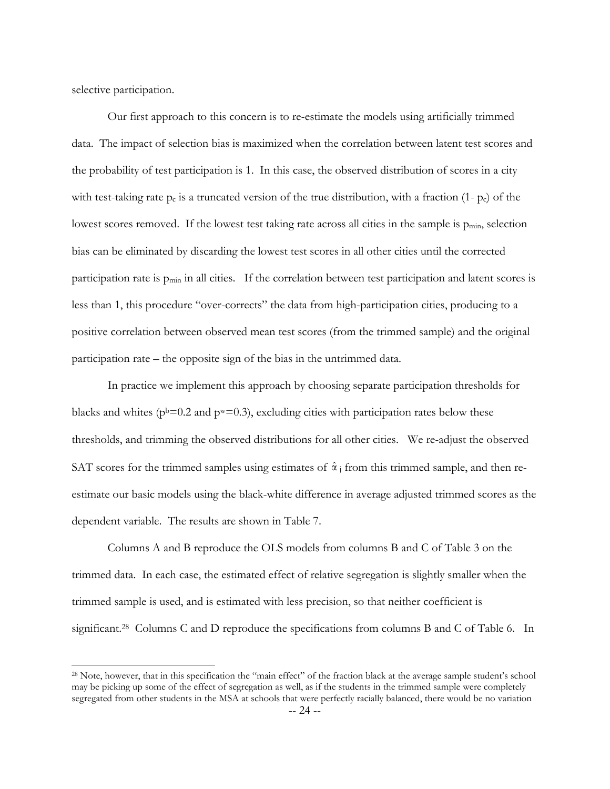selective participation.

 $\overline{a}$ 

Our first approach to this concern is to re-estimate the models using artificially trimmed data. The impact of selection bias is maximized when the correlation between latent test scores and the probability of test participation is 1. In this case, the observed distribution of scores in a city with test-taking rate  $p_c$  is a truncated version of the true distribution, with a fraction (1-  $p_c$ ) of the lowest scores removed. If the lowest test taking rate across all cities in the sample is p<sub>min</sub>, selection bias can be eliminated by discarding the lowest test scores in all other cities until the corrected participation rate is pmin in all cities. If the correlation between test participation and latent scores is less than 1, this procedure "over-corrects" the data from high-participation cities, producing to a positive correlation between observed mean test scores (from the trimmed sample) and the original participation rate  $-$  the opposite sign of the bias in the untrimmed data.

In practice we implement this approach by choosing separate participation thresholds for blacks and whites ( $p^b$ =0.2 and  $p^w$ =0.3), excluding cities with participation rates below these thresholds, and trimming the observed distributions for all other cities. We re-adjust the observed SAT scores for the trimmed samples using estimates of  $\hat{\alpha}_j$  from this trimmed sample, and then reestimate our basic models using the black-white difference in average adjusted trimmed scores as the dependent variable. The results are shown in Table 7.

Columns A and B reproduce the OLS models from columns B and C of Table 3 on the trimmed data. In each case, the estimated effect of relative segregation is slightly smaller when the trimmed sample is used, and is estimated with less precision, so that neither coefficient is significant.<sup>28</sup> Columns C and D reproduce the specifications from columns B and C of Table 6. In

<span id="page-25-0"></span><sup>&</sup>lt;sup>28</sup> Note, however, that in this specification the "main effect" of the fraction black at the average sample student's school may be picking up some of the effect of segregation as well, as if the students in the trimmed sample were completely segregated from other students in the MSA at schools that were perfectly racially balanced, there would be no variation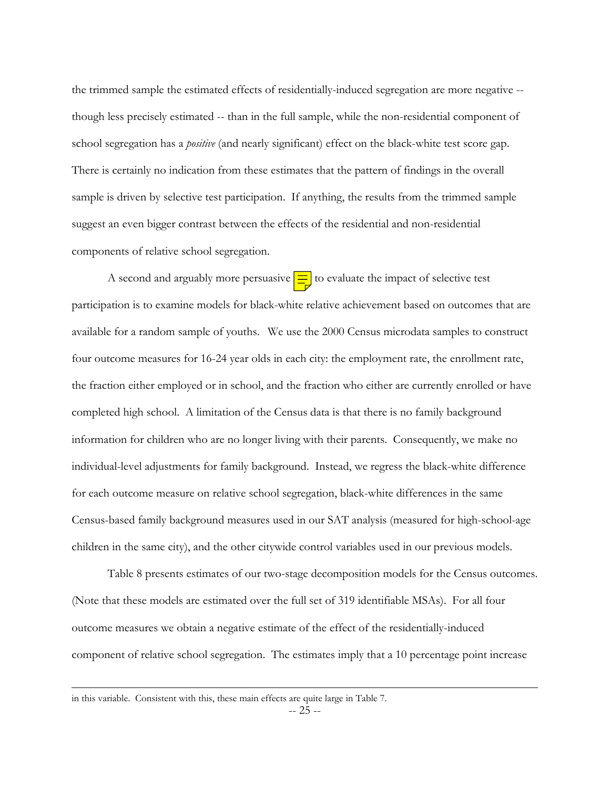the trimmed sample the estimated effects of residentially-induced segregation are more negative - though less precisely estimated -- than in the full sample, while the non-residential component of school segregation has a *positive* (and nearly significant) effect on the black-white test score gap. There is certainly no indication from these estimates that the pattern of findings in the overall sample is driven by selective test participation. If anything, the results from the trimmed sample suggest an even bigger contrast between the effects of the residential and non-residential components of relative school segregation.

A second and arguably more persuasive  $\equiv$  to evaluate the impact of selective test participation is to examine models for black-white relative achievement based on outcomes that are available for a random sample of youths. We use the 2000 Census microdata samples to construct four outcome measures for 16-24 year olds in each city: the employment rate, the enrollment rate, the fraction either employed or in school, and the fraction who either are currently enrolled or have completed high school. A limitation of the Census data is that there is no family background information for children who are no longer living with their parents. Consequently, we make no individual-level adjustments for family background. Instead, we regress the black-white difference for each outcome measure on relative school segregation, black-white differences in the same Census-based family background measures used in our SAT analysis (measured for high-school-age children in the same city), and the other citywide control variables used in our previous models.

Table 8 presents estimates of our two-stage decomposition models for the Census outcomes. (Note that these models are estimated over the full set of 319 identifiable MSAs). For all four outcome measures we obtain a negative estimate of the effect of the residentially-induced component of relative school segregation. The estimates imply that a 10 percentage point increase

in this variable. Consistent with this, these main effects are quite large in Table 7.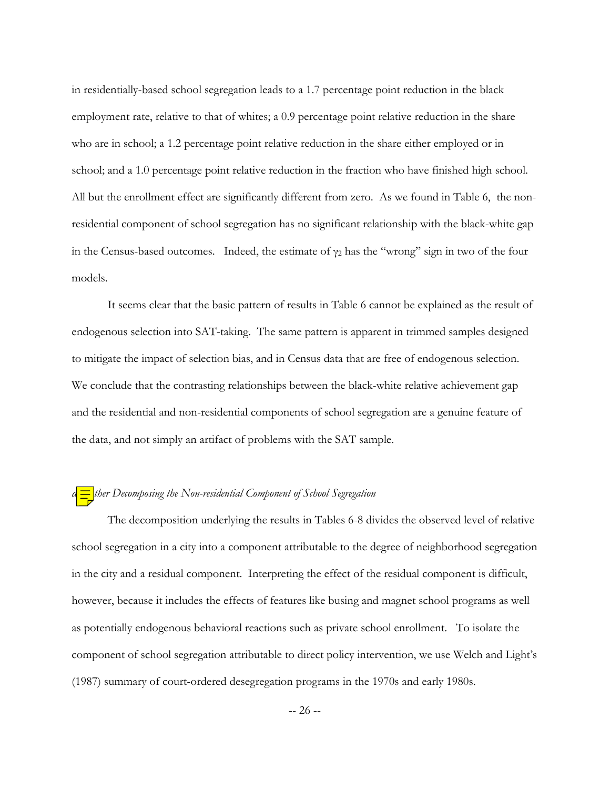in residentially-based school segregation leads to a 1.7 percentage point reduction in the black employment rate, relative to that of whites; a 0.9 percentage point relative reduction in the share who are in school; a 1.2 percentage point relative reduction in the share either employed or in school; and a 1.0 percentage point relative reduction in the fraction who have finished high school. All but the enrollment effect are significantly different from zero. As we found in Table 6, the nonresidential component of school segregation has no significant relationship with the black-white gap in the Census-based outcomes. Indeed, the estimate of  $\gamma_2$  has the "wrong" sign in two of the four models.

It seems clear that the basic pattern of results in Table 6 cannot be explained as the result of endogenous selection into SAT-taking. The same pattern is apparent in trimmed samples designed to mitigate the impact of selection bias, and in Census data that are free of endogenous selection. We conclude that the contrasting relationships between the black-white relative achievement gap and the residential and non-residential components of school segregation are a genuine feature of the data, and not simply an artifact of problems with the SAT sample.

# *d. Futher Decomposing the Non-residential Component of School Segregation*

The decomposition underlying the results in Tables 6-8 divides the observed level of relative school segregation in a city into a component attributable to the degree of neighborhood segregation in the city and a residual component. Interpreting the effect of the residual component is difficult, however, because it includes the effects of features like busing and magnet school programs as well as potentially endogenous behavioral reactions such as private school enrollment. To isolate the component of school segregation attributable to direct policy intervention, we use Welch and Light's (1987) summary of court-ordered desegregation programs in the 1970s and early 1980s.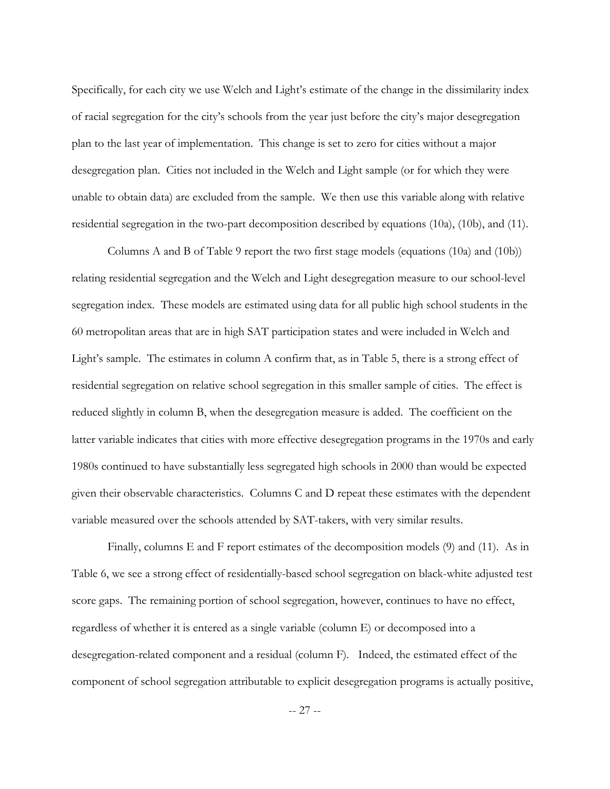Specifically, for each city we use Welch and Light's estimate of the change in the dissimilarity index of racial segregation for the cityís schools from the year just before the cityís major desegregation plan to the last year of implementation. This change is set to zero for cities without a major desegregation plan. Cities not included in the Welch and Light sample (or for which they were unable to obtain data) are excluded from the sample. We then use this variable along with relative residential segregation in the two-part decomposition described by equations (10a), (10b), and (11).

 Columns A and B of Table 9 report the two first stage models (equations (10a) and (10b)) relating residential segregation and the Welch and Light desegregation measure to our school-level segregation index. These models are estimated using data for all public high school students in the 60 metropolitan areas that are in high SAT participation states and were included in Welch and Light's sample. The estimates in column A confirm that, as in Table 5, there is a strong effect of residential segregation on relative school segregation in this smaller sample of cities. The effect is reduced slightly in column B, when the desegregation measure is added. The coefficient on the latter variable indicates that cities with more effective desegregation programs in the 1970s and early 1980s continued to have substantially less segregated high schools in 2000 than would be expected given their observable characteristics. Columns C and D repeat these estimates with the dependent variable measured over the schools attended by SAT-takers, with very similar results.

 Finally, columns E and F report estimates of the decomposition models (9) and (11). As in Table 6, we see a strong effect of residentially-based school segregation on black-white adjusted test score gaps. The remaining portion of school segregation, however, continues to have no effect, regardless of whether it is entered as a single variable (column E) or decomposed into a desegregation-related component and a residual (column F). Indeed, the estimated effect of the component of school segregation attributable to explicit desegregation programs is actually positive,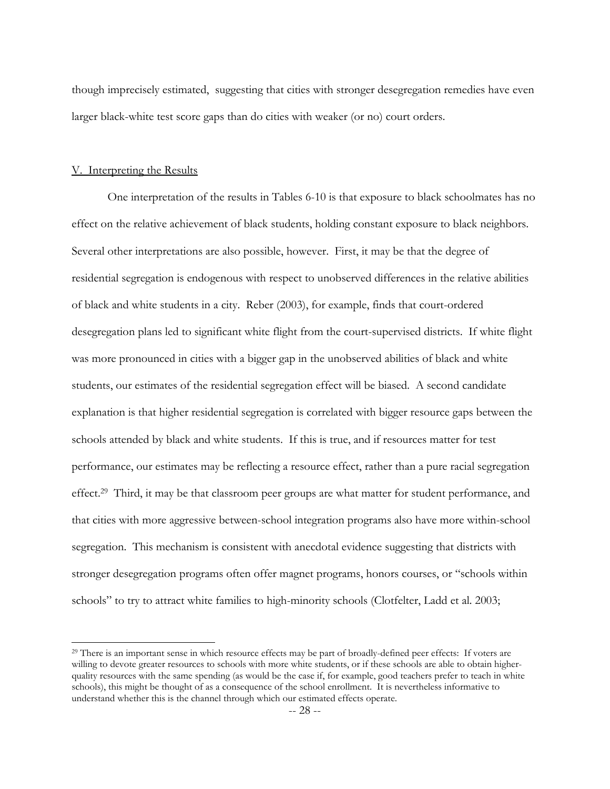though imprecisely estimated, suggesting that cities with stronger desegregation remedies have even larger black-white test score gaps than do cities with weaker (or no) court orders.

#### V. Interpreting the Results

 $\overline{a}$ 

One interpretation of the results in Tables 6-10 is that exposure to black schoolmates has no effect on the relative achievement of black students, holding constant exposure to black neighbors. Several other interpretations are also possible, however. First, it may be that the degree of residential segregation is endogenous with respect to unobserved differences in the relative abilities of black and white students in a city. Reber (2003), for example, finds that court-ordered desegregation plans led to significant white flight from the court-supervised districts. If white flight was more pronounced in cities with a bigger gap in the unobserved abilities of black and white students, our estimates of the residential segregation effect will be biased. A second candidate explanation is that higher residential segregation is correlated with bigger resource gaps between the schools attended by black and white students. If this is true, and if resources matter for test performance, our estimates may be reflecting a resource effect, rather than a pure racial segregation effect.[29](#page-29-0) Third, it may be that classroom peer groups are what matter for student performance, and that cities with more aggressive between-school integration programs also have more within-school segregation. This mechanism is consistent with anecdotal evidence suggesting that districts with stronger desegregation programs often offer magnet programs, honors courses, or "schools within schools" to try to attract white families to high-minority schools (Clotfelter, Ladd et al. 2003;

<span id="page-29-0"></span><sup>&</sup>lt;sup>29</sup> There is an important sense in which resource effects may be part of broadly-defined peer effects: If voters are willing to devote greater resources to schools with more white students, or if these schools are able to obtain higherquality resources with the same spending (as would be the case if, for example, good teachers prefer to teach in white schools), this might be thought of as a consequence of the school enrollment. It is nevertheless informative to understand whether this is the channel through which our estimated effects operate.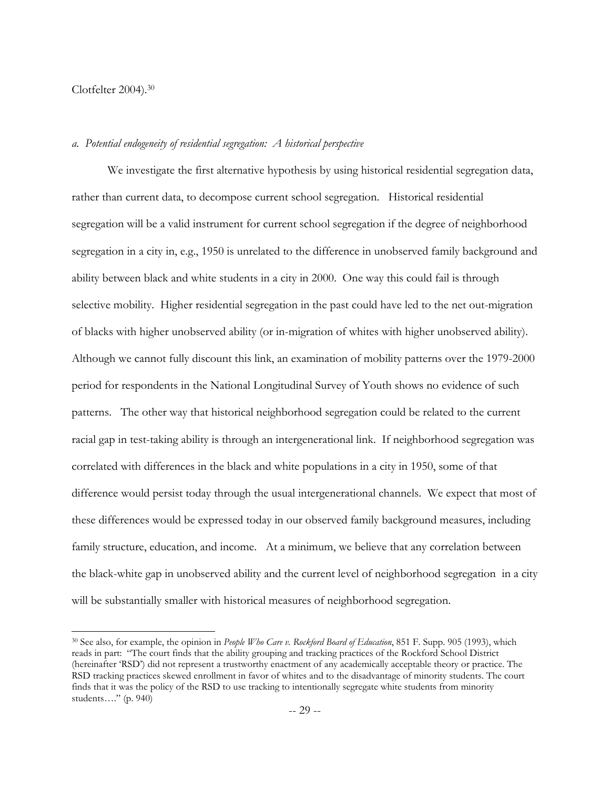# Clotfelter 2004).[30](#page-30-0)

 $\overline{a}$ 

# *a. Potential endogeneity of residential segregation: A historical perspective*

We investigate the first alternative hypothesis by using historical residential segregation data, rather than current data, to decompose current school segregation. Historical residential segregation will be a valid instrument for current school segregation if the degree of neighborhood segregation in a city in, e.g., 1950 is unrelated to the difference in unobserved family background and ability between black and white students in a city in 2000. One way this could fail is through selective mobility. Higher residential segregation in the past could have led to the net out-migration of blacks with higher unobserved ability (or in-migration of whites with higher unobserved ability). Although we cannot fully discount this link, an examination of mobility patterns over the 1979-2000 period for respondents in the National Longitudinal Survey of Youth shows no evidence of such patterns. The other way that historical neighborhood segregation could be related to the current racial gap in test-taking ability is through an intergenerational link. If neighborhood segregation was correlated with differences in the black and white populations in a city in 1950, some of that difference would persist today through the usual intergenerational channels. We expect that most of these differences would be expressed today in our observed family background measures, including family structure, education, and income. At a minimum, we believe that any correlation between the black-white gap in unobserved ability and the current level of neighborhood segregation in a city will be substantially smaller with historical measures of neighborhood segregation.

<span id="page-30-0"></span><sup>30</sup> See also, for example, the opinion in *People Who Care v. Rockford Board of Education*, 851 F. Supp. 905 (1993), which reads in part: "The court finds that the ability grouping and tracking practices of the Rockford School District (hereinafter 'RSD') did not represent a trustworthy enactment of any academically acceptable theory or practice. The RSD tracking practices skewed enrollment in favor of whites and to the disadvantage of minority students. The court finds that it was the policy of the RSD to use tracking to intentionally segregate white students from minority students...." (p. 940)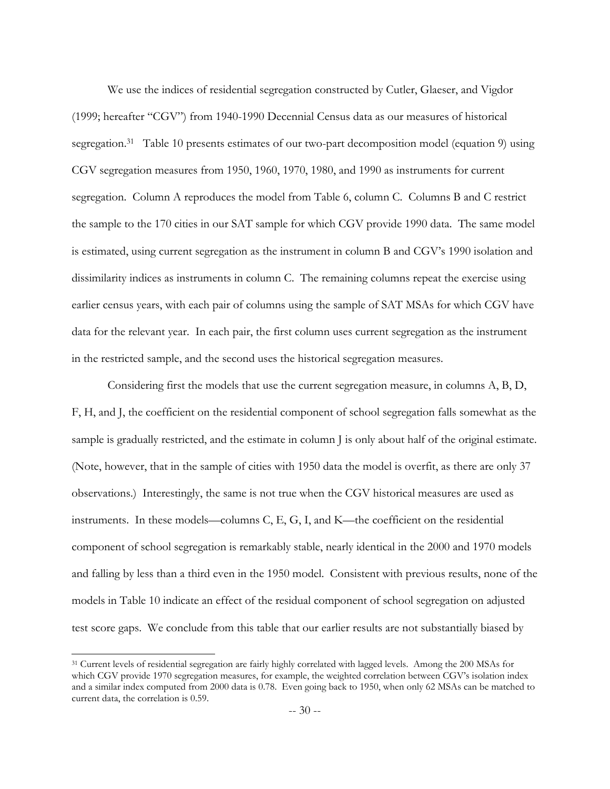We use the indices of residential segregation constructed by Cutler, Glaeser, and Vigdor (1999; hereafter "CGV") from 1940-1990 Decennial Census data as our measures of historical segregation.<sup>31</sup> Table 10 presents estimates of our two-part decomposition model (equation 9) using CGV segregation measures from 1950, 1960, 1970, 1980, and 1990 as instruments for current segregation. Column A reproduces the model from Table 6, column C. Columns B and C restrict the sample to the 170 cities in our SAT sample for which CGV provide 1990 data. The same model is estimated, using current segregation as the instrument in column B and CGV's 1990 isolation and dissimilarity indices as instruments in column C. The remaining columns repeat the exercise using earlier census years, with each pair of columns using the sample of SAT MSAs for which CGV have data for the relevant year. In each pair, the first column uses current segregation as the instrument in the restricted sample, and the second uses the historical segregation measures.

Considering first the models that use the current segregation measure, in columns A, B, D, F, H, and J, the coefficient on the residential component of school segregation falls somewhat as the sample is gradually restricted, and the estimate in column J is only about half of the original estimate. (Note, however, that in the sample of cities with 1950 data the model is overfit, as there are only 37 observations.) Interestingly, the same is not true when the CGV historical measures are used as instruments. In these models—columns C, E, G, I, and K—the coefficient on the residential component of school segregation is remarkably stable, nearly identical in the 2000 and 1970 models and falling by less than a third even in the 1950 model. Consistent with previous results, none of the models in Table 10 indicate an effect of the residual component of school segregation on adjusted test score gaps. We conclude from this table that our earlier results are not substantially biased by

<span id="page-31-0"></span><sup>31</sup> Current levels of residential segregation are fairly highly correlated with lagged levels. Among the 200 MSAs for which CGV provide 1970 segregation measures, for example, the weighted correlation between CGV's isolation index and a similar index computed from 2000 data is 0.78. Even going back to 1950, when only 62 MSAs can be matched to current data, the correlation is 0.59.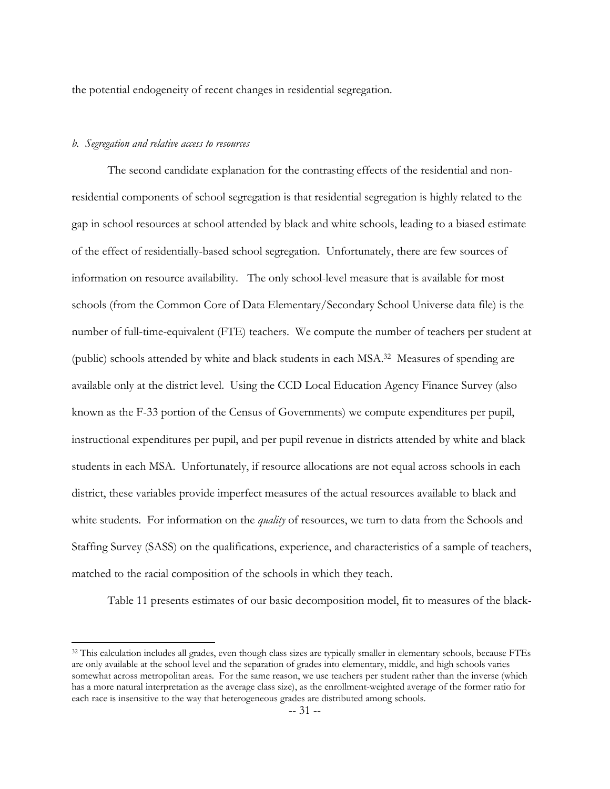the potential endogeneity of recent changes in residential segregation.

# *b. Segregation and relative access to resources*

 $\overline{a}$ 

The second candidate explanation for the contrasting effects of the residential and nonresidential components of school segregation is that residential segregation is highly related to the gap in school resources at school attended by black and white schools, leading to a biased estimate of the effect of residentially-based school segregation. Unfortunately, there are few sources of information on resource availability. The only school-level measure that is available for most schools (from the Common Core of Data Elementary/Secondary School Universe data file) is the number of full-time-equivalent (FTE) teachers. We compute the number of teachers per student at (public) schools attended by white and black students in each MSA.[32](#page-32-0) Measures of spending are available only at the district level. Using the CCD Local Education Agency Finance Survey (also known as the F-33 portion of the Census of Governments) we compute expenditures per pupil, instructional expenditures per pupil, and per pupil revenue in districts attended by white and black students in each MSA. Unfortunately, if resource allocations are not equal across schools in each district, these variables provide imperfect measures of the actual resources available to black and white students. For information on the *quality* of resources, we turn to data from the Schools and Staffing Survey (SASS) on the qualifications, experience, and characteristics of a sample of teachers, matched to the racial composition of the schools in which they teach.

Table 11 presents estimates of our basic decomposition model, fit to measures of the black-

<span id="page-32-0"></span><sup>&</sup>lt;sup>32</sup> This calculation includes all grades, even though class sizes are typically smaller in elementary schools, because FTEs are only available at the school level and the separation of grades into elementary, middle, and high schools varies somewhat across metropolitan areas. For the same reason, we use teachers per student rather than the inverse (which has a more natural interpretation as the average class size), as the enrollment-weighted average of the former ratio for each race is insensitive to the way that heterogeneous grades are distributed among schools.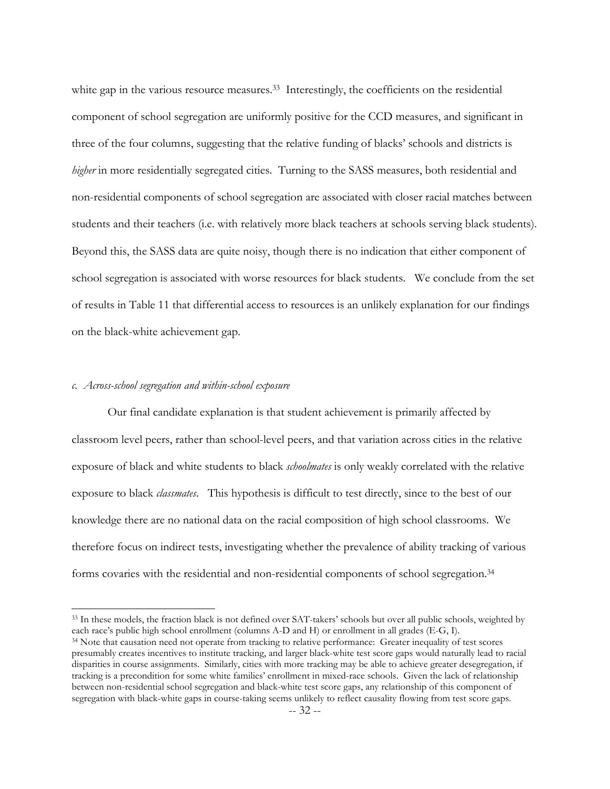white gap in the various resource measures.<sup>33</sup> Interestingly, the coefficients on the residential component of school segregation are uniformly positive for the CCD measures, and significant in three of the four columns, suggesting that the relative funding of blacks' schools and districts is *higher* in more residentially segregated cities. Turning to the SASS measures, both residential and non-residential components of school segregation are associated with closer racial matches between students and their teachers (i.e. with relatively more black teachers at schools serving black students). Beyond this, the SASS data are quite noisy, though there is no indication that either component of school segregation is associated with worse resources for black students. We conclude from the set of results in Table 11 that differential access to resources is an unlikely explanation for our findings on the black-white achievement gap.

# *c. Across-school segregation and within-school exposure*

 $\overline{a}$ 

Our final candidate explanation is that student achievement is primarily affected by classroom level peers, rather than school-level peers, and that variation across cities in the relative exposure of black and white students to black *schoolmates* is only weakly correlated with the relative exposure to black *classmates*. This hypothesis is difficult to test directly, since to the best of our knowledge there are no national data on the racial composition of high school classrooms. We therefore focus on indirect tests, investigating whether the prevalence of ability tracking of various forms covaries with the residential and non-residential components of school segregation.[34](#page-33-1) 

<span id="page-33-0"></span> $33$  In these models, the fraction black is not defined over SAT-takers' schools but over all public schools, weighted by each race's public high school enrollment (columns A-D and H) or enrollment in all grades (E-G, I).

<span id="page-33-1"></span><sup>&</sup>lt;sup>34</sup> Note that causation need not operate from tracking to relative performance: Greater inequality of test scores presumably creates incentives to institute tracking, and larger black-white test score gaps would naturally lead to racial disparities in course assignments. Similarly, cities with more tracking may be able to achieve greater desegregation, if tracking is a precondition for some white families' enrollment in mixed-race schools. Given the lack of relationship between non-residential school segregation and black-white test score gaps, any relationship of this component of segregation with black-white gaps in course-taking seems unlikely to reflect causality flowing from test score gaps.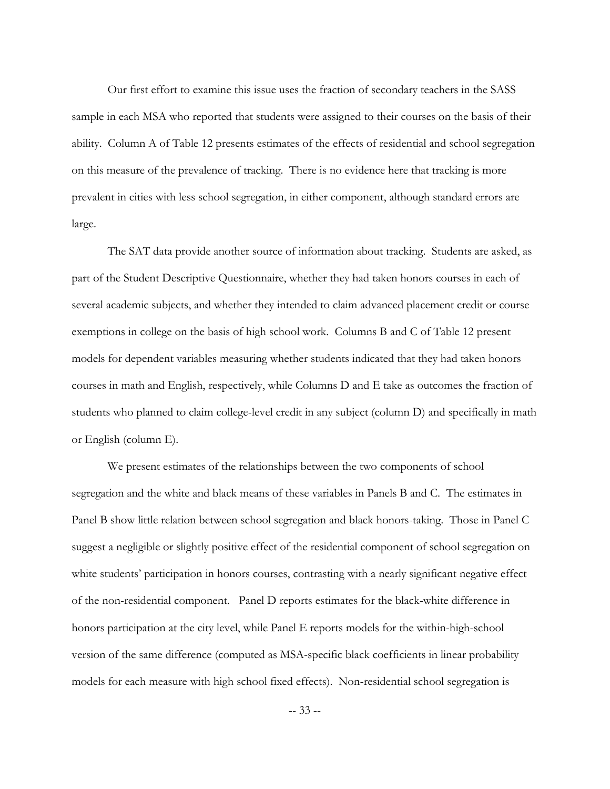Our first effort to examine this issue uses the fraction of secondary teachers in the SASS sample in each MSA who reported that students were assigned to their courses on the basis of their ability. Column A of Table 12 presents estimates of the effects of residential and school segregation on this measure of the prevalence of tracking. There is no evidence here that tracking is more prevalent in cities with less school segregation, in either component, although standard errors are large.

The SAT data provide another source of information about tracking. Students are asked, as part of the Student Descriptive Questionnaire, whether they had taken honors courses in each of several academic subjects, and whether they intended to claim advanced placement credit or course exemptions in college on the basis of high school work. Columns B and C of Table 12 present models for dependent variables measuring whether students indicated that they had taken honors courses in math and English, respectively, while Columns D and E take as outcomes the fraction of students who planned to claim college-level credit in any subject (column D) and specifically in math or English (column E).

We present estimates of the relationships between the two components of school segregation and the white and black means of these variables in Panels B and C. The estimates in Panel B show little relation between school segregation and black honors-taking. Those in Panel C suggest a negligible or slightly positive effect of the residential component of school segregation on white students' participation in honors courses, contrasting with a nearly significant negative effect of the non-residential component. Panel D reports estimates for the black-white difference in honors participation at the city level, while Panel E reports models for the within-high-school version of the same difference (computed as MSA-specific black coefficients in linear probability models for each measure with high school fixed effects). Non-residential school segregation is

-- 33 --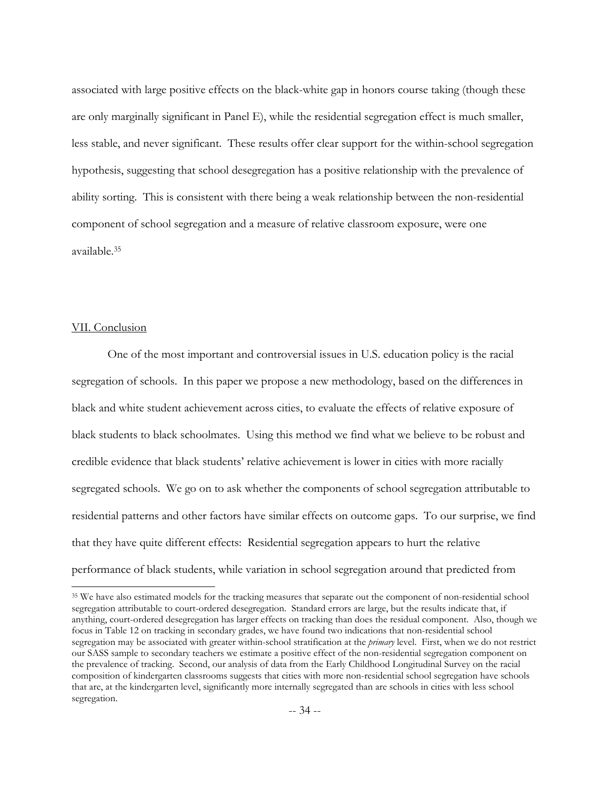associated with large positive effects on the black-white gap in honors course taking (though these are only marginally significant in Panel E), while the residential segregation effect is much smaller, less stable, and never significant. These results offer clear support for the within-school segregation hypothesis, suggesting that school desegregation has a positive relationship with the prevalence of ability sorting. This is consistent with there being a weak relationship between the non-residential component of school segregation and a measure of relative classroom exposure, were one available[.35](#page-35-0)

# VII. Conclusion

 $\overline{a}$ 

 One of the most important and controversial issues in U.S. education policy is the racial segregation of schools. In this paper we propose a new methodology, based on the differences in black and white student achievement across cities, to evaluate the effects of relative exposure of black students to black schoolmates. Using this method we find what we believe to be robust and credible evidence that black studentsí relative achievement is lower in cities with more racially segregated schools. We go on to ask whether the components of school segregation attributable to residential patterns and other factors have similar effects on outcome gaps. To our surprise, we find that they have quite different effects: Residential segregation appears to hurt the relative performance of black students, while variation in school segregation around that predicted from

<span id="page-35-0"></span><sup>35</sup> We have also estimated models for the tracking measures that separate out the component of non-residential school segregation attributable to court-ordered desegregation. Standard errors are large, but the results indicate that, if anything, court-ordered desegregation has larger effects on tracking than does the residual component. Also, though we focus in Table 12 on tracking in secondary grades, we have found two indications that non-residential school segregation may be associated with greater within-school stratification at the *primary* level. First, when we do not restrict our SASS sample to secondary teachers we estimate a positive effect of the non-residential segregation component on the prevalence of tracking. Second, our analysis of data from the Early Childhood Longitudinal Survey on the racial composition of kindergarten classrooms suggests that cities with more non-residential school segregation have schools that are, at the kindergarten level, significantly more internally segregated than are schools in cities with less school segregation.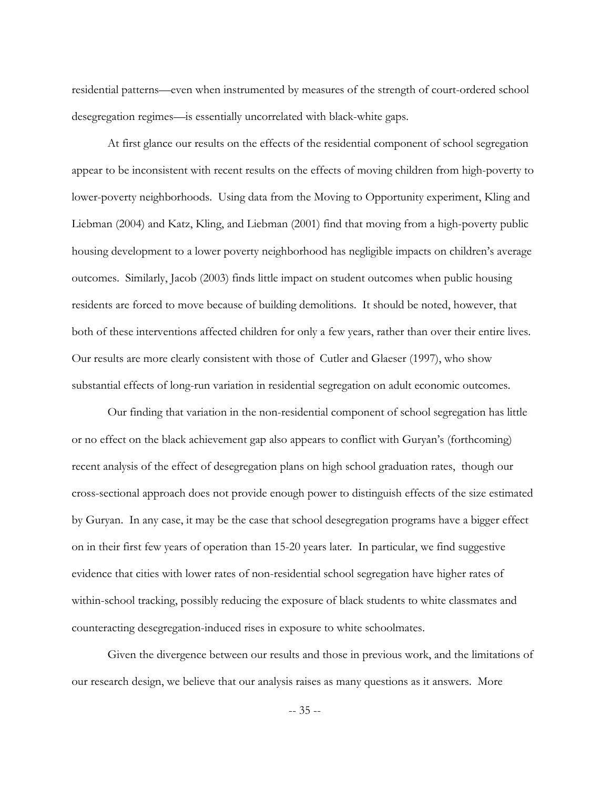residential patterns—even when instrumented by measures of the strength of court-ordered school desegregation regimes—is essentially uncorrelated with black-white gaps.

 At first glance our results on the effects of the residential component of school segregation appear to be inconsistent with recent results on the effects of moving children from high-poverty to lower-poverty neighborhoods. Using data from the Moving to Opportunity experiment, Kling and Liebman (2004) and Katz, Kling, and Liebman (2001) find that moving from a high-poverty public housing development to a lower poverty neighborhood has negligible impacts on children's average outcomes. Similarly, Jacob (2003) finds little impact on student outcomes when public housing residents are forced to move because of building demolitions. It should be noted, however, that both of these interventions affected children for only a few years, rather than over their entire lives. Our results are more clearly consistent with those of Cutler and Glaeser (1997), who show substantial effects of long-run variation in residential segregation on adult economic outcomes.

Our finding that variation in the non-residential component of school segregation has little or no effect on the black achievement gap also appears to conflict with Guryanís (forthcoming) recent analysis of the effect of desegregation plans on high school graduation rates, though our cross-sectional approach does not provide enough power to distinguish effects of the size estimated by Guryan. In any case, it may be the case that school desegregation programs have a bigger effect on in their first few years of operation than 15-20 years later. In particular, we find suggestive evidence that cities with lower rates of non-residential school segregation have higher rates of within-school tracking, possibly reducing the exposure of black students to white classmates and counteracting desegregation-induced rises in exposure to white schoolmates.

 Given the divergence between our results and those in previous work, and the limitations of our research design, we believe that our analysis raises as many questions as it answers. More

-- 35 --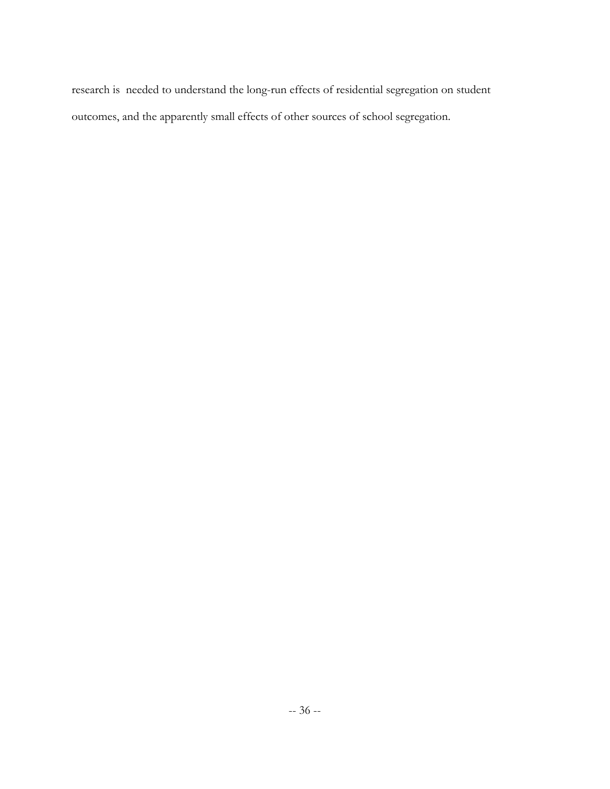research is needed to understand the long-run effects of residential segregation on student outcomes, and the apparently small effects of other sources of school segregation.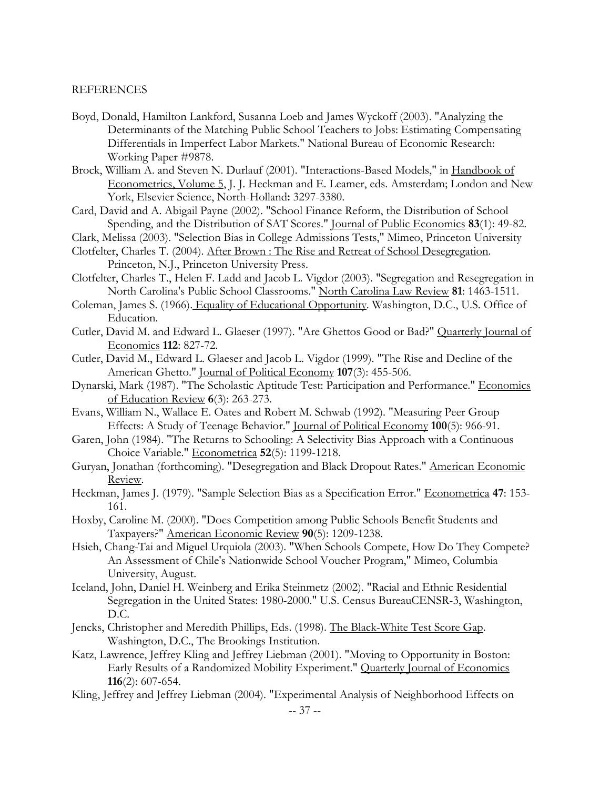# REFERENCES

- Boyd, Donald, Hamilton Lankford, Susanna Loeb and James Wyckoff (2003). "Analyzing the Determinants of the Matching Public School Teachers to Jobs: Estimating Compensating Differentials in Imperfect Labor Markets." National Bureau of Economic Research: Working Paper #9878.
- Brock, William A. and Steven N. Durlauf (2001). "Interactions-Based Models," in Handbook of Econometrics, Volume 5, J. J. Heckman and E. Leamer, eds. Amsterdam; London and New York, Elsevier Science, North-Holland**:** 3297-3380.
- Card, David and A. Abigail Payne (2002). "School Finance Reform, the Distribution of School Spending, and the Distribution of SAT Scores." Journal of Public Economics **83**(1): 49-82.
- Clark, Melissa (2003). "Selection Bias in College Admissions Tests," Mimeo, Princeton University
- Clotfelter, Charles T. (2004). After Brown : The Rise and Retreat of School Desegregation. Princeton, N.J., Princeton University Press.
- Clotfelter, Charles T., Helen F. Ladd and Jacob L. Vigdor (2003). "Segregation and Resegregation in North Carolina's Public School Classrooms." North Carolina Law Review **81**: 1463-1511.
- Coleman, James S. (1966). Equality of Educational Opportunity. Washington, D.C., U.S. Office of Education.
- Cutler, David M. and Edward L. Glaeser (1997). "Are Ghettos Good or Bad?" Quarterly Journal of Economics **112**: 827-72.
- Cutler, David M., Edward L. Glaeser and Jacob L. Vigdor (1999). "The Rise and Decline of the American Ghetto." Journal of Political Economy **107**(3): 455-506.
- Dynarski, Mark (1987). "The Scholastic Aptitude Test: Participation and Performance." Economics of Education Review **6**(3): 263-273.
- Evans, William N., Wallace E. Oates and Robert M. Schwab (1992). "Measuring Peer Group Effects: A Study of Teenage Behavior." Journal of Political Economy **100**(5): 966-91.
- Garen, John (1984). "The Returns to Schooling: A Selectivity Bias Approach with a Continuous Choice Variable." Econometrica **52**(5): 1199-1218.
- Guryan, Jonathan (forthcoming). "Desegregation and Black Dropout Rates." American Economic Review.
- Heckman, James J. (1979). "Sample Selection Bias as a Specification Error." Econometrica **47**: 153- 161.
- Hoxby, Caroline M. (2000). "Does Competition among Public Schools Benefit Students and Taxpayers?" American Economic Review **90**(5): 1209-1238.
- Hsieh, Chang-Tai and Miguel Urquiola (2003). "When Schools Compete, How Do They Compete? An Assessment of Chile's Nationwide School Voucher Program," Mimeo, Columbia University, August.
- Iceland, John, Daniel H. Weinberg and Erika Steinmetz (2002). "Racial and Ethnic Residential Segregation in the United States: 1980-2000." U.S. Census BureauCENSR-3, Washington, D.C.
- Jencks, Christopher and Meredith Phillips, Eds. (1998). The Black-White Test Score Gap. Washington, D.C., The Brookings Institution.
- Katz, Lawrence, Jeffrey Kling and Jeffrey Liebman (2001). "Moving to Opportunity in Boston: Early Results of a Randomized Mobility Experiment." Quarterly Journal of Economics **116**(2): 607-654.
- Kling, Jeffrey and Jeffrey Liebman (2004). "Experimental Analysis of Neighborhood Effects on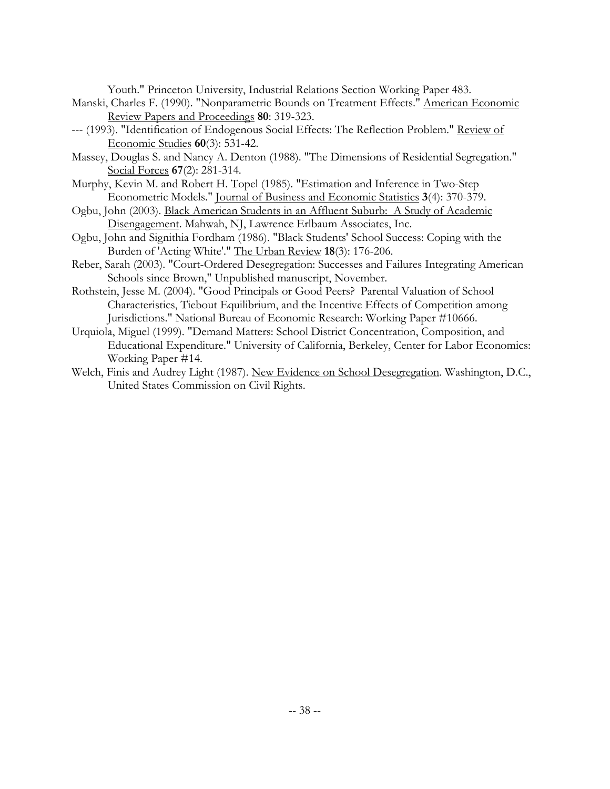Youth." Princeton University, Industrial Relations Section Working Paper 483.

- Manski, Charles F. (1990). "Nonparametric Bounds on Treatment Effects." American Economic Review Papers and Proceedings **80**: 319-323.
- --- (1993). "Identification of Endogenous Social Effects: The Reflection Problem." Review of Economic Studies **60**(3): 531-42.
- Massey, Douglas S. and Nancy A. Denton (1988). "The Dimensions of Residential Segregation." Social Forces **67**(2): 281-314.
- Murphy, Kevin M. and Robert H. Topel (1985). "Estimation and Inference in Two-Step Econometric Models." Journal of Business and Economic Statistics **3**(4): 370-379.
- Ogbu, John (2003). Black American Students in an Affluent Suburb: A Study of Academic Disengagement. Mahwah, NJ, Lawrence Erlbaum Associates, Inc.
- Ogbu, John and Signithia Fordham (1986). "Black Students' School Success: Coping with the Burden of 'Acting White'." The Urban Review **18**(3): 176-206.
- Reber, Sarah (2003). "Court-Ordered Desegregation: Successes and Failures Integrating American Schools since Brown," Unpublished manuscript, November.
- Rothstein, Jesse M. (2004). "Good Principals or Good Peers? Parental Valuation of School Characteristics, Tiebout Equilibrium, and the Incentive Effects of Competition among Jurisdictions." National Bureau of Economic Research: Working Paper #10666.
- Urquiola, Miguel (1999). "Demand Matters: School District Concentration, Composition, and Educational Expenditure." University of California, Berkeley, Center for Labor Economics: Working Paper #14.
- Welch, Finis and Audrey Light (1987). New Evidence on School Desegregation. Washington, D.C., United States Commission on Civil Rights.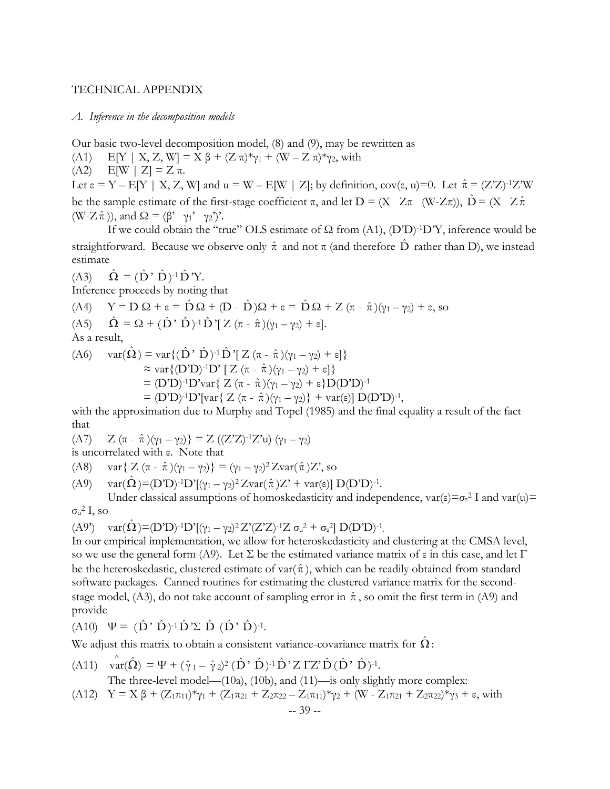# TECHNICAL APPENDIX

#### *A. Inference in the decomposition models*

Our basic two-level decomposition model, (8) and (9), may be rewritten as

- (A1) E[Y | X, Z, W] =  $X \beta + (Z \pi)^* \gamma_1 + (W Z \pi)^* \gamma_2$ , with
- (A2) E[W | Z] = Z π.

Let  $\varepsilon = Y - E[Y \mid X, Z, W]$  and  $u = W - E[W \mid Z]$ ; by definition, cov( $\varepsilon$ , u)=0. Let  $\hat{\pi} = (Z'Z)^{-1}Z'W$ be the sample estimate of the first-stage coefficient  $\pi$ , and let  $D = (X \ Z \pi \ (W-Z\pi))$ ,  $\hat{D} = (X \ Z \hat{\pi})$  $(W-Z \hat{\pi})$ ), and  $\Omega = (\beta' \gamma_1' \gamma_2')'$ .

If we could obtain the "true" OLS estimate of  $\Omega$  from (A1), (D'D)<sup>-1</sup>D'Y, inference would be straightforward. Because we observe only  $\hat{\pi}$  and not  $\pi$  (and therefore  $\hat{D}$  rather than D), we instead estimate

 $(A3)$   $\hat{\Omega} = (\hat{D} \cdot \hat{D})^{-1} \hat{D} Y$ .

Inference proceeds by noting that

(A4) 
$$
Y = D \Omega + \varepsilon = \hat{D} \Omega + (D - \hat{D})\Omega + \varepsilon = \hat{D} \Omega + Z (\pi - \hat{\pi})(\gamma_1 - \gamma_2) + \varepsilon
$$
, so  
(A5) 
$$
\hat{\Omega} = \Omega + (\hat{D}' \hat{D})^{-1} \hat{D}'[Z (\pi - \hat{\pi})(\gamma_1 - \gamma_2) + \varepsilon].
$$
As a result,

(A6) var(Ω) = var {(D' D)<sup>-1</sup>D'[Z (π - 
$$
\hat{\pi}
$$
)(γ<sub>1</sub> - γ<sub>2</sub>) + ε]}  
\n≈ var {(D'D)<sup>-1</sup>D'[Z (π -  $\hat{\pi}$ )(γ<sub>1</sub> - γ<sub>2</sub>) + ε]}  
\n= (D'D)<sup>-1</sup>D'var{Z (π -  $\hat{\pi}$ )(γ<sub>1</sub> - γ<sub>2</sub>) + ε}D(D'D)<sup>-1</sup>  
\n= (D'D)<sup>-1</sup>D'Var{Z (π -  $\hat{\pi}$ )(γ<sub>1</sub> - γ<sub>2</sub>)} + var(ε)] D(D'D)<sup>-1</sup>,

with the approximation due to Murphy and Topel (1985) and the final equality a result of the fact that

(A7) 
$$
Z(\pi - \hat{\pi})(\gamma_1 - \gamma_2) = Z((ZZ)^{-1}Z^2u)(\gamma_1 - \gamma_2)
$$
  
is uncorrelated with c. Note that

is uncorrelated with ε. Note that

(A8) 
$$
var{ Z (\pi - \hat{\pi})(\gamma_1 - \gamma_2) } = (\gamma_1 - \gamma_2)^2 Zvar(\hat{\pi})Z
$$
, so

(A9) 
$$
\text{var}(\hat{\Omega}) = (D'D)^{-1}D'[(\gamma_1 - \gamma_2)^2 Z \text{var}(\hat{\pi})Z' + \text{var}(\epsilon)] D(D'D)^{-1}.
$$

Under classical assumptions of homoskedasticity and independence,  $var(\epsilon) = \sigma_{\epsilon}^2 I$  and  $var(u) =$  $\sigma_\mathrm{u}{}^2 \mathrm{I}$ , so

(A9') 
$$
var(\hat{\Omega}) = (D'D)^{-1}D'[(\gamma_1 - \gamma_2)^2 Z'(Z'Z)^{-1}Z \sigma_u^2 + \sigma_{\epsilon}^2] D(D'D)^{-1}
$$
.

In our empirical implementation, we allow for heteroskedasticity and clustering at the CMSA level, so we use the general form (A9). Let  $\Sigma$  be the estimated variance matrix of  $\varepsilon$  in this case, and let  $\Gamma$ be the heteroskedastic, clustered estimate of var( $\hat{\pi}$ ), which can be readily obtained from standard software packages. Canned routines for estimating the clustered variance matrix for the secondstage model, (A3), do not take account of sampling error in  $\hat{\pi}$ , so omit the first term in (A9) and provide

$$
(A10) \quad \Psi = (\hat{D} \cdot \hat{D})^{-1} \hat{D} \Sigma \hat{D} \hat{D} \hat{D} \cdot \hat{D})^{-1}.
$$

We adjust this matrix to obtain a consistent variance-covariance matrix for  $\Omega$ :

$$
(A11) \quad \hat{\text{var}}(\hat{\Omega}) = \Psi + (\hat{\gamma}_1 - \hat{\gamma}_2)^2 (\hat{D}' \hat{D})^{-1} \hat{D}' Z \Gamma Z' \hat{D} (\hat{D}' \hat{D})^{-1}.
$$

The three-level model— $(10a)$ ,  $(10b)$ , and  $(11)$ —is only slightly more complex:

(A12)  $Y = X \beta + (Z_{1} \pi_{11})^{*} \gamma_{1} + (Z_{1} \pi_{21} + Z_{2} \pi_{22} - Z_{1} \pi_{11})^{*} \gamma_{2} + (W - Z_{1} \pi_{21} + Z_{2} \pi_{22})^{*} \gamma_{3} + \epsilon$ , with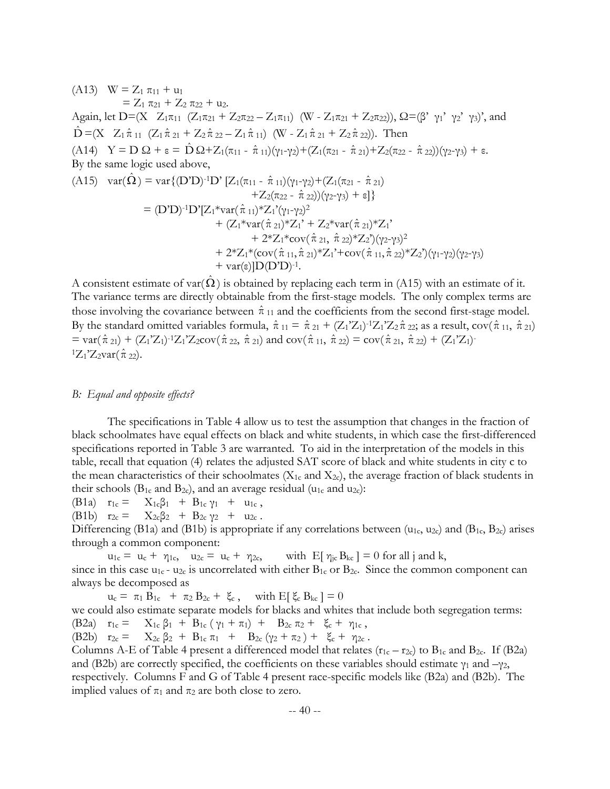(A13) 
$$
W = Z_1 \pi_{11} + u_1
$$
  
\t $= Z_1 \pi_{21} + Z_2 \pi_{22} + u_2.$   
\tAgain, let  $D = (X \ Z_1 \pi_{11} (Z_1 \pi_{21} + Z_2 \pi_{22} - Z_1 \pi_{11}) (W - Z_1 \pi_{21} + Z_2 \pi_{22}))$ ,  $\Omega = (\beta' \gamma_1' \gamma_2' \gamma_3)'$ , and  
\t $\hat{D} = (X \ Z_1 \hat{\pi}_{11} (Z_1 \hat{\pi}_{21} + Z_2 \hat{\pi}_{22} - Z_1 \hat{\pi}_{11}) (W - Z_1 \hat{\pi}_{21} + Z_2 \hat{\pi}_{22}))$ . Then  
\t(A14)  $Y = D \Omega + \varepsilon = \hat{D} \Omega + Z_1(\pi_{11} - \hat{\pi}_{11})(\gamma_1 - \gamma_2) + (Z_1(\pi_{21} - \hat{\pi}_{21}) + Z_2(\pi_{22} - \hat{\pi}_{22}))(\gamma_2 - \gamma_3) + \varepsilon$ .  
By the same logic used above,  
\t(A15)  $var(\hat{\Omega}) = var\{ (D'D)^{-1}D' [Z_1(\pi_{11} - \hat{\pi}_{11})(\gamma_1 - \gamma_2) + (Z_1(\pi_{21} - \hat{\pi}_{21}) + Z_2(\pi_{22} - \hat{\pi}_{22}))(\gamma_2 - \gamma_3) + \varepsilon \}$   
\t $= (D'D)^{-1}D'[Z_1*var(\hat{\pi}_{11})*Z_1'(\gamma_1 - \gamma_2)^2 + (Z_1*\gamma_2)^2 + (Z_1*\gamma_1 + Z_2*\gamma_1\hat{\pi}_{21})*Z_1' + Z_2*\gamma_1\hat{\pi}_{22})*Z_1' + Z_2*\gamma_1\hat{\pi}_{22} \times Z_2'(\gamma_2 - \gamma_3)^2 + 2^*Z_1*\langle cov(\hat{\pi}_{11}, \hat{\pi}_{22})*Z_1' + cov(\hat{\pi}_{11}, \hat{\pi}_{22})*Z_2'(\gamma_1 - \gamma_2)(\gamma_2 - \gamma_3) + var(\varepsilon) |D(D'D)^{-1}.$ 

A consistent estimate of var( $\hat{\Omega}$ ) is obtained by replacing each term in (A15) with an estimate of it. The variance terms are directly obtainable from the first-stage models. The only complex terms are those involving the covariance between  $\hat{\pi}_{11}$  and the coefficients from the second first-stage model. By the standard omitted variables formula,  $\hat{\pi}_{11} = \hat{\pi}_{21} + (Z_1'Z_1')^{-1}Z_1'Z_2\hat{\pi}_{22}$ ; as a result,  $cov(\hat{\pi}_{11}, \hat{\pi}_{21})$  $= \text{var}(\hat{\pi}_{21}) + (Z_1'Z_1)^{-1}Z_1'Z_2 \text{cov}(\hat{\pi}_{22}, \hat{\pi}_{21})$  and  $\text{cov}(\hat{\pi}_{11}, \hat{\pi}_{22}) = \text{cov}(\hat{\pi}_{21}, \hat{\pi}_{22}) + (Z_1'Z_1)^{-1}Z_1'Z_2 \text{cov}(\hat{\pi}_{22}, \hat{\pi}_{21})$  ${}^{1}Z_{1}Z_{2}var(\hat{\pi}_{22}).$ 

# *B: Equal and opposite effects?*

The specifications in Table 4 allow us to test the assumption that changes in the fraction of black schoolmates have equal effects on black and white students, in which case the first-differenced specifications reported in Table 3 are warranted. To aid in the interpretation of the models in this table, recall that equation (4) relates the adjusted SAT score of black and white students in city c to the mean characteristics of their schoolmates ( $X_{1c}$  and  $X_{2c}$ ), the average fraction of black students in their schools ( $B_1$ c and  $B_2$ c), and an average residual ( $u_1$ c and  $u_2$ c):

(B1a)  $r_{1c} = X_{1c}\beta_1 + B_{1c}\gamma_1 + u_{1c}$ ,

(B1b)  $r_{2c} = X_{2c}\beta_2 + B_{2c}\gamma_2 + u_{2c}$ .

Differencing (B1a) and (B1b) is appropriate if any correlations between (u<sub>1c</sub>, u<sub>2c</sub>) and (B<sub>1c</sub>, B<sub>2c</sub>) arises through a common component:

 $u_{1c} = u_c + \eta_{1c}$ ,  $u_{2c} = u_c + \eta_{2c}$ , with  $E[\eta_{jc} B_{kc}] = 0$  for all j and k, since in this case  $u_{1c}$  -  $u_{2c}$  is uncorrelated with either  $B_{1c}$  or  $B_{2c}$ . Since the common component can always be decomposed as

 $u_c = \pi_1 B_{1c} + \pi_2 B_{2c} + \xi_c$ , with  $E[\xi_c B_{kc}] = 0$ we could also estimate separate models for blacks and whites that include both segregation terms: (B2a)  $r_{1c} = X_{1c} \beta_1 + B_{1c} (\gamma_1 + \pi_1) + B_{2c} \pi_2 + \xi_c + \gamma_{1c}$ , (B2b)  $r_{2c} = X_{2c} \beta_2 + B_{1c} \pi_1 + B_{2c} (\gamma_2 + \pi_2) + \xi_c + \gamma_{2c}$ . Columns A-E of Table 4 present a differenced model that relates  $(r_{1c} - r_{2c})$  to  $B_{1c}$  and  $B_{2c}$ . If (B2a)

and (B2b) are correctly specified, the coefficients on these variables should estimate  $\gamma_1$  and  $-\gamma_2$ , respectively. Columns F and G of Table 4 present race-specific models like (B2a) and (B2b). The implied values of  $\pi_1$  and  $\pi_2$  are both close to zero.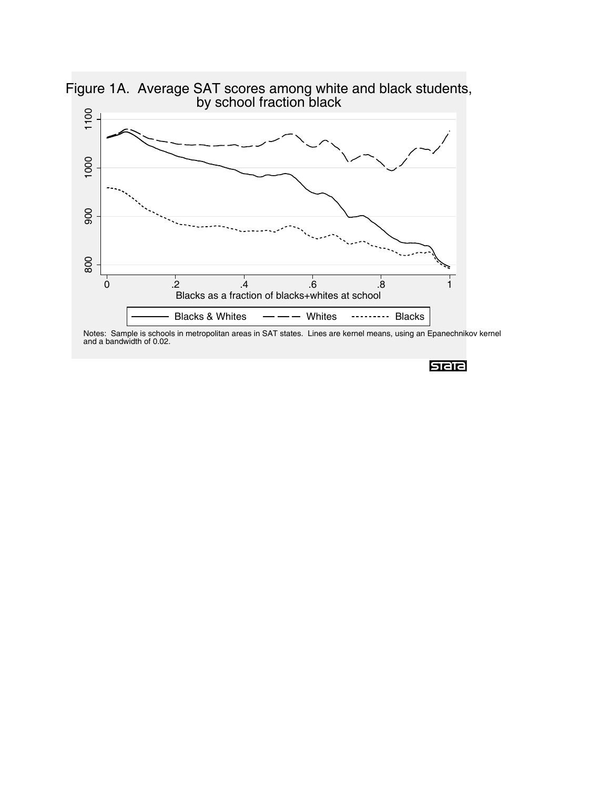

Figure 1A. Average SAT scores among white and black students,

Notes: Sample is schools in metropolitan areas in SAT states. Lines are kernel means, using an Epanechnikov kernel and a bandwidth of 0.02.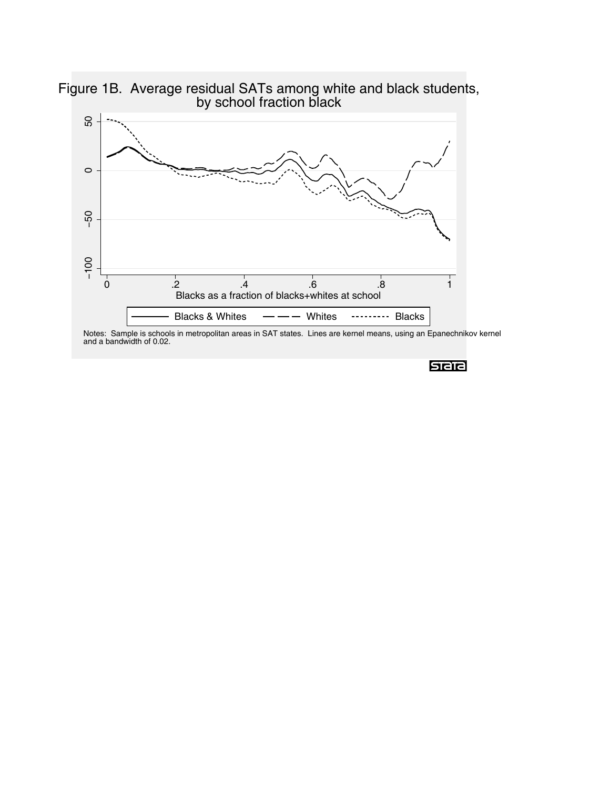

Figure 1B. Average residual SATs among white and black students, by school fraction black

Notes: Sample is schools in metropolitan areas in SAT states. Lines are kernel means, using an Epanechnikov kernel and a bandwidth of 0.02.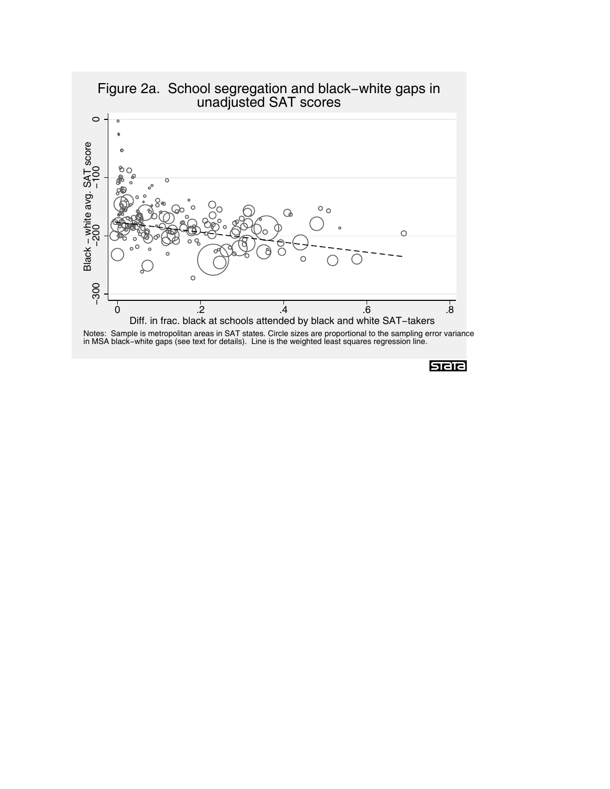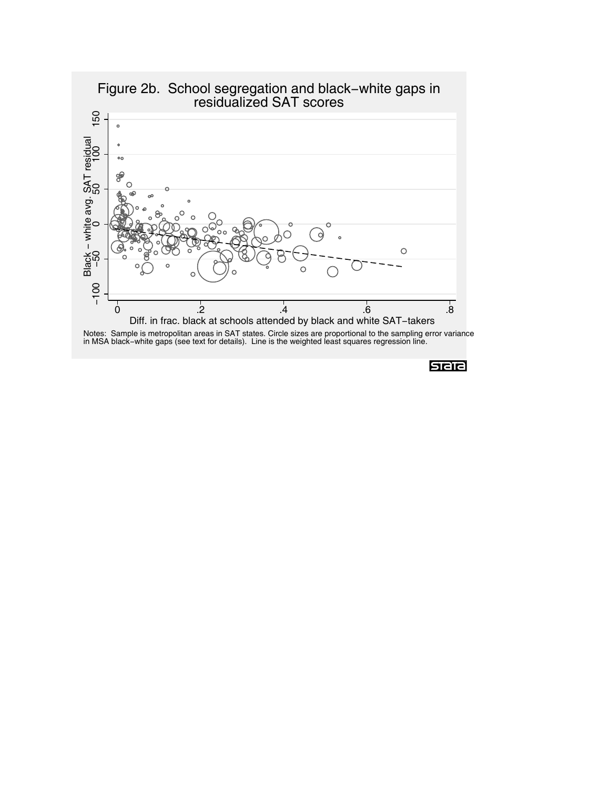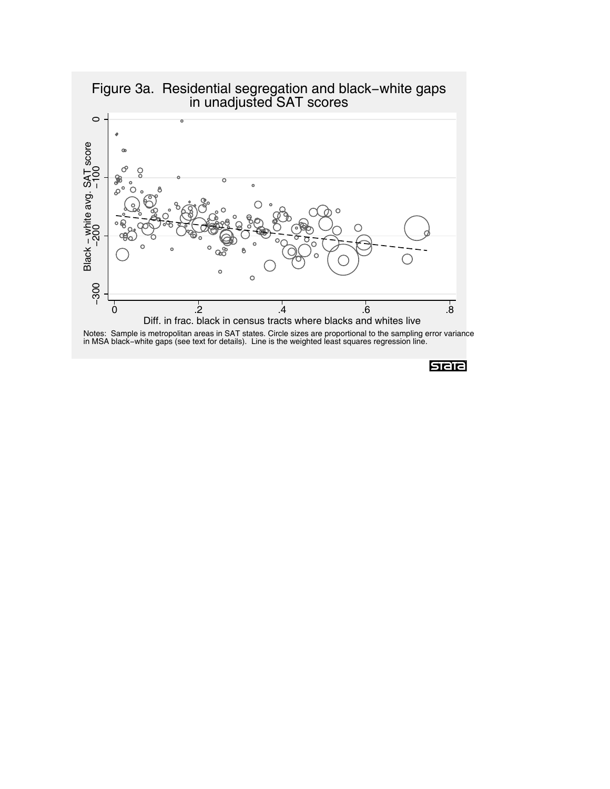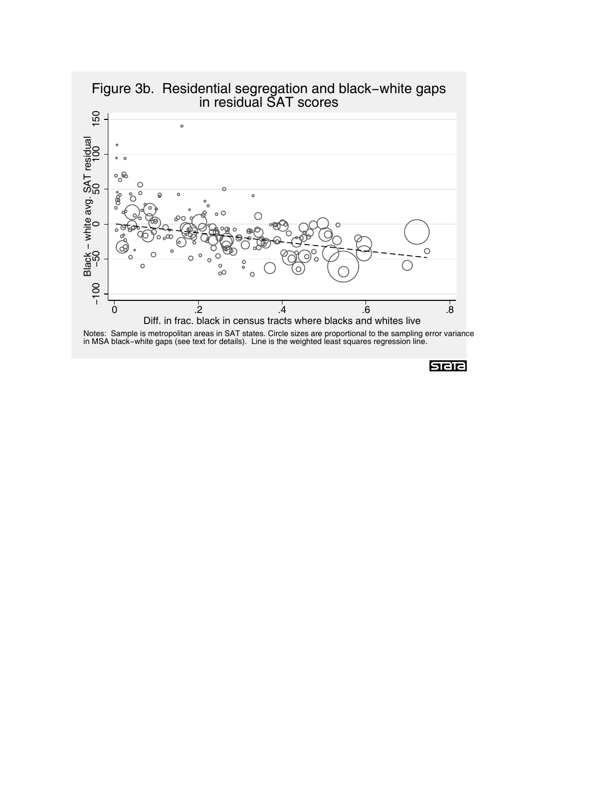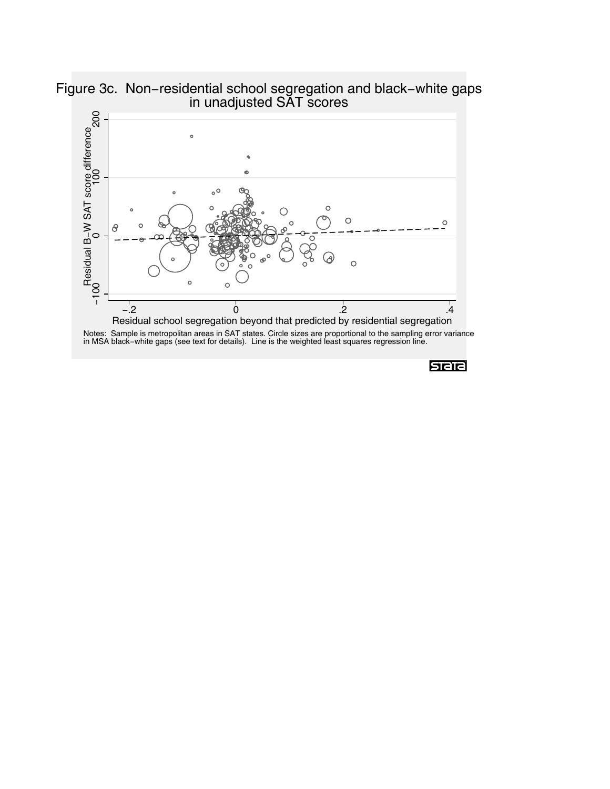

Figure 3c. Non−residential school segregation and black−white gaps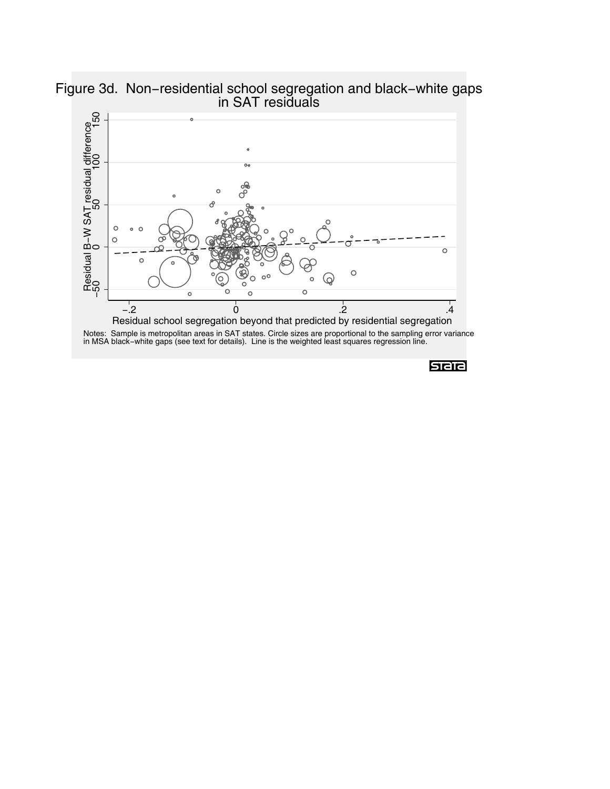

Figure 3d. Non−residential school segregation and black−white gaps in SAT residuals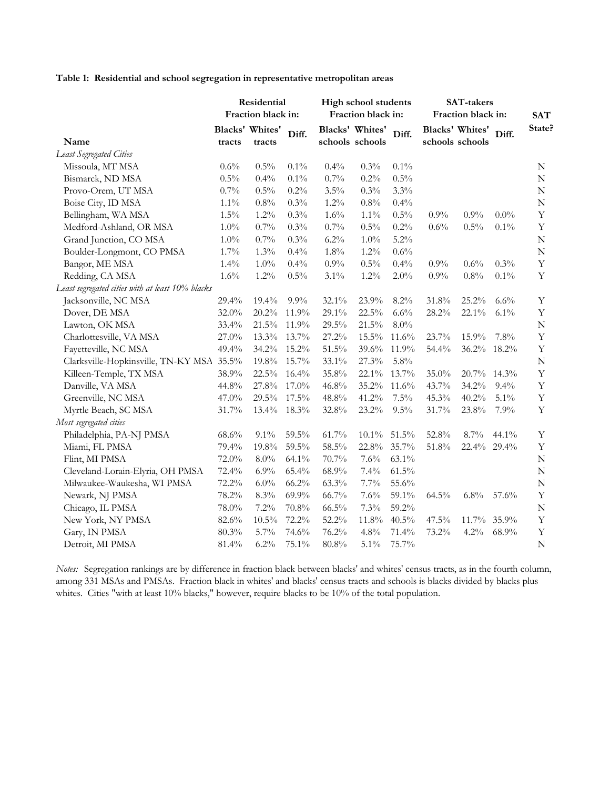**Table 1: Residential and school segregation in representative metropolitan areas**

| Residential<br>Fraction black in:                |          |                           | High school students<br>Fraction black in: |          | <b>SAT-takers</b><br>Fraction black in: | <b>SAT</b> |         |                                    |         |             |
|--------------------------------------------------|----------|---------------------------|--------------------------------------------|----------|-----------------------------------------|------------|---------|------------------------------------|---------|-------------|
| Name                                             | tracts   | Blacks' Whites'<br>tracts | Diff.                                      |          | Blacks' Whites'<br>schools schools      | Diff.      |         | Blacks' Whites'<br>schools schools | Diff.   | State?      |
| Least Segregated Cities                          |          |                           |                                            |          |                                         |            |         |                                    |         |             |
| Missoula, MT MSA                                 | 0.6%     | 0.5%                      | $0.1\%$                                    | 0.4%     | 0.3%                                    | 0.1%       |         |                                    |         | N           |
| Bismarck, ND MSA                                 | 0.5%     | 0.4%                      | $0.1\%$                                    | 0.7%     | 0.2%                                    | 0.5%       |         |                                    |         | ${\bf N}$   |
| Provo-Orem, UT MSA                               | 0.7%     | 0.5%                      | 0.2%                                       | 3.5%     | 0.3%                                    | 3.3%       |         |                                    |         | ${\bf N}$   |
| Boise City, ID MSA                               | $1.1\%$  | 0.8%                      | $0.3\%$                                    | 1.2%     | 0.8%                                    | 0.4%       |         |                                    |         | $\mathbf N$ |
| Bellingham, WA MSA                               | $1.5\%$  | 1.2%                      | $0.3\%$                                    | 1.6%     | $1.1\%$                                 | 0.5%       | $0.9\%$ | 0.9%                               | $0.0\%$ | $\mathbf Y$ |
| Medford-Ashland, OR MSA                          | $1.0\%$  | 0.7%                      | 0.3%                                       | 0.7%     | 0.5%                                    | 0.2%       | 0.6%    | 0.5%                               | 0.1%    | $\mathbf Y$ |
| Grand Junction, CO MSA                           | $1.0\%$  | 0.7%                      | 0.3%                                       | 6.2%     | $1.0\%$                                 | $5.2\%$    |         |                                    |         | ${\bf N}$   |
| Boulder-Longmont, CO PMSA                        | 1.7%     | 1.3%                      | 0.4%                                       | $1.8\%$  | $1.2\%$                                 | $0.6\%$    |         |                                    |         | ${\bf N}$   |
| Bangor, ME MSA                                   | 1.4%     | $1.0\%$                   | 0.4%                                       | 0.9%     | 0.5%                                    | 0.4%       | $0.9\%$ | 0.6%                               | 0.3%    | Y           |
| Redding, CA MSA                                  | $1.6\%$  | 1.2%                      | 0.5%                                       | 3.1%     | $1.2\%$                                 | 2.0%       | 0.9%    | $0.8\%$                            | 0.1%    | Y           |
| Least segregated cities with at least 10% blacks |          |                           |                                            |          |                                         |            |         |                                    |         |             |
| Jacksonville, NC MSA                             | 29.4%    | 19.4%                     | 9.9%                                       | $32.1\%$ | 23.9%                                   | 8.2%       | 31.8%   | 25.2%                              | $6.6\%$ | Y           |
| Dover, DE MSA                                    | 32.0%    | 20.2%                     | 11.9%                                      | 29.1%    | 22.5%                                   | 6.6%       | 28.2%   | 22.1%                              | 6.1%    | $\mathbf Y$ |
| Lawton, OK MSA                                   | 33.4%    | 21.5%                     | 11.9%                                      | 29.5%    | 21.5%                                   | $8.0\%$    |         |                                    |         | $\mathbf N$ |
| Charlottesville, VA MSA                          | 27.0%    | 13.3%                     | 13.7%                                      | 27.2%    | $15.5\%$                                | 11.6%      | 23.7%   | 15.9%                              | 7.8%    | $\rm Y$     |
| Fayetteville, NC MSA                             | 49.4%    | 34.2%                     | 15.2%                                      | $51.5\%$ | 39.6%                                   | 11.9%      | 54.4%   | 36.2%                              | 18.2%   | $\mathbf Y$ |
| Clarksville-Hopkinsville, TN-KY MSA 35.5%        |          | 19.8%                     | 15.7%                                      | 33.1%    | 27.3%                                   | 5.8%       |         |                                    |         | ${\bf N}$   |
| Killeen-Temple, TX MSA                           | 38.9%    | 22.5%                     | 16.4%                                      | $35.8\%$ | 22.1%                                   | 13.7%      | 35.0%   | 20.7%                              | 14.3%   | $\mathbf Y$ |
| Danville, VA MSA                                 | 44.8%    | 27.8%                     | 17.0%                                      | 46.8%    | 35.2%                                   | 11.6%      | 43.7%   | 34.2%                              | 9.4%    | $\mathbf Y$ |
| Greenville, NC MSA                               | $47.0\%$ | 29.5%                     | 17.5%                                      | 48.8%    | 41.2%                                   | $7.5\%$    | 45.3%   | 40.2%                              | $5.1\%$ | $\mathbf Y$ |
| Myrtle Beach, SC MSA                             | $31.7\%$ | 13.4%                     | 18.3%                                      | 32.8%    | $23.2\%$                                | 9.5%       | 31.7%   | 23.8%                              | 7.9%    | $\mathbf Y$ |
| Most segregated cities                           |          |                           |                                            |          |                                         |            |         |                                    |         |             |
| Philadelphia, PA-NJ PMSA                         | 68.6%    | $9.1\%$                   | 59.5%                                      | $61.7\%$ | $10.1\%$                                | 51.5%      | 52.8%   | $8.7\%$                            | 44.1%   | $\mathbf Y$ |
| Miami, FL PMSA                                   | 79.4%    | 19.8%                     | 59.5%                                      | 58.5%    | 22.8%                                   | 35.7%      | 51.8%   | 22.4%                              | 29.4%   | $\mathbf Y$ |
| Flint, MI PMSA                                   | 72.0%    | $8.0\%$                   | 64.1%                                      | 70.7%    | 7.6%                                    | 63.1%      |         |                                    |         | ${\bf N}$   |
| Cleveland-Lorain-Elyria, OH PMSA                 | 72.4%    | 6.9%                      | 65.4%                                      | 68.9%    | 7.4%                                    | $61.5\%$   |         |                                    |         | ${\bf N}$   |
| Milwaukee-Waukesha, WI PMSA                      | 72.2%    | 6.0%                      | 66.2%                                      | 63.3%    | 7.7%                                    | 55.6%      |         |                                    |         | $\mathbf N$ |
| Newark, NJ PMSA                                  | 78.2%    | 8.3%                      | 69.9%                                      | 66.7%    | 7.6%                                    | 59.1%      | 64.5%   | $6.8\%$                            | 57.6%   | Y           |
| Chicago, IL PMSA                                 | $78.0\%$ | 7.2%                      | 70.8%                                      | $66.5\%$ | $7.3\%$                                 | 59.2%      |         |                                    |         | ${\bf N}$   |
| New York, NY PMSA                                | 82.6%    | $10.5\%$                  | 72.2%                                      | 52.2%    | 11.8%                                   | 40.5%      | 47.5%   | 11.7%                              | 35.9%   | $\mathbf Y$ |
| Gary, IN PMSA                                    | 80.3%    | 5.7%                      | 74.6%                                      | 76.2%    | 4.8%                                    | 71.4%      | 73.2%   | 4.2%                               | 68.9%   | $\mathbf Y$ |
| Detroit, MI PMSA                                 | 81.4%    | 6.2%                      | 75.1%                                      | $80.8\%$ | 5.1%                                    | 75.7%      |         |                                    |         | ${\bf N}$   |

*Notes:* Segregation rankings are by difference in fraction black between blacks' and whites' census tracts, as in the fourth column, among 331 MSAs and PMSAs. Fraction black in whites' and blacks' census tracts and schools is blacks divided by blacks plus whites. Cities "with at least 10% blacks," however, require blacks to be 10% of the total population.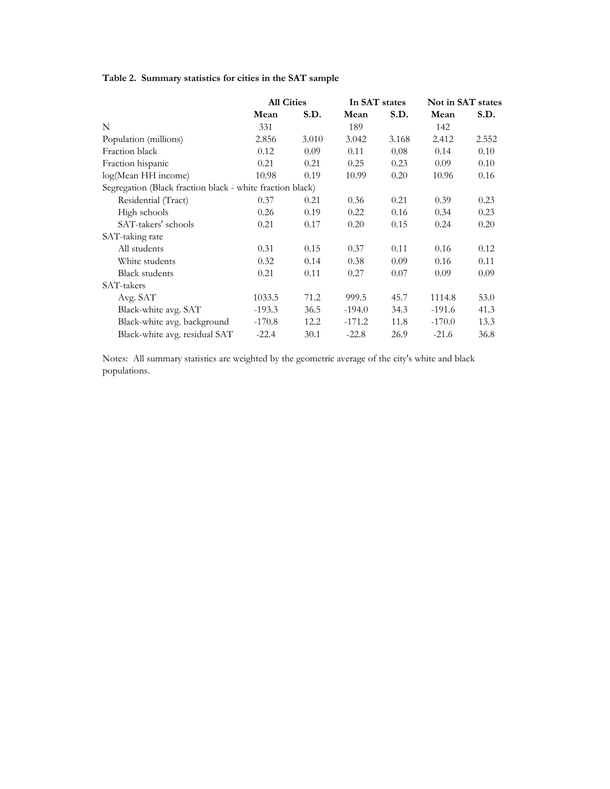# **Table 2. Summary statistics for cities in the SAT sample**

|                                                           | <b>All Cities</b> |       | In SAT states |       | Not in SAT states |       |
|-----------------------------------------------------------|-------------------|-------|---------------|-------|-------------------|-------|
|                                                           | Mean              | S.D.  | Mean          | S.D.  | Mean              | S.D.  |
| N                                                         | 331               |       | 189           |       | 142               |       |
| Population (millions)                                     | 2.856             | 3.010 | 3.042         | 3.168 | 2.412             | 2.552 |
| Fraction black                                            | 0.12              | 0.09  | 0.11          | 0.08  | 0.14              | 0.10  |
| Fraction hispanic                                         | 0.21              | 0.21  | 0.25          | 0.23  | 0.09              | 0.10  |
| log(Mean HH income)                                       | 10.98             | 0.19  | 10.99         | 0.20  | 10.96             | 0.16  |
| Segregation (Black fraction black - white fraction black) |                   |       |               |       |                   |       |
| Residential (Tract)                                       | 0.37              | 0.21  | 0.36          | 0.21  | 0.39              | 0.23  |
| High schools                                              | 0.26              | 0.19  | 0.22          | 0.16  | 0.34              | 0.23  |
| SAT-takers' schools                                       | 0.21              | 0.17  | 0.20          | 0.15  | 0.24              | 0.20  |
| SAT-taking rate                                           |                   |       |               |       |                   |       |
| All students                                              | 0.31              | 0.15  | 0.37          | 0.11  | 0.16              | 0.12  |
| White students                                            | 0.32              | 0.14  | 0.38          | 0.09  | 0.16              | 0.11  |
| <b>Black students</b>                                     | 0.21              | 0.11  | 0.27          | 0.07  | 0.09              | 0.09  |
| SAT-takers                                                |                   |       |               |       |                   |       |
| Avg. SAT                                                  | 1033.5            | 71.2  | 999.5         | 45.7  | 1114.8            | 53.0  |
| Black-white avg. SAT                                      | $-193.3$          | 36.5  | $-194.0$      | 34.3  | $-191.6$          | 41.3  |
| Black-white avg. background                               | $-170.8$          | 12.2  | $-171.2$      | 11.8  | $-170.0$          | 13.3  |
| Black-white avg. residual SAT                             | $-22.4$           | 30.1  | $-22.8$       | 26.9  | $-21.6$           | 36.8  |

Notes: All summary statistics are weighted by the geometric average of the city's white and black populations.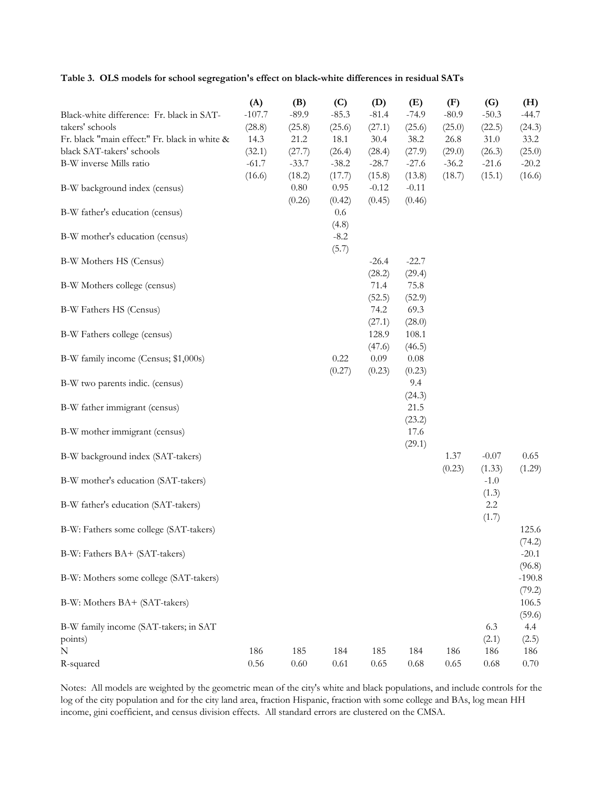**Table 3. OLS models for school segregation's effect on black-white differences in residual SATs**

|                                               | (A)      | (B)      | (C)     | (D)     | (E)     | (F)     | (G)     | (H)      |
|-----------------------------------------------|----------|----------|---------|---------|---------|---------|---------|----------|
| Black-white difference: Fr. black in SAT-     | $-107.7$ | $-89.9$  | $-85.3$ | $-81.4$ | $-74.9$ | $-80.9$ | $-50.3$ | $-44.7$  |
| takers' schools                               | (28.8)   | (25.8)   | (25.6)  | (27.1)  | (25.6)  | (25.0)  | (22.5)  | (24.3)   |
| Fr. black "main effect:" Fr. black in white & | 14.3     | 21.2     | 18.1    | 30.4    | 38.2    | 26.8    | 31.0    | 33.2     |
| black SAT-takers' schools                     | (32.1)   | (27.7)   | (26.4)  | (28.4)  | (27.9)  | (29.0)  | (26.3)  | (25.0)   |
| B-W inverse Mills ratio                       | $-61.7$  | $-33.7$  | $-38.2$ | $-28.7$ | $-27.6$ | $-36.2$ | $-21.6$ | $-20.2$  |
|                                               | (16.6)   | (18.2)   | (17.7)  | (15.8)  | (13.8)  | (18.7)  | (15.1)  | (16.6)   |
| B-W background index (census)                 |          | $0.80\,$ | 0.95    | $-0.12$ | $-0.11$ |         |         |          |
|                                               |          | (0.26)   | (0.42)  | (0.45)  | (0.46)  |         |         |          |
| B-W father's education (census)               |          |          | $0.6\,$ |         |         |         |         |          |
|                                               |          |          | (4.8)   |         |         |         |         |          |
| B-W mother's education (census)               |          |          | $-8.2$  |         |         |         |         |          |
|                                               |          |          | (5.7)   |         |         |         |         |          |
| B-W Mothers HS (Census)                       |          |          |         | $-26.4$ | $-22.7$ |         |         |          |
|                                               |          |          |         | (28.2)  | (29.4)  |         |         |          |
| B-W Mothers college (census)                  |          |          |         | 71.4    | 75.8    |         |         |          |
|                                               |          |          |         | (52.5)  | (52.9)  |         |         |          |
| B-W Fathers HS (Census)                       |          |          |         | 74.2    | 69.3    |         |         |          |
|                                               |          |          |         | (27.1)  | (28.0)  |         |         |          |
| B-W Fathers college (census)                  |          |          |         | 128.9   | 108.1   |         |         |          |
|                                               |          |          |         | (47.6)  | (46.5)  |         |         |          |
| B-W family income (Census; \$1,000s)          |          |          | 0.22    | 0.09    | 0.08    |         |         |          |
|                                               |          |          | (0.27)  | (0.23)  | (0.23)  |         |         |          |
| B-W two parents indic. (census)               |          |          |         |         | 9.4     |         |         |          |
|                                               |          |          |         |         | (24.3)  |         |         |          |
| B-W father immigrant (census)                 |          |          |         |         | 21.5    |         |         |          |
|                                               |          |          |         |         | (23.2)  |         |         |          |
| B-W mother immigrant (census)                 |          |          |         |         | 17.6    |         |         |          |
|                                               |          |          |         |         | (29.1)  |         |         |          |
| B-W background index (SAT-takers)             |          |          |         |         |         | 1.37    | $-0.07$ | 0.65     |
|                                               |          |          |         |         |         | (0.23)  | (1.33)  | (1.29)   |
| B-W mother's education (SAT-takers)           |          |          |         |         |         |         | $-1.0$  |          |
|                                               |          |          |         |         |         |         | (1.3)   |          |
| B-W father's education (SAT-takers)           |          |          |         |         |         |         | 2.2     |          |
|                                               |          |          |         |         |         |         | (1.7)   |          |
| B-W: Fathers some college (SAT-takers)        |          |          |         |         |         |         |         | 125.6    |
|                                               |          |          |         |         |         |         |         | (74.2)   |
| B-W: Fathers BA+ (SAT-takers)                 |          |          |         |         |         |         |         | $-20.1$  |
|                                               |          |          |         |         |         |         |         | (96.8)   |
| B-W: Mothers some college (SAT-takers)        |          |          |         |         |         |         |         | $-190.8$ |
|                                               |          |          |         |         |         |         |         | (79.2)   |
| B-W: Mothers BA+ (SAT-takers)                 |          |          |         |         |         |         |         | 106.5    |
|                                               |          |          |         |         |         |         |         | (59.6)   |
| B-W family income (SAT-takers; in SAT         |          |          |         |         |         |         | 6.3     | 4.4      |
| points)                                       |          |          |         |         |         |         | (2.1)   | (2.5)    |
| N                                             | 186      | 185      | 184     | 185     | 184     | 186     | 186     | 186      |
| R-squared                                     | $0.56\,$ | $0.60\,$ | 0.61    | 0.65    | 0.68    | 0.65    | 0.68    | 0.70     |

Notes: All models are weighted by the geometric mean of the city's white and black populations, and include controls for the log of the city population and for the city land area, fraction Hispanic, fraction with some college and BAs, log mean HH income, gini coefficient, and census division effects. All standard errors are clustered on the CMSA.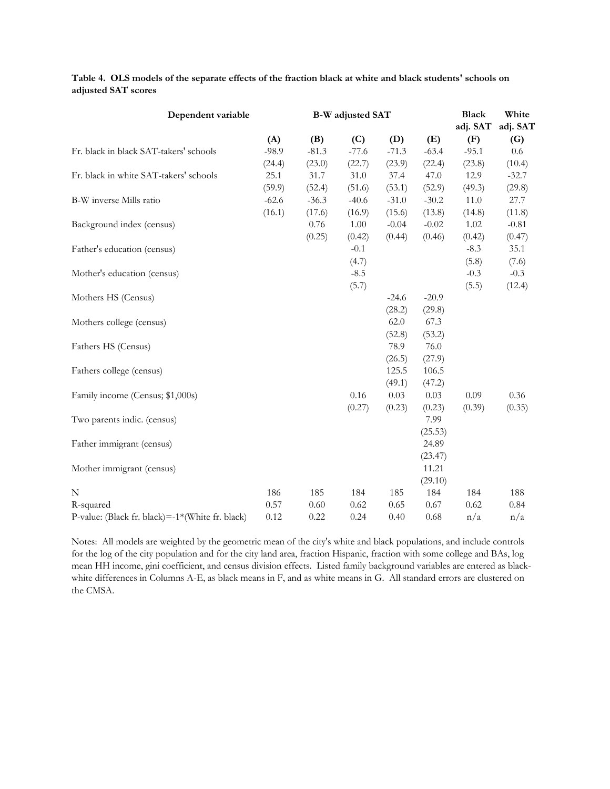| Dependent variable                              |         |          | <b>B-W</b> adjusted SAT | <b>Black</b> | White   |          |          |
|-------------------------------------------------|---------|----------|-------------------------|--------------|---------|----------|----------|
|                                                 |         |          |                         |              |         | adj. SAT | adj. SAT |
|                                                 | (A)     | (B)      | (C)                     | (D)          | (E)     | (F)      | (G)      |
| Fr. black in black SAT-takers' schools          | $-98.9$ | $-81.3$  | $-77.6$                 | $-71.3$      | $-63.4$ | $-95.1$  | 0.6      |
|                                                 | (24.4)  | (23.0)   | (22.7)                  | (23.9)       | (22.4)  | (23.8)   | (10.4)   |
| Fr. black in white SAT-takers' schools          | 25.1    | 31.7     | 31.0                    | 37.4         | 47.0    | 12.9     | $-32.7$  |
|                                                 | (59.9)  | (52.4)   | (51.6)                  | (53.1)       | (52.9)  | (49.3)   | (29.8)   |
| B-W inverse Mills ratio                         | $-62.6$ | $-36.3$  | $-40.6$                 | $-31.0$      | $-30.2$ | 11.0     | 27.7     |
|                                                 | (16.1)  | (17.6)   | (16.9)                  | (15.6)       | (13.8)  | (14.8)   | (11.8)   |
| Background index (census)                       |         | $0.76\,$ | 1.00                    | $-0.04$      | $-0.02$ | 1.02     | $-0.81$  |
|                                                 |         | (0.25)   | (0.42)                  | (0.44)       | (0.46)  | (0.42)   | (0.47)   |
| Father's education (census)                     |         |          | $-0.1$                  |              |         | $-8.3$   | 35.1     |
|                                                 |         |          | (4.7)                   |              |         | (5.8)    | (7.6)    |
| Mother's education (census)                     |         |          | $-8.5$                  |              |         | $-0.3$   | $-0.3$   |
|                                                 |         |          | (5.7)                   |              |         | (5.5)    | (12.4)   |
| Mothers HS (Census)                             |         |          |                         | $-24.6$      | $-20.9$ |          |          |
|                                                 |         |          |                         | (28.2)       | (29.8)  |          |          |
| Mothers college (census)                        |         |          |                         | 62.0         | 67.3    |          |          |
|                                                 |         |          |                         | (52.8)       | (53.2)  |          |          |
| Fathers HS (Census)                             |         |          |                         | 78.9         | 76.0    |          |          |
|                                                 |         |          |                         | (26.5)       | (27.9)  |          |          |
| Fathers college (census)                        |         |          |                         | 125.5        | 106.5   |          |          |
|                                                 |         |          |                         | (49.1)       | (47.2)  |          |          |
| Family income (Census; \$1,000s)                |         |          | 0.16                    | 0.03         | 0.03    | 0.09     | 0.36     |
|                                                 |         |          | (0.27)                  | (0.23)       | (0.23)  | (0.39)   | (0.35)   |
| Two parents indic. (census)                     |         |          |                         |              | 7.99    |          |          |
|                                                 |         |          |                         |              | (25.53) |          |          |
| Father immigrant (census)                       |         |          |                         |              | 24.89   |          |          |
|                                                 |         |          |                         |              | (23.47) |          |          |
| Mother immigrant (census)                       |         |          |                         |              | 11.21   |          |          |
|                                                 |         |          |                         |              | (29.10) |          |          |
| N                                               | 186     | 185      | 184                     | 185          | 184     | 184      | 188      |
| R-squared                                       | 0.57    | 0.60     | 0.62                    | 0.65         | 0.67    | 0.62     | 0.84     |
| P-value: (Black fr. black)=-1*(White fr. black) | 0.12    | 0.22     | 0.24                    | 0.40         | 0.68    | n/a      | n/a      |

**Table 4. OLS models of the separate effects of the fraction black at white and black students' schools on adjusted SAT scores**

Notes: All models are weighted by the geometric mean of the city's white and black populations, and include controls for the log of the city population and for the city land area, fraction Hispanic, fraction with some college and BAs, log mean HH income, gini coefficient, and census division effects. Listed family background variables are entered as blackwhite differences in Columns A-E, as black means in F, and as white means in G. All standard errors are clustered on the CMSA.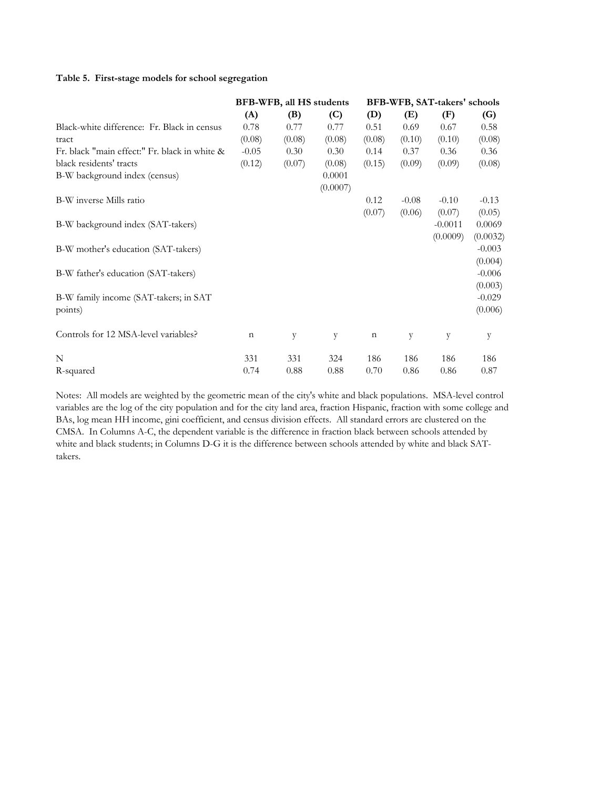#### **Table 5. First-stage models for school segregation**

|                                               |             | BFB-WFB, all HS students |          | BFB-WFB, SAT-takers' schools |         |           |          |  |  |
|-----------------------------------------------|-------------|--------------------------|----------|------------------------------|---------|-----------|----------|--|--|
|                                               | (A)         | (B)                      | (C)      | (D)                          | (E)     | (F)       | (G)      |  |  |
| Black-white difference: Fr. Black in census   | 0.78        | 0.77                     | 0.77     | 0.51                         | 0.69    | 0.67      | 0.58     |  |  |
| tract                                         | (0.08)      | (0.08)                   | (0.08)   | (0.08)                       | (0.10)  | (0.10)    | (0.08)   |  |  |
| Fr. black "main effect:" Fr. black in white & | $-0.05$     | 0.30                     | 0.30     | 0.14                         | 0.37    | 0.36      | 0.36     |  |  |
| black residents' tracts                       | (0.12)      | (0.07)                   | (0.08)   | (0.15)                       | (0.09)  | (0.09)    | (0.08)   |  |  |
| B-W background index (census)                 |             |                          | 0.0001   |                              |         |           |          |  |  |
|                                               |             |                          | (0.0007) |                              |         |           |          |  |  |
| B-W inverse Mills ratio                       |             |                          |          | 0.12                         | $-0.08$ | $-0.10$   | $-0.13$  |  |  |
|                                               |             |                          |          | (0.07)                       | (0.06)  | (0.07)    | (0.05)   |  |  |
| B-W background index (SAT-takers)             |             |                          |          |                              |         | $-0.0011$ | 0.0069   |  |  |
|                                               |             |                          |          |                              |         | (0.0009)  | (0.0032) |  |  |
| B-W mother's education (SAT-takers)           |             |                          |          |                              |         |           | $-0.003$ |  |  |
|                                               |             |                          |          |                              |         |           | (0.004)  |  |  |
| B-W father's education (SAT-takers)           |             |                          |          |                              |         |           | $-0.006$ |  |  |
|                                               |             |                          |          |                              |         |           | (0.003)  |  |  |
| B-W family income (SAT-takers; in SAT         |             |                          |          |                              |         |           | $-0.029$ |  |  |
| points)                                       |             |                          |          |                              |         |           | (0.006)  |  |  |
| Controls for 12 MSA-level variables?          | $\mathbf n$ | y                        | y        | $\mathbf n$                  | y       | y         | y        |  |  |
| N                                             | 331         | 331                      | 324      | 186                          | 186     | 186       | 186      |  |  |
| R-squared                                     | 0.74        | 0.88                     | 0.88     | 0.70                         | 0.86    | 0.86      | 0.87     |  |  |

Notes: All models are weighted by the geometric mean of the city's white and black populations. MSA-level control variables are the log of the city population and for the city land area, fraction Hispanic, fraction with some college and BAs, log mean HH income, gini coefficient, and census division effects. All standard errors are clustered on the CMSA. In Columns A-C, the dependent variable is the difference in fraction black between schools attended by white and black students; in Columns D-G it is the difference between schools attended by white and black SATtakers.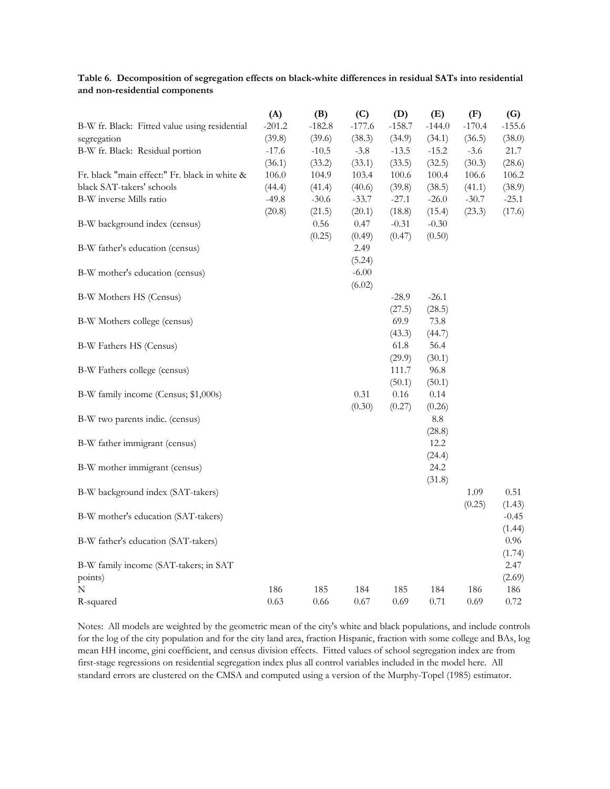|                                               | (A)      | (B)      | (C)      | (D)       | (E)        | (F)      | (G)      |
|-----------------------------------------------|----------|----------|----------|-----------|------------|----------|----------|
| B-W fr. Black: Fitted value using residential | $-201.2$ | $-182.8$ | $-177.6$ | $-158.7$  | $-144.0$   | $-170.4$ | $-155.6$ |
| segregation                                   | (39.8)   | (39.6)   | (38.3)   | (34.9)    | (34.1)     | (36.5)   | (38.0)   |
| B-W fr. Black: Residual portion               | $-17.6$  | $-10.5$  | $-3.8$   | $-13.5$   | $-15.2$    | $-3.6$   | 21.7     |
|                                               | (36.1)   | (33.2)   | (33.1)   | (33.5)    | (32.5)     | (30.3)   | (28.6)   |
| Fr. black "main effect:" Fr. black in white & | 106.0    | 104.9    | 103.4    | $100.6\,$ | 100.4      | 106.6    | 106.2    |
| black SAT-takers' schools                     | (44.4)   | (41.4)   | (40.6)   | (39.8)    | (38.5)     | (41.1)   | (38.9)   |
| B-W inverse Mills ratio                       | $-49.8$  | $-30.6$  | $-33.7$  | $-27.1$   | $-26.0$    | $-30.7$  | $-25.1$  |
|                                               | (20.8)   | (21.5)   | (20.1)   | (18.8)    | (15.4)     | (23.3)   | (17.6)   |
| B-W background index (census)                 |          | 0.56     | 0.47     | $-0.31$   | $-0.30$    |          |          |
|                                               |          | (0.25)   | (0.49)   | (0.47)    | (0.50)     |          |          |
| B-W father's education (census)               |          |          | 2.49     |           |            |          |          |
|                                               |          |          | (5.24)   |           |            |          |          |
| B-W mother's education (census)               |          |          | $-6.00$  |           |            |          |          |
|                                               |          |          | (6.02)   |           |            |          |          |
| B-W Mothers HS (Census)                       |          |          |          | $-28.9$   | $-26.1$    |          |          |
|                                               |          |          |          | (27.5)    | (28.5)     |          |          |
| B-W Mothers college (census)                  |          |          |          | 69.9      | 73.8       |          |          |
|                                               |          |          |          | (43.3)    | (44.7)     |          |          |
| B-W Fathers HS (Census)                       |          |          |          | 61.8      | 56.4       |          |          |
|                                               |          |          |          | (29.9)    | (30.1)     |          |          |
| B-W Fathers college (census)                  |          |          |          | 111.7     | 96.8       |          |          |
|                                               |          |          |          | (50.1)    | (50.1)     |          |          |
| B-W family income (Census; \$1,000s)          |          |          | 0.31     | $0.16\,$  | 0.14       |          |          |
|                                               |          |          | (0.30)   | (0.27)    | (0.26)     |          |          |
| B-W two parents indic. (census)               |          |          |          |           | $\ \, 8.8$ |          |          |
|                                               |          |          |          |           | (28.8)     |          |          |
| B-W father immigrant (census)                 |          |          |          |           | 12.2       |          |          |
|                                               |          |          |          |           | (24.4)     |          |          |
| B-W mother immigrant (census)                 |          |          |          |           | 24.2       |          |          |
|                                               |          |          |          |           | (31.8)     |          |          |
| B-W background index (SAT-takers)             |          |          |          |           |            | 1.09     | 0.51     |
|                                               |          |          |          |           |            | (0.25)   | (1.43)   |
| B-W mother's education (SAT-takers)           |          |          |          |           |            |          | $-0.45$  |
|                                               |          |          |          |           |            |          | (1.44)   |
| B-W father's education (SAT-takers)           |          |          |          |           |            |          | 0.96     |
|                                               |          |          |          |           |            |          | (1.74)   |
| B-W family income (SAT-takers; in SAT         |          |          |          |           |            |          | 2.47     |
| points)                                       |          |          |          |           |            |          | (2.69)   |
| N                                             | 186      | 185      | 184      | 185       | 184        | 186      | 186      |
| R-squared                                     | 0.63     | 0.66     | 0.67     | 0.69      | 0.71       | 0.69     | 0.72     |

**Table 6. Decomposition of segregation effects on black-white differences in residual SATs into residential and non-residential components**

Notes: All models are weighted by the geometric mean of the city's white and black populations, and include controls for the log of the city population and for the city land area, fraction Hispanic, fraction with some college and BAs, log mean HH income, gini coefficient, and census division effects. Fitted values of school segregation index are from first-stage regressions on residential segregation index plus all control variables included in the model here. All standard errors are clustered on the CMSA and computed using a version of the Murphy-Topel (1985) estimator.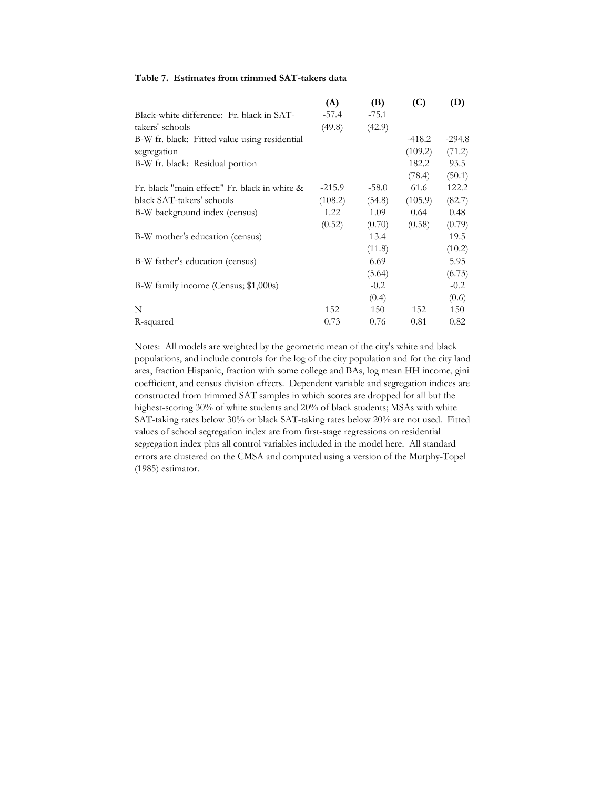#### **Table 7. Estimates from trimmed SAT-takers data**

|                                               | (A)      | (B)     | (C)      | (D)      |
|-----------------------------------------------|----------|---------|----------|----------|
| Black-white difference: Fr. black in SAT-     | $-57.4$  | $-75.1$ |          |          |
| takers' schools                               | (49.8)   | (42.9)  |          |          |
| B-W fr. black: Fitted value using residential |          |         | $-418.2$ | $-294.8$ |
| segregation                                   |          |         | (109.2)  | (71.2)   |
| B-W fr. black: Residual portion               |          |         | 182.2    | 93.5     |
|                                               |          |         | (78.4)   | (50.1)   |
| Fr. black "main effect:" Fr. black in white & | $-215.9$ | $-58.0$ | 61.6     | 122.2    |
| black SAT-takers' schools                     | (108.2)  | (54.8)  | (105.9)  | (82.7)   |
| B-W background index (census)                 | 1.22     | 1.09    | 0.64     | 0.48     |
|                                               | (0.52)   | (0.70)  | (0.58)   | (0.79)   |
| B-W mother's education (census)               |          | 13.4    |          | 19.5     |
|                                               |          | (11.8)  |          | (10.2)   |
| B-W father's education (census)               |          | 6.69    |          | 5.95     |
|                                               |          | (5.64)  |          | (6.73)   |
| B-W family income (Census; \$1,000s)          |          | $-0.2$  |          | $-0.2$   |
|                                               |          | (0.4)   |          | (0.6)    |
| N                                             | 152      | 150     | 152      | 150      |
| R-squared                                     | 0.73     | 0.76    | 0.81     | 0.82     |

Notes: All models are weighted by the geometric mean of the city's white and black populations, and include controls for the log of the city population and for the city land area, fraction Hispanic, fraction with some college and BAs, log mean HH income, gini coefficient, and census division effects. Dependent variable and segregation indices are constructed from trimmed SAT samples in which scores are dropped for all but the highest-scoring 30% of white students and 20% of black students; MSAs with white SAT-taking rates below 30% or black SAT-taking rates below 20% are not used. Fitted values of school segregation index are from first-stage regressions on residential segregation index plus all control variables included in the model here. All standard errors are clustered on the CMSA and computed using a version of the Murphy-Topel (1985) estimator.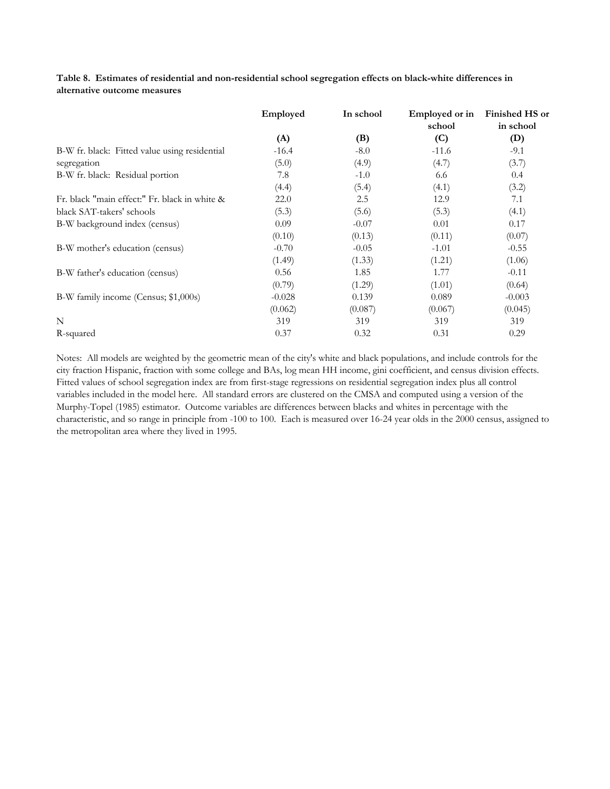| Table 8. Estimates of residential and non-residential school segregation effects on black-white differences in |  |
|----------------------------------------------------------------------------------------------------------------|--|
| alternative outcome measures                                                                                   |  |

|                                               | Employed | In school | Employed or in<br>school | <b>Finished HS or</b><br>in school |
|-----------------------------------------------|----------|-----------|--------------------------|------------------------------------|
|                                               | (A)      | (B)       | (C)                      | (D)                                |
| B-W fr. black: Fitted value using residential | $-16.4$  | $-8.0$    | $-11.6$                  | $-9.1$                             |
| segregation                                   | (5.0)    | (4.9)     | (4.7)                    | (3.7)                              |
| B-W fr. black: Residual portion               | 7.8      | $-1.0$    | 6.6                      | 0.4                                |
|                                               | (4.4)    | (5.4)     | (4.1)                    | (3.2)                              |
| Fr. black "main effect:" Fr. black in white & | 22.0     | 2.5       | 12.9                     | 7.1                                |
| black SAT-takers' schools                     | (5.3)    | (5.6)     | (5.3)                    | (4.1)                              |
| B-W background index (census)                 | 0.09     | $-0.07$   | 0.01                     | 0.17                               |
|                                               | (0.10)   | (0.13)    | (0.11)                   | (0.07)                             |
| B-W mother's education (census)               | $-0.70$  | $-0.05$   | $-1.01$                  | $-0.55$                            |
|                                               | (1.49)   | (1.33)    | (1.21)                   | (1.06)                             |
| B-W father's education (census)               | 0.56     | 1.85      | 1.77                     | $-0.11$                            |
|                                               | (0.79)   | (1.29)    | (1.01)                   | (0.64)                             |
| B-W family income (Census; \$1,000s)          | $-0.028$ | 0.139     | 0.089                    | $-0.003$                           |
|                                               | (0.062)  | (0.087)   | (0.067)                  | (0.045)                            |
| N                                             | 319      | 319       | 319                      | 319                                |
| R-squared                                     | 0.37     | 0.32      | 0.31                     | 0.29                               |

Notes: All models are weighted by the geometric mean of the city's white and black populations, and include controls for the city fraction Hispanic, fraction with some college and BAs, log mean HH income, gini coefficient, and census division effects. Fitted values of school segregation index are from first-stage regressions on residential segregation index plus all control variables included in the model here. All standard errors are clustered on the CMSA and computed using a version of the Murphy-Topel (1985) estimator. Outcome variables are differences between blacks and whites in percentage with the characteristic, and so range in principle from -100 to 100. Each is measured over 16-24 year olds in the 2000 census, assigned to the metropolitan area where they lived in 1995.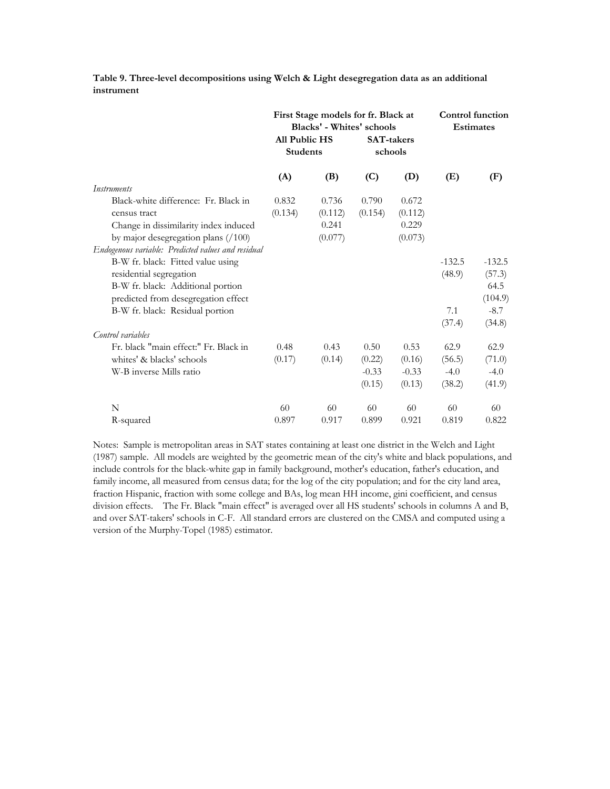**Table 9. Three-level decompositions using Welch & Light desegregation data as an additional instrument**

|                                                    |                                         | First Stage models for fr. Black at<br><b>Blacks'</b> - Whites' schools |                              |         |          | <b>Control function</b><br><b>Estimates</b> |
|----------------------------------------------------|-----------------------------------------|-------------------------------------------------------------------------|------------------------------|---------|----------|---------------------------------------------|
|                                                    | <b>All Public HS</b><br><b>Students</b> |                                                                         | <b>SAT-takers</b><br>schools |         |          |                                             |
|                                                    | (A)                                     | (B)                                                                     | (C)                          | (D)     | (E)      | (F)                                         |
| <i>Instruments</i>                                 |                                         |                                                                         |                              |         |          |                                             |
| Black-white difference: Fr. Black in               | 0.832                                   | 0.736                                                                   | 0.790                        | 0.672   |          |                                             |
| census tract                                       | (0.134)                                 | (0.112)                                                                 | (0.154)                      | (0.112) |          |                                             |
| Change in dissimilarity index induced              |                                         | 0.241                                                                   |                              | 0.229   |          |                                             |
| by major desegregation plans $(100)$               |                                         | (0.077)                                                                 |                              | (0.073) |          |                                             |
| Endogenous variable: Predicted values and residual |                                         |                                                                         |                              |         |          |                                             |
| B-W fr. black: Fitted value using                  |                                         |                                                                         |                              |         | $-132.5$ | $-132.5$                                    |
| residential segregation                            |                                         |                                                                         |                              |         | (48.9)   | (57.3)                                      |
| B-W fr. black: Additional portion                  |                                         |                                                                         |                              |         |          | 64.5                                        |
| predicted from desegregation effect                |                                         |                                                                         |                              |         |          | (104.9)                                     |
| B-W fr. black: Residual portion                    |                                         |                                                                         |                              |         | 7.1      | $-8.7$                                      |
|                                                    |                                         |                                                                         |                              |         | (37.4)   | (34.8)                                      |
| Control variables                                  |                                         |                                                                         |                              |         |          |                                             |
| Fr. black "main effect:" Fr. Black in              | 0.48                                    | 0.43                                                                    | 0.50                         | 0.53    | 62.9     | 62.9                                        |
| whites' & blacks' schools                          | (0.17)                                  | (0.14)                                                                  | (0.22)                       | (0.16)  | (56.5)   | (71.0)                                      |
| W-B inverse Mills ratio                            |                                         |                                                                         | $-0.33$                      | $-0.33$ | $-4.0$   | $-4.0$                                      |
|                                                    |                                         |                                                                         | (0.15)                       | (0.13)  | (38.2)   | (41.9)                                      |
| N                                                  | 60                                      | 60                                                                      | 60                           | 60      | 60       | 60                                          |
| R-squared                                          | 0.897                                   | 0.917                                                                   | 0.899                        | 0.921   | 0.819    | 0.822                                       |

Notes: Sample is metropolitan areas in SAT states containing at least one district in the Welch and Light (1987) sample. All models are weighted by the geometric mean of the city's white and black populations, and include controls for the black-white gap in family background, mother's education, father's education, and family income, all measured from census data; for the log of the city population; and for the city land area, fraction Hispanic, fraction with some college and BAs, log mean HH income, gini coefficient, and census division effects. The Fr. Black "main effect" is averaged over all HS students' schools in columns A and B, and over SAT-takers' schools in C-F. All standard errors are clustered on the CMSA and computed using a version of the Murphy-Topel (1985) estimator.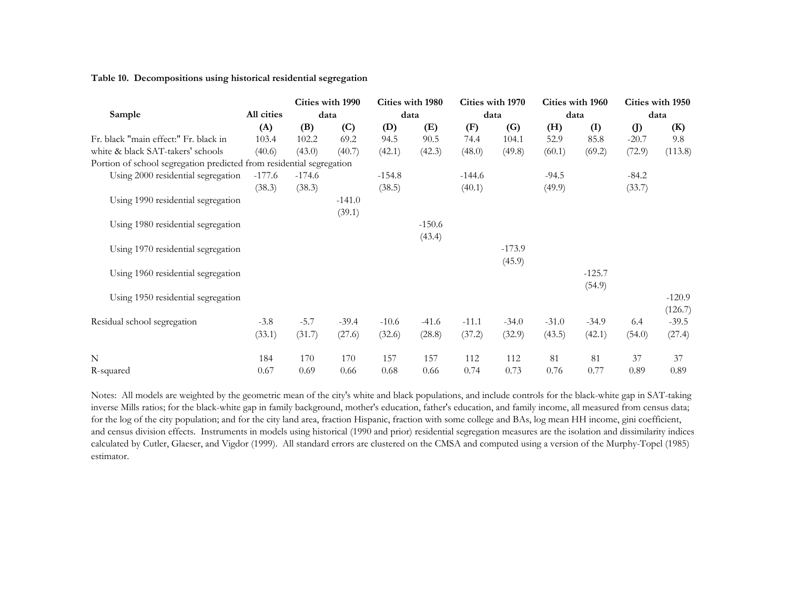#### **Table 10. Decompositions using historical residential segregation**

|                                                                      |            |          | Cities with 1990 | Cities with 1980 |          | Cities with 1970 |          | Cities with 1960<br>data |          | Cities with 1950 |          |
|----------------------------------------------------------------------|------------|----------|------------------|------------------|----------|------------------|----------|--------------------------|----------|------------------|----------|
| Sample                                                               | All cities | data     |                  | data             |          |                  | data     |                          |          |                  | data     |
|                                                                      | (A)        | (B)      | (C)              | (D)              | (E)      | (F)              | (G)      | (H)                      | (I)      | $\left($ D       | (K)      |
| Fr. black "main effect:" Fr. black in                                | 103.4      | 102.2    | 69.2             | 94.5             | 90.5     | 74.4             | 104.1    | 52.9                     | 85.8     | $-20.7$          | 9.8      |
| white & black SAT-takers' schools                                    | (40.6)     | (43.0)   | (40.7)           | (42.1)           | (42.3)   | (48.0)           | (49.8)   | (60.1)                   | (69.2)   | (72.9)           | (113.8)  |
| Portion of school segregation predicted from residential segregation |            |          |                  |                  |          |                  |          |                          |          |                  |          |
| Using 2000 residential segregation                                   | $-177.6$   | $-174.6$ |                  | $-154.8$         |          | $-144.6$         |          | $-94.5$                  |          | $-84.2$          |          |
|                                                                      | (38.3)     | (38.3)   |                  | (38.5)           |          | (40.1)           |          | (49.9)                   |          | (33.7)           |          |
| Using 1990 residential segregation                                   |            |          | $-141.0$         |                  |          |                  |          |                          |          |                  |          |
|                                                                      |            |          | (39.1)           |                  |          |                  |          |                          |          |                  |          |
| Using 1980 residential segregation                                   |            |          |                  |                  | $-150.6$ |                  |          |                          |          |                  |          |
|                                                                      |            |          |                  |                  | (43.4)   |                  |          |                          |          |                  |          |
| Using 1970 residential segregation                                   |            |          |                  |                  |          |                  | $-173.9$ |                          |          |                  |          |
|                                                                      |            |          |                  |                  |          |                  | (45.9)   |                          |          |                  |          |
| Using 1960 residential segregation                                   |            |          |                  |                  |          |                  |          |                          | $-125.7$ |                  |          |
|                                                                      |            |          |                  |                  |          |                  |          |                          | (54.9)   |                  |          |
| Using 1950 residential segregation                                   |            |          |                  |                  |          |                  |          |                          |          |                  | $-120.9$ |
|                                                                      |            |          |                  |                  |          |                  |          |                          |          |                  | (126.7)  |
| Residual school segregation                                          | $-3.8$     | $-5.7$   | $-39.4$          | $-10.6$          | $-41.6$  | $-11.1$          | $-34.0$  | $-31.0$                  | $-34.9$  | 6.4              | $-39.5$  |
|                                                                      | (33.1)     | (31.7)   | (27.6)           | (32.6)           | (28.8)   | (37.2)           | (32.9)   | (43.5)                   | (42.1)   | (54.0)           | (27.4)   |
| N                                                                    | 184        | 170      | 170              | 157              | 157      | 112              | 112      | 81                       | 81       | 37               | 37       |
| R-squared                                                            | 0.67       | 0.69     | 0.66             | 0.68             | 0.66     | 0.74             | 0.73     | 0.76                     | 0.77     | 0.89             | 0.89     |

Notes: All models are weighted by the geometric mean of the city's white and black populations, and include controls for the black-white gap in SAT-taking inverse Mills ratios; for the black-white gap in family background, mother's education, father's education, and family income, all measured from census data; for the log of the city population; and for the city land area, fraction Hispanic, fraction with some college and BAs, log mean HH income, gini coefficient, and census division effects. Instruments in models using historical (1990 and prior) residential segregation measures are the isolation and dissimilarity indices calculated by Cutler, Glaeser, and Vigdor (1999). All standard errors are clustered on the CMSA and computed using a version of the Murphy-Topel (1985) estimator.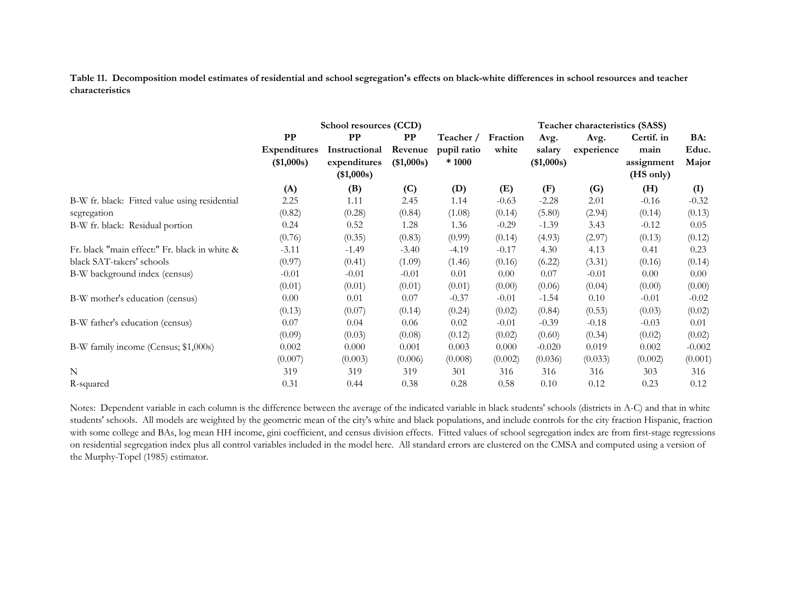**Table 11. Decomposition model estimates of residential and school segregation's effects on black-white differences in school resources and teacher characteristics**

|                                               |                            | School resources (CCD)                      |                       |                       |          |                      | Teacher characteristics (SASS) |                                 |                |  |  |  |  |
|-----------------------------------------------|----------------------------|---------------------------------------------|-----------------------|-----------------------|----------|----------------------|--------------------------------|---------------------------------|----------------|--|--|--|--|
|                                               | PP                         | $_{\rm PP}$                                 | $\bf PP$              | Teacher /             | Fraction | Avg.                 | Avg.                           | Certif. in                      | BA:            |  |  |  |  |
|                                               | Expenditures<br>(\$1,000s) | Instructional<br>expenditures<br>(\$1,000s) | Revenue<br>(\$1,000s) | pupil ratio<br>* 1000 | white    | salary<br>(\$1,000s) | experience                     | main<br>assignment<br>(HS only) | Educ.<br>Major |  |  |  |  |
|                                               | (A)                        | (B)                                         | (C)                   | (D)                   | (E)      | (F)                  | (G)                            | (H)                             | (I)            |  |  |  |  |
| B-W fr. black: Fitted value using residential | 2.25                       | 1.11                                        | 2.45                  | 1.14                  | $-0.63$  | $-2.28$              | 2.01                           | $-0.16$                         | $-0.32$        |  |  |  |  |
| segregation                                   | (0.82)                     | (0.28)                                      | (0.84)                | (1.08)                | (0.14)   | (5.80)               | (2.94)                         | (0.14)                          | (0.13)         |  |  |  |  |
| B-W fr. black: Residual portion               | 0.24                       | 0.52                                        | 1.28                  | 1.36                  | $-0.29$  | $-1.39$              | 3.43                           | $-0.12$                         | 0.05           |  |  |  |  |
|                                               | (0.76)                     | (0.35)                                      | (0.83)                | (0.99)                | (0.14)   | (4.93)               | (2.97)                         | (0.13)                          | (0.12)         |  |  |  |  |
| Fr. black "main effect:" Fr. black in white & | $-3.11$                    | $-1.49$                                     | $-3.40$               | $-4.19$               | $-0.17$  | 4.30                 | 4.13                           | 0.41                            | 0.23           |  |  |  |  |
| black SAT-takers' schools                     | (0.97)                     | (0.41)                                      | (1.09)                | (1.46)                | (0.16)   | (6.22)               | (3.31)                         | (0.16)                          | (0.14)         |  |  |  |  |
| B-W background index (census)                 | $-0.01$                    | $-0.01$                                     | $-0.01$               | 0.01                  | 0.00     | 0.07                 | $-0.01$                        | 0.00                            | 0.00           |  |  |  |  |
|                                               | (0.01)                     | (0.01)                                      | (0.01)                | (0.01)                | (0.00)   | (0.06)               | (0.04)                         | (0.00)                          | (0.00)         |  |  |  |  |
| B-W mother's education (census)               | 0.00                       | 0.01                                        | 0.07                  | $-0.37$               | $-0.01$  | $-1.54$              | 0.10                           | $-0.01$                         | $-0.02$        |  |  |  |  |
|                                               | (0.13)                     | (0.07)                                      | (0.14)                | (0.24)                | (0.02)   | (0.84)               | (0.53)                         | (0.03)                          | (0.02)         |  |  |  |  |
| B-W father's education (census)               | 0.07                       | 0.04                                        | 0.06                  | 0.02                  | $-0.01$  | $-0.39$              | $-0.18$                        | $-0.03$                         | 0.01           |  |  |  |  |
|                                               | (0.09)                     | (0.03)                                      | (0.08)                | (0.12)                | (0.02)   | (0.60)               | (0.34)                         | (0.02)                          | (0.02)         |  |  |  |  |
| B-W family income (Census; \$1,000s)          | 0.002                      | 0.000                                       | 0.001                 | 0.003                 | 0.000    | $-0.020$             | 0.019                          | 0.002                           | $-0.002$       |  |  |  |  |
|                                               | (0.007)                    | (0.003)                                     | (0.006)               | (0.008)               | (0.002)  | (0.036)              | (0.033)                        | (0.002)                         | (0.001)        |  |  |  |  |
| N                                             | 319                        | 319                                         | 319                   | 301                   | 316      | 316                  | 316                            | 303                             | 316            |  |  |  |  |
| R-squared                                     | 0.31                       | 0.44                                        | 0.38                  | 0.28                  | 0.58     | 0.10                 | 0.12                           | 0.23                            | 0.12           |  |  |  |  |

Notes: Dependent variable in each column is the difference between the average of the indicated variable in black students' schools (districts in A-C) and that in white students' schools. All models are weighted by the geometric mean of the city's white and black populations, and include controls for the city fraction Hispanic, fraction with some college and BAs, log mean HH income, gini coefficient, and census division effects. Fitted values of school segregation index are from first-stage regressions on residential segregation index plus all control variables included in the model here. All standard errors are clustered on the CMSA and computed using a version of the Murphy-Topel (1985) estimator.